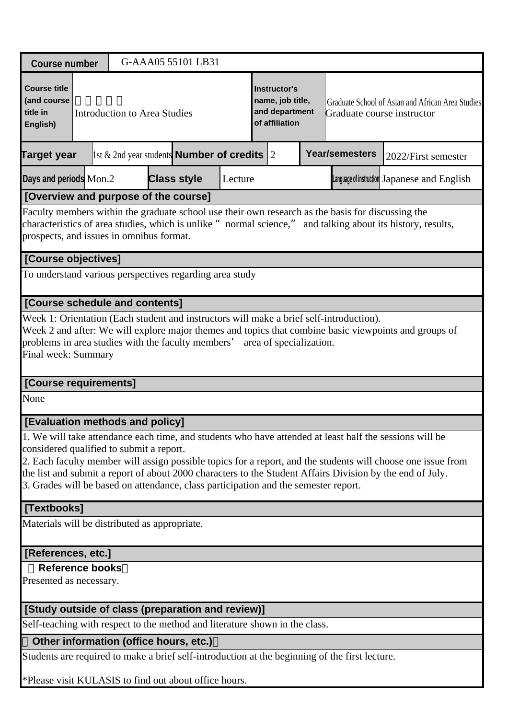| <b>Course number</b>                                                                                                            |  |                                     | G-AAA05 55101 LB31                                         |         |                                                                      |                                                                                                   |                                                                                                                                                                                                                                                                                                                                      |  |
|---------------------------------------------------------------------------------------------------------------------------------|--|-------------------------------------|------------------------------------------------------------|---------|----------------------------------------------------------------------|---------------------------------------------------------------------------------------------------|--------------------------------------------------------------------------------------------------------------------------------------------------------------------------------------------------------------------------------------------------------------------------------------------------------------------------------------|--|
| <b>Course title</b><br>(and course<br>title in<br>English)                                                                      |  | <b>Introduction to Area Studies</b> |                                                            |         | Instructor's<br>name, job title,<br>and department<br>of affiliation | Graduate School of Asian and African Area Studies<br>Graduate course instructor                   |                                                                                                                                                                                                                                                                                                                                      |  |
| Target year                                                                                                                     |  |                                     | $\vert$ 1st & 2nd year students <b>Number of credits</b> 2 |         |                                                                      | <b>Year/semesters</b>                                                                             | 2022/First semester                                                                                                                                                                                                                                                                                                                  |  |
| Days and periods Mon.2                                                                                                          |  |                                     | <b>Class style</b>                                         | Lecture |                                                                      |                                                                                                   | Language of instruction Japanese and English                                                                                                                                                                                                                                                                                         |  |
| [Overview and purpose of the course]                                                                                            |  |                                     |                                                            |         |                                                                      |                                                                                                   |                                                                                                                                                                                                                                                                                                                                      |  |
| prospects, and issues in omnibus format.                                                                                        |  |                                     |                                                            |         |                                                                      | Faculty members within the graduate school use their own research as the basis for discussing the | characteristics of area studies, which is unlike "normal science," and talking about its history, results,                                                                                                                                                                                                                           |  |
| [Course objectives]                                                                                                             |  |                                     |                                                            |         |                                                                      |                                                                                                   |                                                                                                                                                                                                                                                                                                                                      |  |
| To understand various perspectives regarding area study                                                                         |  |                                     |                                                            |         |                                                                      |                                                                                                   |                                                                                                                                                                                                                                                                                                                                      |  |
| [Course schedule and contents]                                                                                                  |  |                                     |                                                            |         |                                                                      |                                                                                                   |                                                                                                                                                                                                                                                                                                                                      |  |
| problems in area studies with the faculty members'<br>Final week: Summary                                                       |  |                                     |                                                            |         | area of specialization.                                              |                                                                                                   | Week 2 and after: We will explore major themes and topics that combine basic viewpoints and groups of                                                                                                                                                                                                                                |  |
| [Course requirements]                                                                                                           |  |                                     |                                                            |         |                                                                      |                                                                                                   |                                                                                                                                                                                                                                                                                                                                      |  |
| None                                                                                                                            |  |                                     |                                                            |         |                                                                      |                                                                                                   |                                                                                                                                                                                                                                                                                                                                      |  |
| [Evaluation methods and policy]                                                                                                 |  |                                     |                                                            |         |                                                                      |                                                                                                   |                                                                                                                                                                                                                                                                                                                                      |  |
| considered qualified to submit a report.<br>3. Grades will be based on attendance, class participation and the semester report. |  |                                     |                                                            |         |                                                                      |                                                                                                   | 1. We will take attendance each time, and students who have attended at least half the sessions will be<br>2. Each faculty member will assign possible topics for a report, and the students will choose one issue from<br>the list and submit a report of about 2000 characters to the Student Affairs Division by the end of July. |  |
| [Textbooks]                                                                                                                     |  |                                     |                                                            |         |                                                                      |                                                                                                   |                                                                                                                                                                                                                                                                                                                                      |  |
| Materials will be distributed as appropriate.                                                                                   |  |                                     |                                                            |         |                                                                      |                                                                                                   |                                                                                                                                                                                                                                                                                                                                      |  |
| [References, etc.]                                                                                                              |  |                                     |                                                            |         |                                                                      |                                                                                                   |                                                                                                                                                                                                                                                                                                                                      |  |
| <b>Reference books</b>                                                                                                          |  |                                     |                                                            |         |                                                                      |                                                                                                   |                                                                                                                                                                                                                                                                                                                                      |  |
| Presented as necessary.                                                                                                         |  |                                     |                                                            |         |                                                                      |                                                                                                   |                                                                                                                                                                                                                                                                                                                                      |  |
| [Study outside of class (preparation and review)]                                                                               |  |                                     |                                                            |         |                                                                      |                                                                                                   |                                                                                                                                                                                                                                                                                                                                      |  |
| Self-teaching with respect to the method and literature shown in the class.                                                     |  |                                     |                                                            |         |                                                                      |                                                                                                   |                                                                                                                                                                                                                                                                                                                                      |  |
| Other information (office hours, etc.)                                                                                          |  |                                     |                                                            |         |                                                                      |                                                                                                   |                                                                                                                                                                                                                                                                                                                                      |  |
|                                                                                                                                 |  |                                     |                                                            |         |                                                                      | Students are required to make a brief self-introduction at the beginning of the first lecture.    |                                                                                                                                                                                                                                                                                                                                      |  |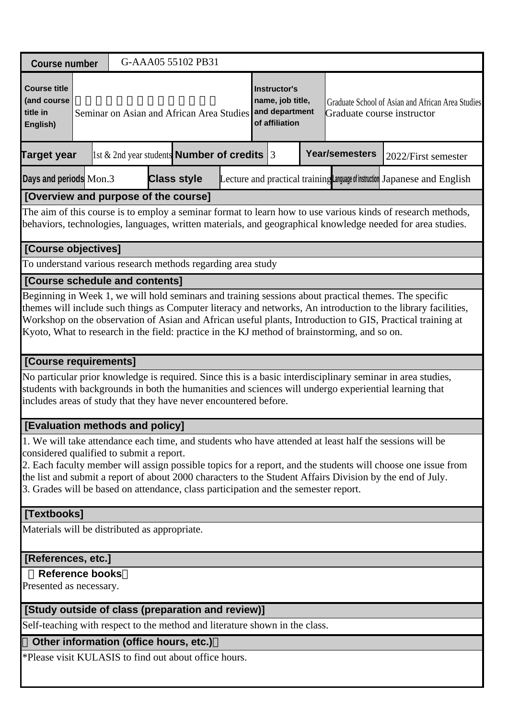| <b>Course number</b>                                                                                                            |  |  | G-AAA05 55102 PB31 |                                                            |                                                                             |                                                                                              |                                                                                                                                                                                                                                                                                                                                            |
|---------------------------------------------------------------------------------------------------------------------------------|--|--|--------------------|------------------------------------------------------------|-----------------------------------------------------------------------------|----------------------------------------------------------------------------------------------|--------------------------------------------------------------------------------------------------------------------------------------------------------------------------------------------------------------------------------------------------------------------------------------------------------------------------------------------|
| <b>Course title</b><br>(and course<br>title in<br>English)                                                                      |  |  |                    | Seminar on Asian and African Area Studies                  | <b>Instructor's</b><br>name, job title,<br>and department<br>of affiliation | Graduate course instructor                                                                   | Graduate School of Asian and African Area Studies                                                                                                                                                                                                                                                                                          |
| <b>Target year</b>                                                                                                              |  |  |                    | $\vert$ 1st & 2nd year students <b>Number of credits</b> 3 |                                                                             | <b>Year/semesters</b>                                                                        | 2022/First semester                                                                                                                                                                                                                                                                                                                        |
| Days and periods Mon.3                                                                                                          |  |  | <b>Class style</b> |                                                            |                                                                             |                                                                                              | Lecture and practical training Language of instruction Japanese and English                                                                                                                                                                                                                                                                |
| [Overview and purpose of the course]                                                                                            |  |  |                    |                                                            |                                                                             |                                                                                              |                                                                                                                                                                                                                                                                                                                                            |
|                                                                                                                                 |  |  |                    |                                                            |                                                                             |                                                                                              | The aim of this course is to employ a seminar format to learn how to use various kinds of research methods,<br>behaviors, technologies, languages, written materials, and geographical knowledge needed for area studies.                                                                                                                  |
| [Course objectives]                                                                                                             |  |  |                    |                                                            |                                                                             |                                                                                              |                                                                                                                                                                                                                                                                                                                                            |
| To understand various research methods regarding area study                                                                     |  |  |                    |                                                            |                                                                             |                                                                                              |                                                                                                                                                                                                                                                                                                                                            |
| [Course schedule and contents]                                                                                                  |  |  |                    |                                                            |                                                                             |                                                                                              |                                                                                                                                                                                                                                                                                                                                            |
| [Course requirements]                                                                                                           |  |  |                    |                                                            |                                                                             | Kyoto, What to research in the field: practice in the KJ method of brainstorming, and so on. | themes will include such things as Computer literacy and networks, An introduction to the library facilities,<br>Workshop on the observation of Asian and African useful plants, Introduction to GIS, Practical training at<br>No particular prior knowledge is required. Since this is a basic interdisciplinary seminar in area studies, |
| includes areas of study that they have never encountered before.                                                                |  |  |                    |                                                            |                                                                             |                                                                                              | students with backgrounds in both the humanities and sciences will undergo experiential learning that                                                                                                                                                                                                                                      |
| [Evaluation methods and policy]                                                                                                 |  |  |                    |                                                            |                                                                             |                                                                                              |                                                                                                                                                                                                                                                                                                                                            |
| considered qualified to submit a report.<br>3. Grades will be based on attendance, class participation and the semester report. |  |  |                    |                                                            |                                                                             |                                                                                              | 1. We will take attendance each time, and students who have attended at least half the sessions will be<br>2. Each faculty member will assign possible topics for a report, and the students will choose one issue from<br>the list and submit a report of about 2000 characters to the Student Affairs Division by the end of July.       |
| [Textbooks]                                                                                                                     |  |  |                    |                                                            |                                                                             |                                                                                              |                                                                                                                                                                                                                                                                                                                                            |
| Materials will be distributed as appropriate.                                                                                   |  |  |                    |                                                            |                                                                             |                                                                                              |                                                                                                                                                                                                                                                                                                                                            |
| [References, etc.]                                                                                                              |  |  |                    |                                                            |                                                                             |                                                                                              |                                                                                                                                                                                                                                                                                                                                            |
| <b>Reference books</b><br>Presented as necessary.                                                                               |  |  |                    |                                                            |                                                                             |                                                                                              |                                                                                                                                                                                                                                                                                                                                            |
| [Study outside of class (preparation and review)]                                                                               |  |  |                    |                                                            |                                                                             |                                                                                              |                                                                                                                                                                                                                                                                                                                                            |
| Self-teaching with respect to the method and literature shown in the class.                                                     |  |  |                    |                                                            |                                                                             |                                                                                              |                                                                                                                                                                                                                                                                                                                                            |
| Other information (office hours, etc.)                                                                                          |  |  |                    |                                                            |                                                                             |                                                                                              |                                                                                                                                                                                                                                                                                                                                            |
| *Please visit KULASIS to find out about office hours.                                                                           |  |  |                    |                                                            |                                                                             |                                                                                              |                                                                                                                                                                                                                                                                                                                                            |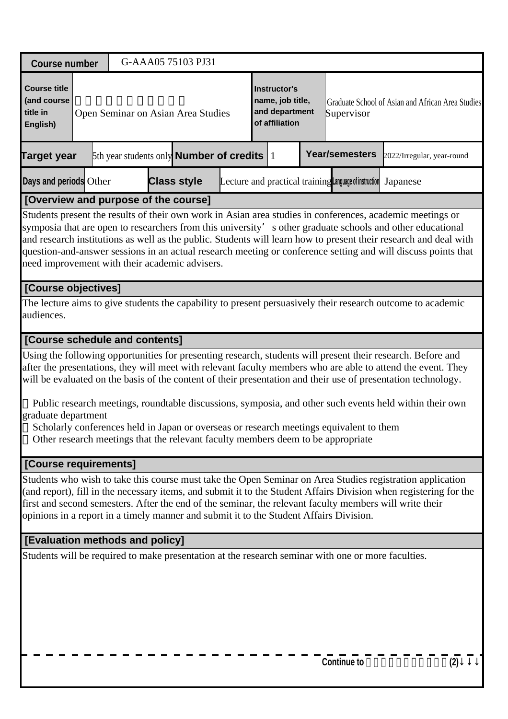| <b>Course number</b>                                                                                                                                                                                                                                                                                                                                                                                                                                                                                           |  | G-AAA05 75103 PJ31                                        |  |                                                                             |                                                        |                                                   |     |
|----------------------------------------------------------------------------------------------------------------------------------------------------------------------------------------------------------------------------------------------------------------------------------------------------------------------------------------------------------------------------------------------------------------------------------------------------------------------------------------------------------------|--|-----------------------------------------------------------|--|-----------------------------------------------------------------------------|--------------------------------------------------------|---------------------------------------------------|-----|
| <b>Course title</b><br>(and course<br>title in<br>English)                                                                                                                                                                                                                                                                                                                                                                                                                                                     |  | Open Seminar on Asian Area Studies                        |  | <b>Instructor's</b><br>name, job title,<br>and department<br>of affiliation | Supervisor                                             | Graduate School of Asian and African Area Studies |     |
| <b>Target year</b>                                                                                                                                                                                                                                                                                                                                                                                                                                                                                             |  | 5th year students only <b>Number of credits</b> $\vert$ 1 |  |                                                                             | Year/semesters                                         | 2022/Irregular, year-round                        |     |
| Days and periods Other                                                                                                                                                                                                                                                                                                                                                                                                                                                                                         |  | <b>Class style</b>                                        |  |                                                                             | Lecture and practical training Language of instruction | Japanese                                          |     |
| [Overview and purpose of the course]                                                                                                                                                                                                                                                                                                                                                                                                                                                                           |  |                                                           |  |                                                                             |                                                        |                                                   |     |
| Students present the results of their own work in Asian area studies in conferences, academic meetings or<br>symposia that are open to researchers from this university' s other graduate schools and other educational<br>and research institutions as well as the public. Students will learn how to present their research and deal with<br>question-and-answer sessions in an actual research meeting or conference setting and will discuss points that<br>need improvement with their academic advisers. |  |                                                           |  |                                                                             |                                                        |                                                   |     |
| [Course objectives]                                                                                                                                                                                                                                                                                                                                                                                                                                                                                            |  |                                                           |  |                                                                             |                                                        |                                                   |     |
| The lecture aims to give students the capability to present persuasively their research outcome to academic<br>audiences.                                                                                                                                                                                                                                                                                                                                                                                      |  |                                                           |  |                                                                             |                                                        |                                                   |     |
| [Course schedule and contents]                                                                                                                                                                                                                                                                                                                                                                                                                                                                                 |  |                                                           |  |                                                                             |                                                        |                                                   |     |
| Using the following opportunities for presenting research, students will present their research. Before and<br>after the presentations, they will meet with relevant faculty members who are able to attend the event. They<br>will be evaluated on the basis of the content of their presentation and their use of presentation technology.<br>Public research meetings, roundtable discussions, symposia, and other such events held within their own                                                        |  |                                                           |  |                                                                             |                                                        |                                                   |     |
| graduate department<br>Scholarly conferences held in Japan or overseas or research meetings equivalent to them<br>Other research meetings that the relevant faculty members deem to be appropriate                                                                                                                                                                                                                                                                                                             |  |                                                           |  |                                                                             |                                                        |                                                   |     |
| [Course requirements]                                                                                                                                                                                                                                                                                                                                                                                                                                                                                          |  |                                                           |  |                                                                             |                                                        |                                                   |     |
| Students who wish to take this course must take the Open Seminar on Area Studies registration application<br>(and report), fill in the necessary items, and submit it to the Student Affairs Division when registering for the<br>first and second semesters. After the end of the seminar, the relevant faculty members will write their<br>opinions in a report in a timely manner and submit it to the Student Affairs Division.                                                                            |  |                                                           |  |                                                                             |                                                        |                                                   |     |
| [Evaluation methods and policy]                                                                                                                                                                                                                                                                                                                                                                                                                                                                                |  |                                                           |  |                                                                             |                                                        |                                                   |     |
| Students will be required to make presentation at the research seminar with one or more faculties.                                                                                                                                                                                                                                                                                                                                                                                                             |  |                                                           |  |                                                                             |                                                        |                                                   |     |
|                                                                                                                                                                                                                                                                                                                                                                                                                                                                                                                |  |                                                           |  |                                                                             | <b>Continue to</b>                                     |                                                   | (2) |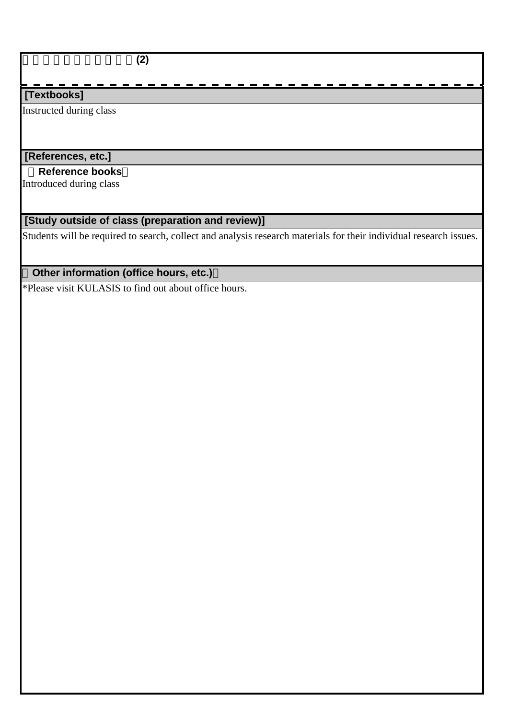アジア地域研究公開演習**(2)**

### **[Textbooks]**

Instructed during class

## **[References, etc.]**

#### **Reference books**

Introduced during class

## **[Study outside of class (preparation and review)]**

Students will be required to search, collect and analysis research materials for their individual research issues.

## **Other information (office hours, etc.)**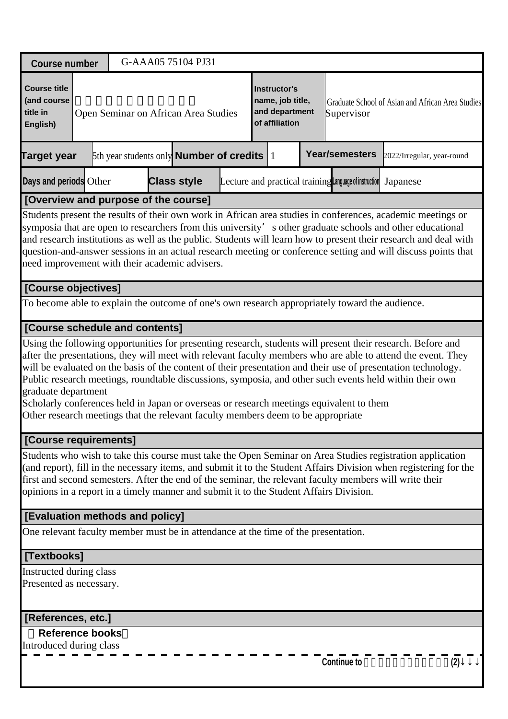| <b>Course number</b>                                                                                                                                                                               |  | G-AAA05 75104 PJ31                                    |  |                                                                             |                                                        |                                                                                                                                                                                                                                                                                                                                                                                                                                                                |
|----------------------------------------------------------------------------------------------------------------------------------------------------------------------------------------------------|--|-------------------------------------------------------|--|-----------------------------------------------------------------------------|--------------------------------------------------------|----------------------------------------------------------------------------------------------------------------------------------------------------------------------------------------------------------------------------------------------------------------------------------------------------------------------------------------------------------------------------------------------------------------------------------------------------------------|
| <b>Course title</b><br>(and course<br>title in<br>English)                                                                                                                                         |  | Open Seminar on African Area Studies                  |  | <b>Instructor's</b><br>name, job title,<br>and department<br>of affiliation | Supervisor                                             | Graduate School of Asian and African Area Studies                                                                                                                                                                                                                                                                                                                                                                                                              |
| <b>Target year</b>                                                                                                                                                                                 |  | 5th year students only <b>Number of credits</b> $ 1 $ |  |                                                                             | <b>Year/semesters</b>                                  | 2022/Irregular, year-round                                                                                                                                                                                                                                                                                                                                                                                                                                     |
| Days and periods Other                                                                                                                                                                             |  | <b>Class style</b>                                    |  |                                                                             | Lecture and practical training Language of instruction | Japanese                                                                                                                                                                                                                                                                                                                                                                                                                                                       |
| [Overview and purpose of the course]                                                                                                                                                               |  |                                                       |  |                                                                             |                                                        |                                                                                                                                                                                                                                                                                                                                                                                                                                                                |
| need improvement with their academic advisers.                                                                                                                                                     |  |                                                       |  |                                                                             |                                                        | Students present the results of their own work in African area studies in conferences, academic meetings or<br>symposia that are open to researchers from this university' s other graduate schools and other educational<br>and research institutions as well as the public. Students will learn how to present their research and deal with<br>question-and-answer sessions in an actual research meeting or conference setting and will discuss points that |
| [Course objectives]                                                                                                                                                                                |  |                                                       |  |                                                                             |                                                        |                                                                                                                                                                                                                                                                                                                                                                                                                                                                |
| To become able to explain the outcome of one's own research appropriately toward the audience.                                                                                                     |  |                                                       |  |                                                                             |                                                        |                                                                                                                                                                                                                                                                                                                                                                                                                                                                |
| [Course schedule and contents]                                                                                                                                                                     |  |                                                       |  |                                                                             |                                                        |                                                                                                                                                                                                                                                                                                                                                                                                                                                                |
| graduate department<br>Scholarly conferences held in Japan or overseas or research meetings equivalent to them<br>Other research meetings that the relevant faculty members deem to be appropriate |  |                                                       |  |                                                                             |                                                        | Using the following opportunities for presenting research, students will present their research. Before and<br>after the presentations, they will meet with relevant faculty members who are able to attend the event. They<br>will be evaluated on the basis of the content of their presentation and their use of presentation technology.<br>Public research meetings, roundtable discussions, symposia, and other such events held within their own        |
| [Course requirements]                                                                                                                                                                              |  |                                                       |  |                                                                             |                                                        |                                                                                                                                                                                                                                                                                                                                                                                                                                                                |
| opinions in a report in a timely manner and submit it to the Student Affairs Division.                                                                                                             |  |                                                       |  |                                                                             |                                                        | Students who wish to take this course must take the Open Seminar on Area Studies registration application<br>(and report), fill in the necessary items, and submit it to the Student Affairs Division when registering for the<br>first and second semesters. After the end of the seminar, the relevant faculty members will write their                                                                                                                      |
| [Evaluation methods and policy]                                                                                                                                                                    |  |                                                       |  |                                                                             |                                                        |                                                                                                                                                                                                                                                                                                                                                                                                                                                                |
| One relevant faculty member must be in attendance at the time of the presentation.                                                                                                                 |  |                                                       |  |                                                                             |                                                        |                                                                                                                                                                                                                                                                                                                                                                                                                                                                |
| [Textbooks]                                                                                                                                                                                        |  |                                                       |  |                                                                             |                                                        |                                                                                                                                                                                                                                                                                                                                                                                                                                                                |
| Instructed during class<br>Presented as necessary.                                                                                                                                                 |  |                                                       |  |                                                                             |                                                        |                                                                                                                                                                                                                                                                                                                                                                                                                                                                |
| [References, etc.]                                                                                                                                                                                 |  |                                                       |  |                                                                             |                                                        |                                                                                                                                                                                                                                                                                                                                                                                                                                                                |
| <b>Reference books</b><br>Introduced during class                                                                                                                                                  |  |                                                       |  |                                                                             |                                                        |                                                                                                                                                                                                                                                                                                                                                                                                                                                                |
|                                                                                                                                                                                                    |  |                                                       |  |                                                                             | <b>Continue to</b>                                     | (2)                                                                                                                                                                                                                                                                                                                                                                                                                                                            |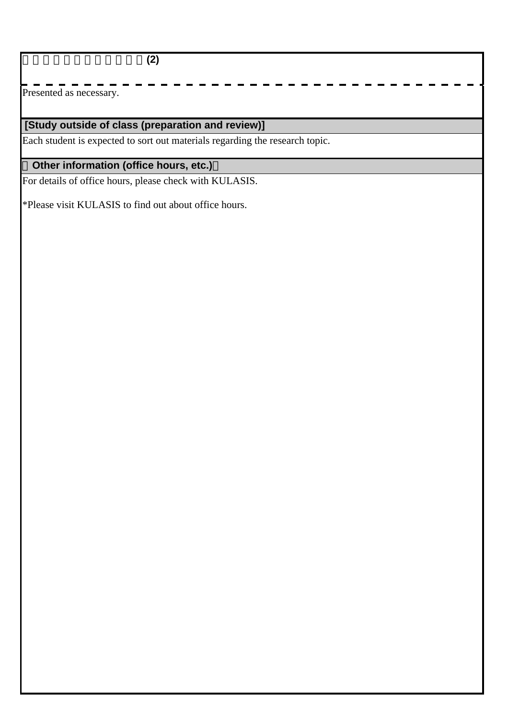アフリカ地域研究公開演習**(2)**

 $\overline{\text{Presented}}$  as necessary.

# **[Study outside of class (preparation and review)]**

Each student is expected to sort out materials regarding the research topic.

# **Other information (office hours, etc.)**

For details of office hours, please check with KULASIS.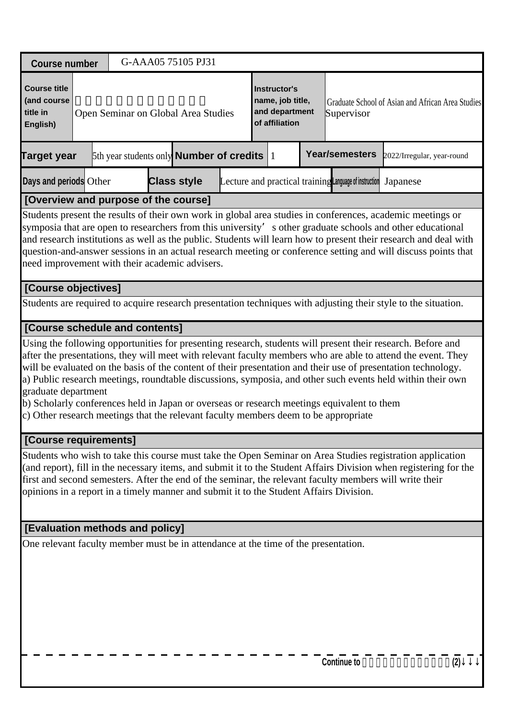| <b>Course number</b>                                                                                                                                                                                     | G-AAA05 75105 PJ31                                    |                                                                             |                                                        |                                                                                                                                                                                                                                                                                                                                                                                                                                                               |
|----------------------------------------------------------------------------------------------------------------------------------------------------------------------------------------------------------|-------------------------------------------------------|-----------------------------------------------------------------------------|--------------------------------------------------------|---------------------------------------------------------------------------------------------------------------------------------------------------------------------------------------------------------------------------------------------------------------------------------------------------------------------------------------------------------------------------------------------------------------------------------------------------------------|
| <b>Course title</b><br>(and course<br>title in<br>English)                                                                                                                                               | Open Seminar on Global Area Studies                   | <b>Instructor's</b><br>name, job title,<br>and department<br>of affiliation | Supervisor                                             | Graduate School of Asian and African Area Studies                                                                                                                                                                                                                                                                                                                                                                                                             |
| <b>Target year</b>                                                                                                                                                                                       | 5th year students only <b>Number of credits</b> $ 1 $ |                                                                             | Year/semesters                                         | 2022/Irregular, year-round                                                                                                                                                                                                                                                                                                                                                                                                                                    |
| Days and periods Other                                                                                                                                                                                   | <b>Class style</b>                                    |                                                                             | Lecture and practical training Language of instruction | Japanese                                                                                                                                                                                                                                                                                                                                                                                                                                                      |
| [Overview and purpose of the course]                                                                                                                                                                     |                                                       |                                                                             |                                                        |                                                                                                                                                                                                                                                                                                                                                                                                                                                               |
| need improvement with their academic advisers.                                                                                                                                                           |                                                       |                                                                             |                                                        | Students present the results of their own work in global area studies in conferences, academic meetings or<br>symposia that are open to researchers from this university' s other graduate schools and other educational<br>and research institutions as well as the public. Students will learn how to present their research and deal with<br>question-and-answer sessions in an actual research meeting or conference setting and will discuss points that |
| [Course objectives]                                                                                                                                                                                      |                                                       |                                                                             |                                                        |                                                                                                                                                                                                                                                                                                                                                                                                                                                               |
|                                                                                                                                                                                                          |                                                       |                                                                             |                                                        | Students are required to acquire research presentation techniques with adjusting their style to the situation.                                                                                                                                                                                                                                                                                                                                                |
| [Course schedule and contents]                                                                                                                                                                           |                                                       |                                                                             |                                                        |                                                                                                                                                                                                                                                                                                                                                                                                                                                               |
| graduate department<br>b) Scholarly conferences held in Japan or overseas or research meetings equivalent to them<br>c) Other research meetings that the relevant faculty members deem to be appropriate |                                                       |                                                                             |                                                        | Using the following opportunities for presenting research, students will present their research. Before and<br>after the presentations, they will meet with relevant faculty members who are able to attend the event. They<br>will be evaluated on the basis of the content of their presentation and their use of presentation technology.<br>a) Public research meetings, roundtable discussions, symposia, and other such events held within their own    |
| [Course requirements]                                                                                                                                                                                    |                                                       |                                                                             |                                                        |                                                                                                                                                                                                                                                                                                                                                                                                                                                               |
| first and second semesters. After the end of the seminar, the relevant faculty members will write their<br>opinions in a report in a timely manner and submit it to the Student Affairs Division.        |                                                       |                                                                             |                                                        | Students who wish to take this course must take the Open Seminar on Area Studies registration application<br>(and report), fill in the necessary items, and submit it to the Student Affairs Division when registering for the                                                                                                                                                                                                                                |
| [Evaluation methods and policy]                                                                                                                                                                          |                                                       |                                                                             |                                                        |                                                                                                                                                                                                                                                                                                                                                                                                                                                               |
| One relevant faculty member must be in attendance at the time of the presentation.                                                                                                                       |                                                       |                                                                             | <b>Continue to</b>                                     |                                                                                                                                                                                                                                                                                                                                                                                                                                                               |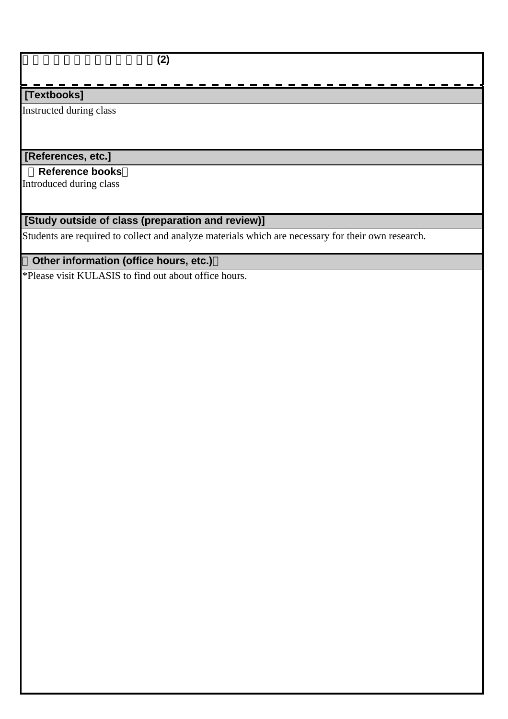$\overline{(2)}$ 

### **[Textbooks]**

Instructed during class

## **[References, etc.]**

#### **Reference books**

Introduced during class

## **[Study outside of class (preparation and review)]**

Students are required to collect and analyze materials which are necessary for their own research.

## **Other information (office hours, etc.)**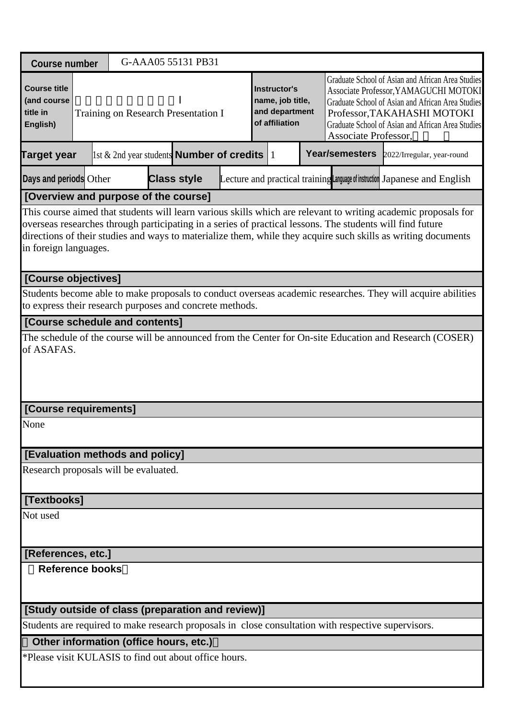| <b>Course number</b>                                       |  |  | G-AAA05 55131 PB31                                         |  |                                                                             |                                                                                                                                                                                                                                                             |                                                                                                                                                                                                                                                                                                                                              |  |
|------------------------------------------------------------|--|--|------------------------------------------------------------|--|-----------------------------------------------------------------------------|-------------------------------------------------------------------------------------------------------------------------------------------------------------------------------------------------------------------------------------------------------------|----------------------------------------------------------------------------------------------------------------------------------------------------------------------------------------------------------------------------------------------------------------------------------------------------------------------------------------------|--|
| <b>Course title</b><br>(and course<br>title in<br>English) |  |  | Training on Research Presentation I                        |  | <b>Instructor's</b><br>name, job title,<br>and department<br>of affiliation | Graduate School of Asian and African Area Studies<br>Associate Professor, YAMAGUCHI MOTOKI<br>Graduate School of Asian and African Area Studies<br>Professor, TAKAHASHI MOTOKI<br>Graduate School of Asian and African Area Studies<br>Associate Professor, |                                                                                                                                                                                                                                                                                                                                              |  |
| <b>Target year</b>                                         |  |  | $\vert$ 1st & 2nd year students <b>Number of credits</b> 1 |  |                                                                             | Year/semesters                                                                                                                                                                                                                                              | 2022/Irregular, year-round                                                                                                                                                                                                                                                                                                                   |  |
| Days and periods Other                                     |  |  | <b>Class style</b>                                         |  |                                                                             |                                                                                                                                                                                                                                                             | Lecture and practical training Language of instruction Japanese and English                                                                                                                                                                                                                                                                  |  |
| [Overview and purpose of the course]                       |  |  |                                                            |  |                                                                             |                                                                                                                                                                                                                                                             |                                                                                                                                                                                                                                                                                                                                              |  |
| in foreign languages.                                      |  |  |                                                            |  |                                                                             |                                                                                                                                                                                                                                                             | This course aimed that students will learn various skills which are relevant to writing academic proposals for<br>overseas researches through participating in a series of practical lessons. The students will find future<br>directions of their studies and ways to materialize them, while they acquire such skills as writing documents |  |
| [Course objectives]                                        |  |  |                                                            |  |                                                                             |                                                                                                                                                                                                                                                             |                                                                                                                                                                                                                                                                                                                                              |  |
| to express their research purposes and concrete methods.   |  |  |                                                            |  |                                                                             |                                                                                                                                                                                                                                                             | Students become able to make proposals to conduct overseas academic researches. They will acquire abilities                                                                                                                                                                                                                                  |  |
| [Course schedule and contents]                             |  |  |                                                            |  |                                                                             |                                                                                                                                                                                                                                                             |                                                                                                                                                                                                                                                                                                                                              |  |
| of ASAFAS.                                                 |  |  |                                                            |  |                                                                             |                                                                                                                                                                                                                                                             | The schedule of the course will be announced from the Center for On-site Education and Research (COSER)                                                                                                                                                                                                                                      |  |
| [Course requirements]                                      |  |  |                                                            |  |                                                                             |                                                                                                                                                                                                                                                             |                                                                                                                                                                                                                                                                                                                                              |  |
| None                                                       |  |  |                                                            |  |                                                                             |                                                                                                                                                                                                                                                             |                                                                                                                                                                                                                                                                                                                                              |  |
| <b>[Evaluation methods and policy]</b>                     |  |  |                                                            |  |                                                                             |                                                                                                                                                                                                                                                             |                                                                                                                                                                                                                                                                                                                                              |  |
| Research proposals will be evaluated.                      |  |  |                                                            |  |                                                                             |                                                                                                                                                                                                                                                             |                                                                                                                                                                                                                                                                                                                                              |  |
| [Textbooks]                                                |  |  |                                                            |  |                                                                             |                                                                                                                                                                                                                                                             |                                                                                                                                                                                                                                                                                                                                              |  |
| Not used                                                   |  |  |                                                            |  |                                                                             |                                                                                                                                                                                                                                                             |                                                                                                                                                                                                                                                                                                                                              |  |
| [References, etc.]                                         |  |  |                                                            |  |                                                                             |                                                                                                                                                                                                                                                             |                                                                                                                                                                                                                                                                                                                                              |  |
| <b>Reference books</b>                                     |  |  |                                                            |  |                                                                             |                                                                                                                                                                                                                                                             |                                                                                                                                                                                                                                                                                                                                              |  |
| [Study outside of class (preparation and review)]          |  |  |                                                            |  |                                                                             |                                                                                                                                                                                                                                                             |                                                                                                                                                                                                                                                                                                                                              |  |
|                                                            |  |  |                                                            |  |                                                                             | Students are required to make research proposals in close consultation with respective supervisors.                                                                                                                                                         |                                                                                                                                                                                                                                                                                                                                              |  |
| Other information (office hours, etc.)                     |  |  |                                                            |  |                                                                             |                                                                                                                                                                                                                                                             |                                                                                                                                                                                                                                                                                                                                              |  |
| *Please visit KULASIS to find out about office hours.      |  |  |                                                            |  |                                                                             |                                                                                                                                                                                                                                                             |                                                                                                                                                                                                                                                                                                                                              |  |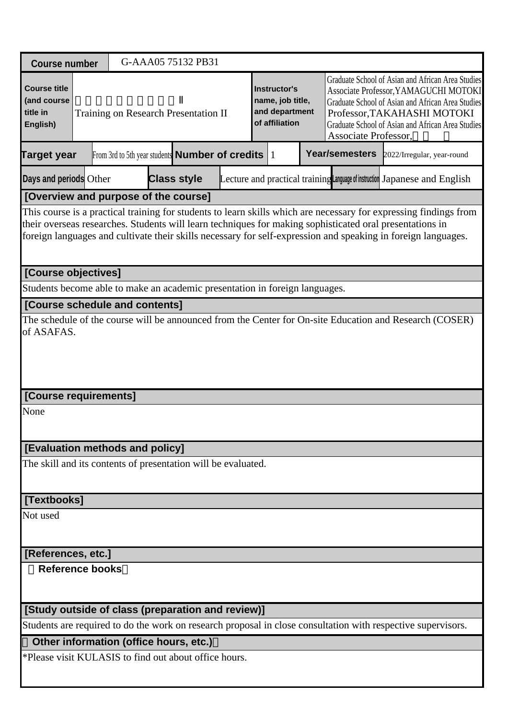| <b>Course number</b>                                                        |                        |  |                                      | G-AAA05 75132 PB31                                                          |  |  |                                                                                                                                                                                                                                                             |                |                                                                                                                                                                                                                                                                                                                                                |
|-----------------------------------------------------------------------------|------------------------|--|--------------------------------------|-----------------------------------------------------------------------------|--|--|-------------------------------------------------------------------------------------------------------------------------------------------------------------------------------------------------------------------------------------------------------------|----------------|------------------------------------------------------------------------------------------------------------------------------------------------------------------------------------------------------------------------------------------------------------------------------------------------------------------------------------------------|
| <b>Course title</b><br>(and course<br>title in<br>English)                  |                        |  | Training on Research Presentation II | <b>Instructor's</b><br>name, job title,<br>and department<br>of affiliation |  |  | Graduate School of Asian and African Area Studies<br>Associate Professor, YAMAGUCHI MOTOKI<br>Graduate School of Asian and African Area Studies<br>Professor, TAKAHASHI MOTOKI<br>Graduate School of Asian and African Area Studies<br>Associate Professor, |                |                                                                                                                                                                                                                                                                                                                                                |
| <b>Target year</b>                                                          |                        |  |                                      | From 3rd to 5th year students <b>Number of credits</b> $ 1 $                |  |  |                                                                                                                                                                                                                                                             | Year/semesters | 2022/Irregular, year-round                                                                                                                                                                                                                                                                                                                     |
| Days and periods Other                                                      |                        |  |                                      | <b>Class style</b>                                                          |  |  |                                                                                                                                                                                                                                                             |                | Lecture and practical training Language of instruction Japanese and English                                                                                                                                                                                                                                                                    |
| [Overview and purpose of the course]                                        |                        |  |                                      |                                                                             |  |  |                                                                                                                                                                                                                                                             |                |                                                                                                                                                                                                                                                                                                                                                |
|                                                                             |                        |  |                                      |                                                                             |  |  |                                                                                                                                                                                                                                                             |                | This course is a practical training for students to learn skills which are necessary for expressing findings from<br>their overseas researches. Students will learn techniques for making sophisticated oral presentations in<br>foreign languages and cultivate their skills necessary for self-expression and speaking in foreign languages. |
| [Course objectives]                                                         |                        |  |                                      |                                                                             |  |  |                                                                                                                                                                                                                                                             |                |                                                                                                                                                                                                                                                                                                                                                |
| Students become able to make an academic presentation in foreign languages. |                        |  |                                      |                                                                             |  |  |                                                                                                                                                                                                                                                             |                |                                                                                                                                                                                                                                                                                                                                                |
| [Course schedule and contents]                                              |                        |  |                                      |                                                                             |  |  |                                                                                                                                                                                                                                                             |                |                                                                                                                                                                                                                                                                                                                                                |
| of ASAFAS.                                                                  |                        |  |                                      |                                                                             |  |  |                                                                                                                                                                                                                                                             |                | The schedule of the course will be announced from the Center for On-site Education and Research (COSER)                                                                                                                                                                                                                                        |
| [Course requirements]                                                       |                        |  |                                      |                                                                             |  |  |                                                                                                                                                                                                                                                             |                |                                                                                                                                                                                                                                                                                                                                                |
| None                                                                        |                        |  |                                      |                                                                             |  |  |                                                                                                                                                                                                                                                             |                |                                                                                                                                                                                                                                                                                                                                                |
| <b>[Evaluation methods and policy]</b>                                      |                        |  |                                      |                                                                             |  |  |                                                                                                                                                                                                                                                             |                |                                                                                                                                                                                                                                                                                                                                                |
| The skill and its contents of presentation will be evaluated.               |                        |  |                                      |                                                                             |  |  |                                                                                                                                                                                                                                                             |                |                                                                                                                                                                                                                                                                                                                                                |
| [Textbooks]                                                                 |                        |  |                                      |                                                                             |  |  |                                                                                                                                                                                                                                                             |                |                                                                                                                                                                                                                                                                                                                                                |
| Not used                                                                    |                        |  |                                      |                                                                             |  |  |                                                                                                                                                                                                                                                             |                |                                                                                                                                                                                                                                                                                                                                                |
| [References, etc.]                                                          |                        |  |                                      |                                                                             |  |  |                                                                                                                                                                                                                                                             |                |                                                                                                                                                                                                                                                                                                                                                |
|                                                                             | <b>Reference books</b> |  |                                      |                                                                             |  |  |                                                                                                                                                                                                                                                             |                |                                                                                                                                                                                                                                                                                                                                                |
| [Study outside of class (preparation and review)]                           |                        |  |                                      |                                                                             |  |  |                                                                                                                                                                                                                                                             |                |                                                                                                                                                                                                                                                                                                                                                |
|                                                                             |                        |  |                                      |                                                                             |  |  |                                                                                                                                                                                                                                                             |                | Students are required to do the work on research proposal in close consultation with respective supervisors.                                                                                                                                                                                                                                   |
| Other information (office hours, etc.)                                      |                        |  |                                      |                                                                             |  |  |                                                                                                                                                                                                                                                             |                |                                                                                                                                                                                                                                                                                                                                                |
| *Please visit KULASIS to find out about office hours.                       |                        |  |                                      |                                                                             |  |  |                                                                                                                                                                                                                                                             |                |                                                                                                                                                                                                                                                                                                                                                |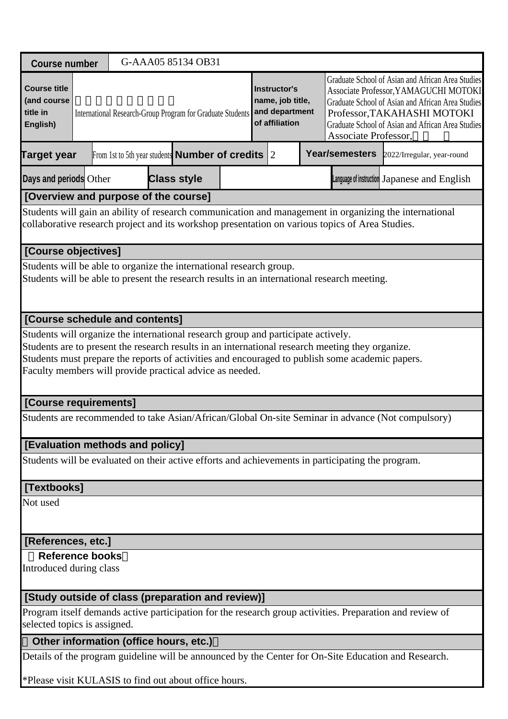| <b>Course number</b>                                       |  | G-AAA05 85134 OB31                                                                                                                                                                                                                                              |                                                                      |  |  |                                                                                                                                                                                                                                                             |                                                                                                          |  |
|------------------------------------------------------------|--|-----------------------------------------------------------------------------------------------------------------------------------------------------------------------------------------------------------------------------------------------------------------|----------------------------------------------------------------------|--|--|-------------------------------------------------------------------------------------------------------------------------------------------------------------------------------------------------------------------------------------------------------------|----------------------------------------------------------------------------------------------------------|--|
| <b>Course title</b><br>(and course<br>title in<br>English) |  | International Research-Group Program for Graduate Students                                                                                                                                                                                                      | Instructor's<br>name, job title,<br>and department<br>of affiliation |  |  | Graduate School of Asian and African Area Studies<br>Associate Professor, YAMAGUCHI MOTOKI<br>Graduate School of Asian and African Area Studies<br>Professor, TAKAHASHI MOTOKI<br>Graduate School of Asian and African Area Studies<br>Associate Professor, |                                                                                                          |  |
| <b>Target year</b>                                         |  | From 1st to 5th year students <b>Number of credits</b> $ 2 $                                                                                                                                                                                                    |                                                                      |  |  | Year/semesters                                                                                                                                                                                                                                              | 2022/Irregular, year-round                                                                               |  |
| Days and periods Other                                     |  | <b>Class style</b>                                                                                                                                                                                                                                              |                                                                      |  |  |                                                                                                                                                                                                                                                             | Language of instruction Japanese and English                                                             |  |
|                                                            |  | [Overview and purpose of the course]                                                                                                                                                                                                                            |                                                                      |  |  |                                                                                                                                                                                                                                                             |                                                                                                          |  |
|                                                            |  | collaborative research project and its workshop presentation on various topics of Area Studies.                                                                                                                                                                 |                                                                      |  |  |                                                                                                                                                                                                                                                             | Students will gain an ability of research communication and management in organizing the international   |  |
| [Course objectives]                                        |  |                                                                                                                                                                                                                                                                 |                                                                      |  |  |                                                                                                                                                                                                                                                             |                                                                                                          |  |
|                                                            |  | Students will be able to organize the international research group.<br>Students will be able to present the research results in an international research meeting.                                                                                              |                                                                      |  |  |                                                                                                                                                                                                                                                             |                                                                                                          |  |
| [Course schedule and contents]                             |  |                                                                                                                                                                                                                                                                 |                                                                      |  |  |                                                                                                                                                                                                                                                             |                                                                                                          |  |
|                                                            |  | Students are to present the research results in an international research meeting they organize.<br>Students must prepare the reports of activities and encouraged to publish some academic papers.<br>Faculty members will provide practical advice as needed. |                                                                      |  |  |                                                                                                                                                                                                                                                             |                                                                                                          |  |
| [Course requirements]                                      |  |                                                                                                                                                                                                                                                                 |                                                                      |  |  |                                                                                                                                                                                                                                                             |                                                                                                          |  |
|                                                            |  |                                                                                                                                                                                                                                                                 |                                                                      |  |  |                                                                                                                                                                                                                                                             | Students are recommended to take Asian/African/Global On-site Seminar in advance (Not compulsory)        |  |
| <b>[Evaluation methods and policy]</b>                     |  |                                                                                                                                                                                                                                                                 |                                                                      |  |  |                                                                                                                                                                                                                                                             |                                                                                                          |  |
|                                                            |  | Students will be evaluated on their active efforts and achievements in participating the program.                                                                                                                                                               |                                                                      |  |  |                                                                                                                                                                                                                                                             |                                                                                                          |  |
| [Textbooks]                                                |  |                                                                                                                                                                                                                                                                 |                                                                      |  |  |                                                                                                                                                                                                                                                             |                                                                                                          |  |
| Not used                                                   |  |                                                                                                                                                                                                                                                                 |                                                                      |  |  |                                                                                                                                                                                                                                                             |                                                                                                          |  |
| [References, etc.]                                         |  |                                                                                                                                                                                                                                                                 |                                                                      |  |  |                                                                                                                                                                                                                                                             |                                                                                                          |  |
| <b>Reference books</b><br>Introduced during class          |  |                                                                                                                                                                                                                                                                 |                                                                      |  |  |                                                                                                                                                                                                                                                             |                                                                                                          |  |
|                                                            |  | [Study outside of class (preparation and review)]                                                                                                                                                                                                               |                                                                      |  |  |                                                                                                                                                                                                                                                             |                                                                                                          |  |
| selected topics is assigned.                               |  |                                                                                                                                                                                                                                                                 |                                                                      |  |  |                                                                                                                                                                                                                                                             | Program itself demands active participation for the research group activities. Preparation and review of |  |
|                                                            |  | Other information (office hours, etc.)                                                                                                                                                                                                                          |                                                                      |  |  |                                                                                                                                                                                                                                                             |                                                                                                          |  |
|                                                            |  |                                                                                                                                                                                                                                                                 |                                                                      |  |  |                                                                                                                                                                                                                                                             | Details of the program guideline will be announced by the Center for On-Site Education and Research.     |  |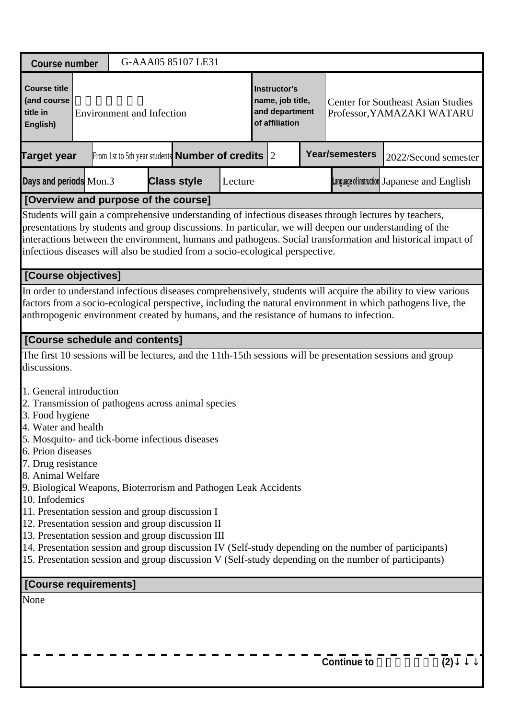| <b>Course number</b>                                                                                                                                                                                                                                                                                                                                                               |                                  | G-AAA05 85107 LE31                                           |         |                                                                             |                                                                                         |                                                                                                                                                                                                                                                                                                                                |     |
|------------------------------------------------------------------------------------------------------------------------------------------------------------------------------------------------------------------------------------------------------------------------------------------------------------------------------------------------------------------------------------|----------------------------------|--------------------------------------------------------------|---------|-----------------------------------------------------------------------------|-----------------------------------------------------------------------------------------|--------------------------------------------------------------------------------------------------------------------------------------------------------------------------------------------------------------------------------------------------------------------------------------------------------------------------------|-----|
| <b>Course title</b><br>(and course<br>title in<br>English)                                                                                                                                                                                                                                                                                                                         | <b>Environment and Infection</b> |                                                              |         | <b>Instructor's</b><br>name, job title,<br>and department<br>of affiliation |                                                                                         | <b>Center for Southeast Asian Studies</b><br>Professor, YAMAZAKI WATARU                                                                                                                                                                                                                                                        |     |
| <b>Target year</b>                                                                                                                                                                                                                                                                                                                                                                 |                                  | From 1st to 5th year students <b>Number of credits</b> $ 2 $ |         |                                                                             | <b>Year/semesters</b>                                                                   | 2022/Second semester                                                                                                                                                                                                                                                                                                           |     |
| Days and periods Mon.3                                                                                                                                                                                                                                                                                                                                                             |                                  | <b>Class style</b>                                           | Lecture |                                                                             |                                                                                         | Language of instruction Japanese and English                                                                                                                                                                                                                                                                                   |     |
| [Overview and purpose of the course]                                                                                                                                                                                                                                                                                                                                               |                                  |                                                              |         |                                                                             |                                                                                         |                                                                                                                                                                                                                                                                                                                                |     |
| infectious diseases will also be studied from a socio-ecological perspective.                                                                                                                                                                                                                                                                                                      |                                  |                                                              |         |                                                                             |                                                                                         | Students will gain a comprehensive understanding of infectious diseases through lectures by teachers,<br>presentations by students and group discussions. In particular, we will deepen our understanding of the<br>interactions between the environment, humans and pathogens. Social transformation and historical impact of |     |
| [Course objectives]                                                                                                                                                                                                                                                                                                                                                                |                                  |                                                              |         |                                                                             |                                                                                         |                                                                                                                                                                                                                                                                                                                                |     |
|                                                                                                                                                                                                                                                                                                                                                                                    |                                  |                                                              |         |                                                                             | anthropogenic environment created by humans, and the resistance of humans to infection. | In order to understand infectious diseases comprehensively, students will acquire the ability to view various<br>factors from a socio-ecological perspective, including the natural environment in which pathogens live, the                                                                                                   |     |
| [Course schedule and contents]                                                                                                                                                                                                                                                                                                                                                     |                                  |                                                              |         |                                                                             |                                                                                         |                                                                                                                                                                                                                                                                                                                                |     |
| discussions.                                                                                                                                                                                                                                                                                                                                                                       |                                  |                                                              |         |                                                                             |                                                                                         | The first 10 sessions will be lectures, and the 11th-15th sessions will be presentation sessions and group                                                                                                                                                                                                                     |     |
| 1. General introduction<br>2. Transmission of pathogens across animal species<br>3. Food hygiene<br>4. Water and health<br>5. Mosquito- and tick-borne infectious diseases<br>6. Prion diseases<br>7. Drug resistance<br>8. Animal Welfare<br>9. Biological Weapons, Bioterrorism and Pathogen Leak Accidents<br>10. Infodemics<br>11. Presentation session and group discussion I |                                  |                                                              |         |                                                                             |                                                                                         |                                                                                                                                                                                                                                                                                                                                |     |
| 12. Presentation session and group discussion II<br>13. Presentation session and group discussion III                                                                                                                                                                                                                                                                              |                                  |                                                              |         |                                                                             |                                                                                         | 14. Presentation session and group discussion IV (Self-study depending on the number of participants)<br>15. Presentation session and group discussion V (Self-study depending on the number of participants)                                                                                                                  |     |
| [Course requirements]                                                                                                                                                                                                                                                                                                                                                              |                                  |                                                              |         |                                                                             |                                                                                         |                                                                                                                                                                                                                                                                                                                                |     |
| None                                                                                                                                                                                                                                                                                                                                                                               |                                  |                                                              |         |                                                                             |                                                                                         |                                                                                                                                                                                                                                                                                                                                |     |
|                                                                                                                                                                                                                                                                                                                                                                                    |                                  |                                                              |         |                                                                             | <b>Continue to</b>                                                                      |                                                                                                                                                                                                                                                                                                                                | (2) |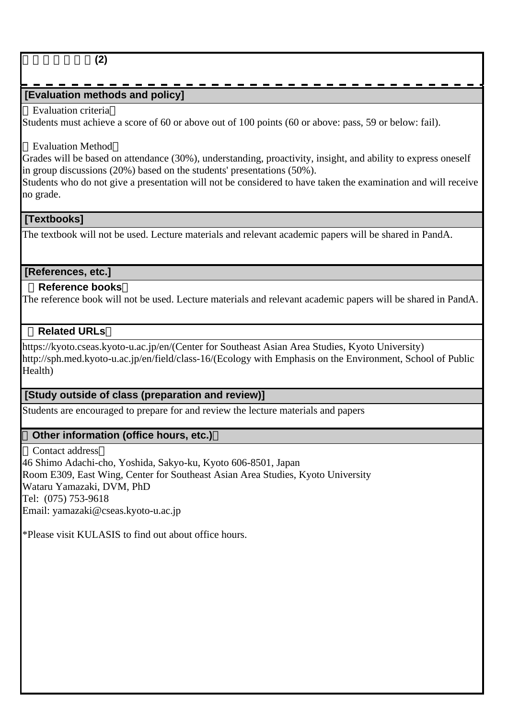### 環境・感染症論**(2)**

## **[Evaluation methods and policy]**

#### Evaluation criteria

Students must achieve a score of 60 or above out of 100 points (60 or above: pass, 59 or below: fail).

#### Evaluation Method

Grades will be based on attendance (30%), understanding, proactivity, insight, and ability to express oneself in group discussions (20%) based on the students' presentations (50%).

Students who do not give a presentation will not be considered to have taken the examination and will receive no grade.

#### **[Textbooks]**

The textbook will not be used. Lecture materials and relevant academic papers will be shared in PandA.

#### **[References, etc.]**

#### **Reference books**

The reference book will not be used. Lecture materials and relevant academic papers will be shared in PandA.

#### **Related URLs**

https://kyoto.cseas.kyoto-u.ac.jp/en/(Center for Southeast Asian Area Studies, Kyoto University) http://sph.med.kyoto-u.ac.jp/en/field/class-16/(Ecology with Emphasis on the Environment, School of Public Health<sup>)</sup>

#### **[Study outside of class (preparation and review)]**

Students are encouraged to prepare for and review the lecture materials and papers

#### **Other information (office hours, etc.)**

Contact address 46 Shimo Adachi-cho, Yoshida, Sakyo-ku, Kyoto 606-8501, Japan Room E309, East Wing, Center for Southeast Asian Area Studies, Kyoto University Wataru Yamazaki, DVM, PhD Tel: (075) 753-9618 Email: yamazaki@cseas.kyoto-u.ac.jp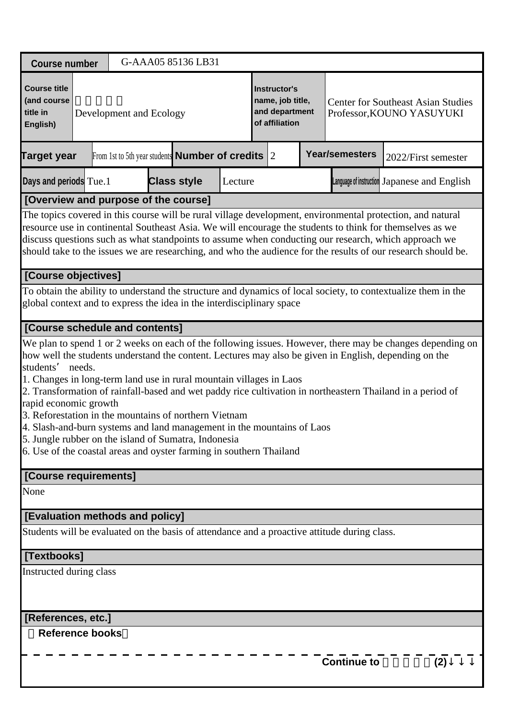| <b>Course number</b>                                                                                                                                                                                                                                                                                                                                                        |        |                                                              | G-AAA05 85136 LB31 |         |                                                                      |                                                                                              |                                                                                                                                                                                                                                                                                                                                                                                                                                                 |  |  |
|-----------------------------------------------------------------------------------------------------------------------------------------------------------------------------------------------------------------------------------------------------------------------------------------------------------------------------------------------------------------------------|--------|--------------------------------------------------------------|--------------------|---------|----------------------------------------------------------------------|----------------------------------------------------------------------------------------------|-------------------------------------------------------------------------------------------------------------------------------------------------------------------------------------------------------------------------------------------------------------------------------------------------------------------------------------------------------------------------------------------------------------------------------------------------|--|--|
| <b>Course title</b><br>(and course<br>title in<br>English)                                                                                                                                                                                                                                                                                                                  |        | Development and Ecology                                      |                    |         | Instructor's<br>name, job title,<br>and department<br>of affiliation |                                                                                              | <b>Center for Southeast Asian Studies</b><br>Professor, KOUNO YASUYUKI                                                                                                                                                                                                                                                                                                                                                                          |  |  |
| <b>Target year</b>                                                                                                                                                                                                                                                                                                                                                          |        | From 1st to 5th year students <b>Number of credits</b> $ 2 $ |                    |         |                                                                      | <b>Year/semesters</b>                                                                        | 2022/First semester                                                                                                                                                                                                                                                                                                                                                                                                                             |  |  |
| Days and periods Tue.1                                                                                                                                                                                                                                                                                                                                                      |        |                                                              | <b>Class style</b> | Lecture |                                                                      |                                                                                              | Language of instruction Japanese and English                                                                                                                                                                                                                                                                                                                                                                                                    |  |  |
| [Overview and purpose of the course]                                                                                                                                                                                                                                                                                                                                        |        |                                                              |                    |         |                                                                      |                                                                                              |                                                                                                                                                                                                                                                                                                                                                                                                                                                 |  |  |
|                                                                                                                                                                                                                                                                                                                                                                             |        |                                                              |                    |         |                                                                      |                                                                                              | The topics covered in this course will be rural village development, environmental protection, and natural<br>resource use in continental Southeast Asia. We will encourage the students to think for themselves as we<br>discuss questions such as what standpoints to assume when conducting our research, which approach we<br>should take to the issues we are researching, and who the audience for the results of our research should be. |  |  |
| [Course objectives]                                                                                                                                                                                                                                                                                                                                                         |        |                                                              |                    |         |                                                                      |                                                                                              |                                                                                                                                                                                                                                                                                                                                                                                                                                                 |  |  |
| global context and to express the idea in the interdisciplinary space                                                                                                                                                                                                                                                                                                       |        |                                                              |                    |         |                                                                      |                                                                                              | To obtain the ability to understand the structure and dynamics of local society, to contextualize them in the                                                                                                                                                                                                                                                                                                                                   |  |  |
| [Course schedule and contents]                                                                                                                                                                                                                                                                                                                                              |        |                                                              |                    |         |                                                                      |                                                                                              |                                                                                                                                                                                                                                                                                                                                                                                                                                                 |  |  |
| students'<br>1. Changes in long-term land use in rural mountain villages in Laos<br>rapid economic growth<br>3. Reforestation in the mountains of northern Vietnam<br>4. Slash-and-burn systems and land management in the mountains of Laos<br>5. Jungle rubber on the island of Sumatra, Indonesia<br>6. Use of the coastal areas and oyster farming in southern Thailand | needs. |                                                              |                    |         |                                                                      |                                                                                              | We plan to spend 1 or 2 weeks on each of the following issues. However, there may be changes depending on<br>how well the students understand the content. Lectures may also be given in English, depending on the<br>2. Transformation of rainfall-based and wet paddy rice cultivation in northeastern Thailand in a period of                                                                                                                |  |  |
| [Course requirements]                                                                                                                                                                                                                                                                                                                                                       |        |                                                              |                    |         |                                                                      |                                                                                              |                                                                                                                                                                                                                                                                                                                                                                                                                                                 |  |  |
| None                                                                                                                                                                                                                                                                                                                                                                        |        |                                                              |                    |         |                                                                      |                                                                                              |                                                                                                                                                                                                                                                                                                                                                                                                                                                 |  |  |
| [Evaluation methods and policy]                                                                                                                                                                                                                                                                                                                                             |        |                                                              |                    |         |                                                                      |                                                                                              |                                                                                                                                                                                                                                                                                                                                                                                                                                                 |  |  |
|                                                                                                                                                                                                                                                                                                                                                                             |        |                                                              |                    |         |                                                                      | Students will be evaluated on the basis of attendance and a proactive attitude during class. |                                                                                                                                                                                                                                                                                                                                                                                                                                                 |  |  |
| [Textbooks]                                                                                                                                                                                                                                                                                                                                                                 |        |                                                              |                    |         |                                                                      |                                                                                              |                                                                                                                                                                                                                                                                                                                                                                                                                                                 |  |  |
| Instructed during class                                                                                                                                                                                                                                                                                                                                                     |        |                                                              |                    |         |                                                                      |                                                                                              |                                                                                                                                                                                                                                                                                                                                                                                                                                                 |  |  |
| [References, etc.]                                                                                                                                                                                                                                                                                                                                                          |        |                                                              |                    |         |                                                                      |                                                                                              |                                                                                                                                                                                                                                                                                                                                                                                                                                                 |  |  |
| <b>Reference books</b>                                                                                                                                                                                                                                                                                                                                                      |        |                                                              |                    |         |                                                                      |                                                                                              |                                                                                                                                                                                                                                                                                                                                                                                                                                                 |  |  |
|                                                                                                                                                                                                                                                                                                                                                                             |        |                                                              |                    |         |                                                                      | <b>Continue to</b>                                                                           | (2)                                                                                                                                                                                                                                                                                                                                                                                                                                             |  |  |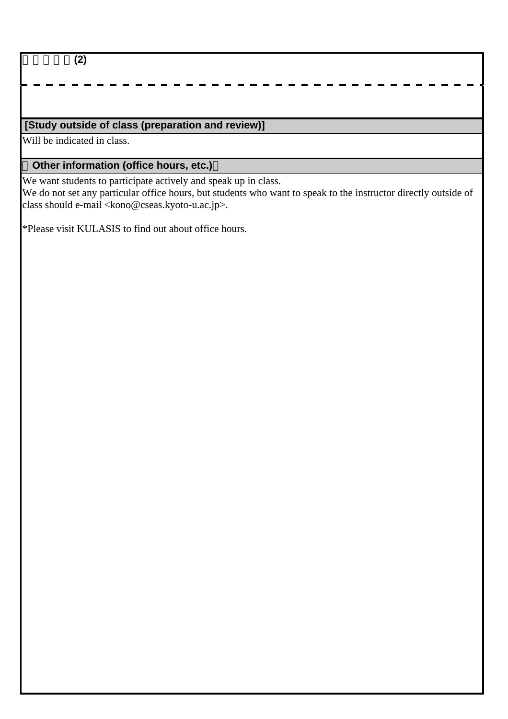開発生態論**(2)**

## **[Study outside of class (preparation and review)]**

Will be indicated in class.

## **Other information (office hours, etc.)**

We want students to participate actively and speak up in class.

We do not set any particular office hours, but students who want to speak to the instructor directly outside of class should e-mail <kono@cseas.kyoto-u.ac.jp>.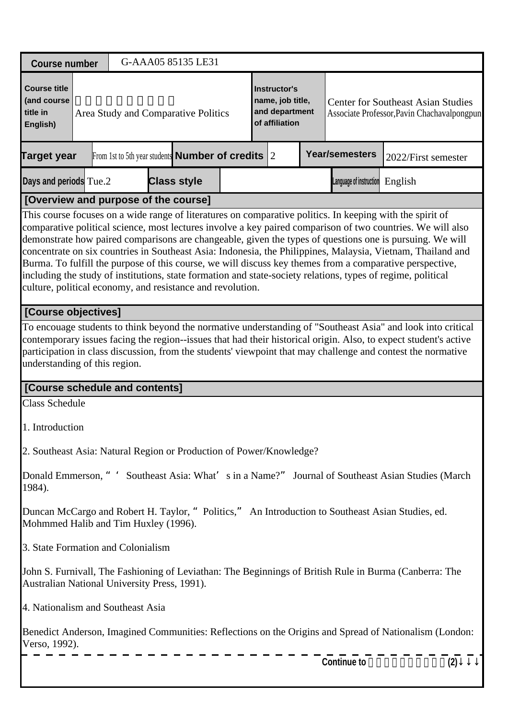| <b>Course number</b>                                                                                                                                                       |                                                          | G-AAA05 85135 LE31 |  |                                                                      |                         |                                                                                                                                                                                                                                                                                                                                                                                                                                                                                                                                                                 |
|----------------------------------------------------------------------------------------------------------------------------------------------------------------------------|----------------------------------------------------------|--------------------|--|----------------------------------------------------------------------|-------------------------|-----------------------------------------------------------------------------------------------------------------------------------------------------------------------------------------------------------------------------------------------------------------------------------------------------------------------------------------------------------------------------------------------------------------------------------------------------------------------------------------------------------------------------------------------------------------|
| <b>Course title</b><br>(and course<br>title in<br>English)                                                                                                                 | Area Study and Comparative Politics                      |                    |  | Instructor's<br>name, job title,<br>and department<br>of affiliation |                         | <b>Center for Southeast Asian Studies</b><br>Associate Professor, Pavin Chachavalpongpun                                                                                                                                                                                                                                                                                                                                                                                                                                                                        |
| <b>Target year</b>                                                                                                                                                         | From 1st to 5th year students <b>Number of credits</b> 2 |                    |  |                                                                      | <b>Year/semesters</b>   | 2022/First semester                                                                                                                                                                                                                                                                                                                                                                                                                                                                                                                                             |
| Days and periods Tue.2                                                                                                                                                     |                                                          | <b>Class style</b> |  |                                                                      | Language of instruction | English                                                                                                                                                                                                                                                                                                                                                                                                                                                                                                                                                         |
| [Overview and purpose of the course]                                                                                                                                       |                                                          |                    |  |                                                                      |                         |                                                                                                                                                                                                                                                                                                                                                                                                                                                                                                                                                                 |
| including the study of institutions, state formation and state-society relations, types of regime, political<br>culture, political economy, and resistance and revolution. |                                                          |                    |  |                                                                      |                         | This course focuses on a wide range of literatures on comparative politics. In keeping with the spirit of<br>comparative political science, most lectures involve a key paired comparison of two countries. We will also<br>demonstrate how paired comparisons are changeable, given the types of questions one is pursuing. We will<br>concentrate on six countries in Southeast Asia: Indonesia, the Philippines, Malaysia, Vietnam, Thailand and<br>Burma. To fulfill the purpose of this course, we will discuss key themes from a comparative perspective, |
| [Course objectives]                                                                                                                                                        |                                                          |                    |  |                                                                      |                         |                                                                                                                                                                                                                                                                                                                                                                                                                                                                                                                                                                 |
| understanding of this region.                                                                                                                                              |                                                          |                    |  |                                                                      |                         | To encouage students to think beyond the normative understanding of "Southeast Asia" and look into critical<br>contemporary issues facing the region--issues that had their historical origin. Also, to expect student's active<br>participation in class discussion, from the students' viewpoint that may challenge and contest the normative                                                                                                                                                                                                                 |
| [Course schedule and contents]                                                                                                                                             |                                                          |                    |  |                                                                      |                         |                                                                                                                                                                                                                                                                                                                                                                                                                                                                                                                                                                 |
| <b>Class Schedule</b>                                                                                                                                                      |                                                          |                    |  |                                                                      |                         |                                                                                                                                                                                                                                                                                                                                                                                                                                                                                                                                                                 |
| 1. Introduction                                                                                                                                                            |                                                          |                    |  |                                                                      |                         |                                                                                                                                                                                                                                                                                                                                                                                                                                                                                                                                                                 |
| 2. Southeast Asia: Natural Region or Production of Power/Knowledge?                                                                                                        |                                                          |                    |  |                                                                      |                         |                                                                                                                                                                                                                                                                                                                                                                                                                                                                                                                                                                 |
| 1984).                                                                                                                                                                     |                                                          |                    |  |                                                                      |                         | Donald Emmerson, " 'Southeast Asia: What' s in a Name?" Journal of Southeast Asian Studies (March                                                                                                                                                                                                                                                                                                                                                                                                                                                               |
| Duncan McCargo and Robert H. Taylor, " Politics," An Introduction to Southeast Asian Studies, ed.<br>Mohmmed Halib and Tim Huxley (1996).                                  |                                                          |                    |  |                                                                      |                         |                                                                                                                                                                                                                                                                                                                                                                                                                                                                                                                                                                 |
| 3. State Formation and Colonialism                                                                                                                                         |                                                          |                    |  |                                                                      |                         |                                                                                                                                                                                                                                                                                                                                                                                                                                                                                                                                                                 |
| Australian National University Press, 1991).                                                                                                                               |                                                          |                    |  |                                                                      |                         | John S. Furnivall, The Fashioning of Leviathan: The Beginnings of British Rule in Burma (Canberra: The                                                                                                                                                                                                                                                                                                                                                                                                                                                          |
| 4. Nationalism and Southeast Asia                                                                                                                                          |                                                          |                    |  |                                                                      |                         |                                                                                                                                                                                                                                                                                                                                                                                                                                                                                                                                                                 |
| Verso, 1992).                                                                                                                                                              |                                                          |                    |  |                                                                      | <b>Continue to</b>      | Benedict Anderson, Imagined Communities: Reflections on the Origins and Spread of Nationalism (London:                                                                                                                                                                                                                                                                                                                                                                                                                                                          |
|                                                                                                                                                                            |                                                          |                    |  |                                                                      |                         | (2)                                                                                                                                                                                                                                                                                                                                                                                                                                                                                                                                                             |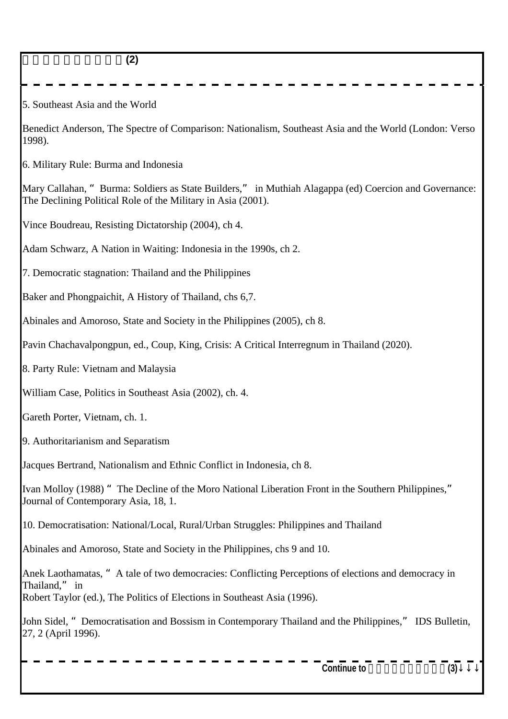| (2)                                                                                                                                                                                              |
|--------------------------------------------------------------------------------------------------------------------------------------------------------------------------------------------------|
| 5. Southeast Asia and the World                                                                                                                                                                  |
| Benedict Anderson, The Spectre of Comparison: Nationalism, Southeast Asia and the World (London: Verso<br>1998).                                                                                 |
| 6. Military Rule: Burma and Indonesia                                                                                                                                                            |
| Mary Callahan, "Burma: Soldiers as State Builders," in Muthiah Alagappa (ed) Coercion and Governance:<br>The Declining Political Role of the Military in Asia (2001).                            |
| Vince Boudreau, Resisting Dictatorship (2004), ch 4.                                                                                                                                             |
| Adam Schwarz, A Nation in Waiting: Indonesia in the 1990s, ch 2.                                                                                                                                 |
| 7. Democratic stagnation: Thailand and the Philippines                                                                                                                                           |
| Baker and Phongpaichit, A History of Thailand, chs 6,7.                                                                                                                                          |
| Abinales and Amoroso, State and Society in the Philippines (2005), ch 8.                                                                                                                         |
| Pavin Chachavalpongpun, ed., Coup, King, Crisis: A Critical Interregnum in Thailand (2020).                                                                                                      |
| 8. Party Rule: Vietnam and Malaysia                                                                                                                                                              |
| William Case, Politics in Southeast Asia (2002), ch. 4.                                                                                                                                          |
| Gareth Porter, Vietnam, ch. 1.                                                                                                                                                                   |
| 9. Authoritarianism and Separatism                                                                                                                                                               |
| Jacques Bertrand, Nationalism and Ethnic Conflict in Indonesia, ch 8.                                                                                                                            |
| Ivan Molloy (1988) "The Decline of the Moro National Liberation Front in the Southern Philippines,"<br>Journal of Contemporary Asia, 18, 1.                                                      |
| 10. Democratisation: National/Local, Rural/Urban Struggles: Philippines and Thailand                                                                                                             |
| Abinales and Amoroso, State and Society in the Philippines, chs 9 and 10.                                                                                                                        |
| Anek Laothamatas, "A tale of two democracies: Conflicting Perceptions of elections and democracy in<br>Thailand," in<br>Robert Taylor (ed.), The Politics of Elections in Southeast Asia (1996). |
| John Sidel, "Democratisation and Bossism in Contemporary Thailand and the Philippines," IDS Bulletin,<br>27, 2 (April 1996).                                                                     |
| <b>Continue to</b><br>(3)                                                                                                                                                                        |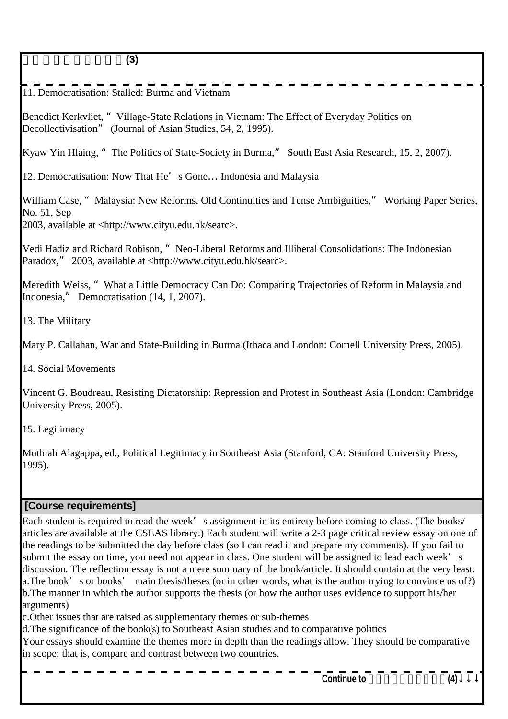11. Democratisation: Stalled: Burma and Vietnam

Benedict Kerkvliet, "Village-State Relations in Vietnam: The Effect of Everyday Politics on Decollectivisation" (Journal of Asian Studies, 54, 2, 1995).

Kyaw Yin Hlaing, "The Politics of State-Society in Burma," South East Asia Research, 15, 2, 2007).

12. Democratisation: Now That He's Gone... Indonesia and Malaysia

William Case, "Malaysia: New Reforms, Old Continuities and Tense Ambiguities," Working Paper Series, No. 51, Sep 2003, available at <http://www.cityu.edu.hk/searc>.

Vedi Hadiz and Richard Robison, "Neo-Liberal Reforms and Illiberal Consolidations: The Indonesian Paradox," 2003, available at <http://www.cityu.edu.hk/searc>.

Meredith Weiss, "What a Little Democracy Can Do: Comparing Trajectories of Reform in Malaysia and Indonesia," Democratisation (14, 1, 2007).

13. The Military

Mary P. Callahan, War and State-Building in Burma (Ithaca and London: Cornell University Press, 2005).

14. Social Movements

Vincent G. Boudreau, Resisting Dictatorship: Repression and Protest in Southeast Asia (London: Cambridge University Press, 2005).

15. Legitimacy

Muthiah Alagappa, ed., Political Legitimacy in Southeast Asia (Stanford, CA: Stanford University Press, 1995).

#### **[Course requirements]**

Each student is required to read the week's assignment in its entirety before coming to class. (The books/ articles are available at the CSEAS library.) Each student will write a 2-3 page critical review essay on one of the readings to be submitted the day before class (so I can read it and prepare my comments). If you fail to submit the essay on time, you need not appear in class. One student will be assigned to lead each week's discussion. The reflection essay is not a mere summary of the book/article. It should contain at the very least: a. The book's or books' main thesis/theses (or in other words, what is the author trying to convince us of?) b. The manner in which the author supports the thesis (or how the author uses evidence to support his/her arguments)

c. Other issues that are raised as supplementary themes or sub-themes

d. The significance of the book(s) to Southeast Asian studies and to comparative politics

Your essays should examine the themes more in depth than the readings allow. They should be comparative in scope; that is, compare and contrast between two countries.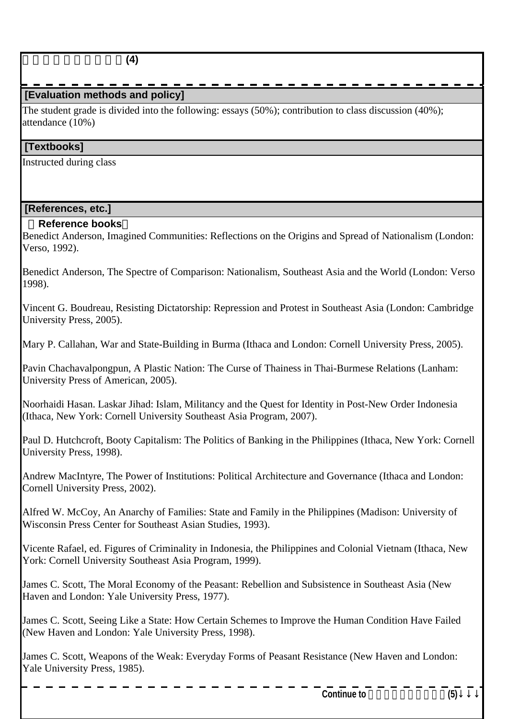## **[Evaluation methods and policy]**

The student grade is divided into the following: essays (50%); contribution to class discussion (40%); attendance  $(10\%)$ 

#### **[Textbooks]**

Instructed during class

#### **[References, etc.]**

#### **Reference books**

Benedict Anderson, Imagined Communities: Reflections on the Origins and Spread of Nationalism (London: Verso, 1992).

Benedict Anderson, The Spectre of Comparison: Nationalism, Southeast Asia and the World (London: Verso 1998).

Vincent G. Boudreau, Resisting Dictatorship: Repression and Protest in Southeast Asia (London: Cambridge University Press, 2005).

Mary P. Callahan, War and State-Building in Burma (Ithaca and London: Cornell University Press, 2005).

Pavin Chachavalpongpun, A Plastic Nation: The Curse of Thainess in Thai-Burmese Relations (Lanham: University Press of American, 2005).

Noorhaidi Hasan. Laskar Jihad: Islam, Militancy and the Quest for Identity in Post-New Order Indonesia (Ithaca, New York: Cornell University Southeast Asia Program, 2007).

Paul D. Hutchcroft, Booty Capitalism: The Politics of Banking in the Philippines (Ithaca, New York: Cornell University Press, 1998).

Andrew MacIntyre, The Power of Institutions: Political Architecture and Governance (Ithaca and London: Cornell University Press, 2002).

Alfred W. McCoy, An Anarchy of Families: State and Family in the Philippines (Madison: University of Wisconsin Press Center for Southeast Asian Studies, 1993).

Vicente Rafael, ed. Figures of Criminality in Indonesia, the Philippines and Colonial Vietnam (Ithaca, New York: Cornell University Southeast Asia Program, 1999).

James C. Scott, The Moral Economy of the Peasant: Rebellion and Subsistence in Southeast Asia (New Haven and London: Yale University Press, 1977).

James C. Scott, Seeing Like a State: How Certain Schemes to Improve the Human Condition Have Failed (New Haven and London: Yale University Press, 1998).

James C. Scott, Weapons of the Weak: Everyday Forms of Peasant Resistance (New Haven and London: Yale University Press, 1985).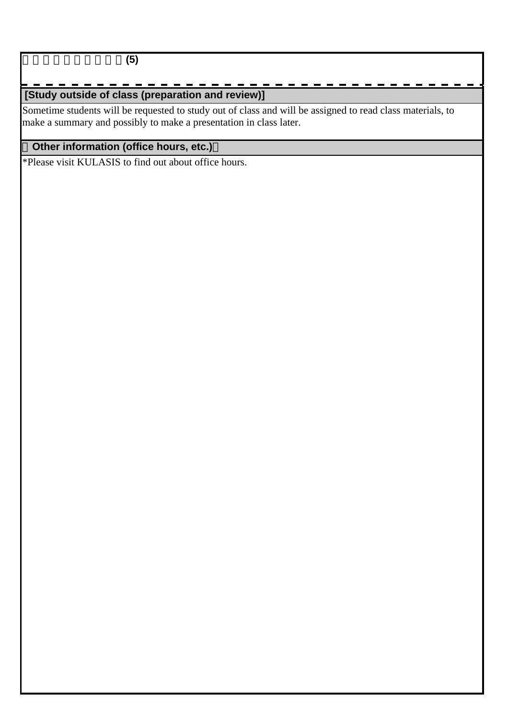地域研究と比較政治学**(5)**

# **[Study outside of class (preparation and review)]**

Sometime students will be requested to study out of class and will be assigned to read class materials, to make a summary and possibly to make a presentation in class later.

## **Other information (office hours, etc.)**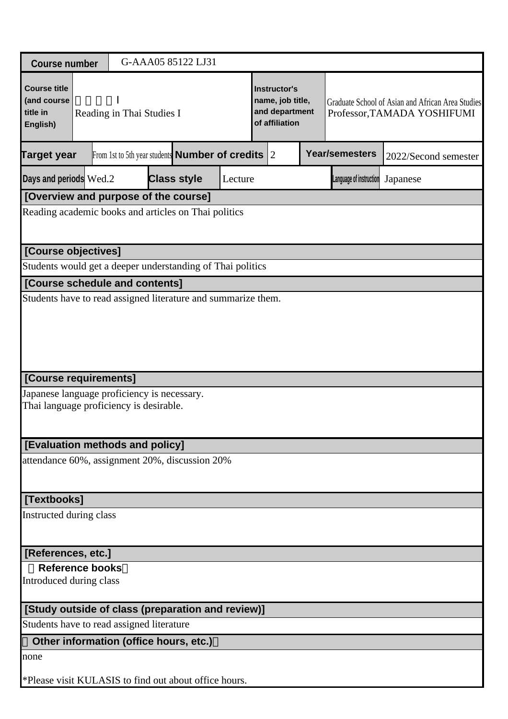| <b>Course number</b>                                       |                           | G-AAA05 85122 LJ31                                            |         |                                                                      |  |  |                         |                                                                                  |
|------------------------------------------------------------|---------------------------|---------------------------------------------------------------|---------|----------------------------------------------------------------------|--|--|-------------------------|----------------------------------------------------------------------------------|
| <b>Course title</b><br>(and course<br>title in<br>English) | Reading in Thai Studies I |                                                               |         | Instructor's<br>name, job title,<br>and department<br>of affiliation |  |  |                         | Graduate School of Asian and African Area Studies<br>Professor, TAMADA YOSHIFUMI |
| <b>Target year</b>                                         |                           | From 1st to 5th year students <b>Number of credits</b> $ 2 $  |         |                                                                      |  |  | <b>Year/semesters</b>   | 2022/Second semester                                                             |
| Days and periods Wed.2                                     |                           | <b>Class style</b>                                            | Lecture |                                                                      |  |  | Language of instruction | Japanese                                                                         |
|                                                            |                           | [Overview and purpose of the course]                          |         |                                                                      |  |  |                         |                                                                                  |
|                                                            |                           | Reading academic books and articles on Thai politics          |         |                                                                      |  |  |                         |                                                                                  |
| [Course objectives]                                        |                           |                                                               |         |                                                                      |  |  |                         |                                                                                  |
|                                                            |                           | Students would get a deeper understanding of Thai politics    |         |                                                                      |  |  |                         |                                                                                  |
| [Course schedule and contents]                             |                           |                                                               |         |                                                                      |  |  |                         |                                                                                  |
|                                                            |                           | Students have to read assigned literature and summarize them. |         |                                                                      |  |  |                         |                                                                                  |
| [Course requirements]                                      |                           |                                                               |         |                                                                      |  |  |                         |                                                                                  |
| Thai language proficiency is desirable.                    |                           | Japanese language proficiency is necessary.                   |         |                                                                      |  |  |                         |                                                                                  |
| [Evaluation methods and policy]                            |                           |                                                               |         |                                                                      |  |  |                         |                                                                                  |
|                                                            |                           | attendance 60%, assignment 20%, discussion 20%                |         |                                                                      |  |  |                         |                                                                                  |
| [Textbooks]                                                |                           |                                                               |         |                                                                      |  |  |                         |                                                                                  |
| Instructed during class                                    |                           |                                                               |         |                                                                      |  |  |                         |                                                                                  |
| [References, etc.]                                         |                           |                                                               |         |                                                                      |  |  |                         |                                                                                  |
| <b>Reference books</b><br>Introduced during class          |                           |                                                               |         |                                                                      |  |  |                         |                                                                                  |
|                                                            |                           | [Study outside of class (preparation and review)]             |         |                                                                      |  |  |                         |                                                                                  |
| Students have to read assigned literature                  |                           |                                                               |         |                                                                      |  |  |                         |                                                                                  |
|                                                            |                           | Other information (office hours, etc.)                        |         |                                                                      |  |  |                         |                                                                                  |
| none                                                       |                           |                                                               |         |                                                                      |  |  |                         |                                                                                  |
|                                                            |                           | *Please visit KULASIS to find out about office hours.         |         |                                                                      |  |  |                         |                                                                                  |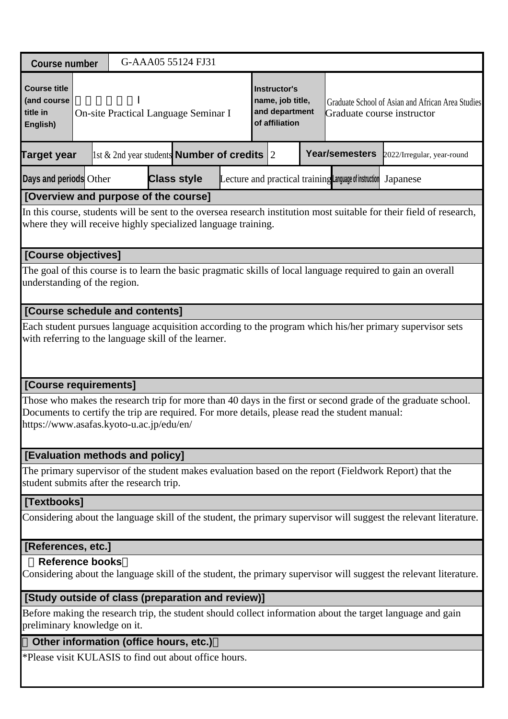| <b>Course number</b>                                          |  |                                                                                                                                                                                                 |  | G-AAA05 55124 FJ31                                         |  |  |  |  |                                                                                               |                                                                                                                      |
|---------------------------------------------------------------|--|-------------------------------------------------------------------------------------------------------------------------------------------------------------------------------------------------|--|------------------------------------------------------------|--|--|--|--|-----------------------------------------------------------------------------------------------|----------------------------------------------------------------------------------------------------------------------|
| <b>Course title</b><br>(and course<br>title in<br>English)    |  | Instructor's<br>name, job title,<br>Graduate School of Asian and African Area Studies<br>and department<br>On-site Practical Language Seminar I<br>Graduate course instructor<br>of affiliation |  |                                                            |  |  |  |  |                                                                                               |                                                                                                                      |
| <b>Target year</b>                                            |  |                                                                                                                                                                                                 |  | $\vert$ 1st & 2nd year students <b>Number of credits</b> 2 |  |  |  |  | Year/semesters                                                                                | 2022/Irregular, year-round                                                                                           |
| Days and periods Other                                        |  |                                                                                                                                                                                                 |  | <b>Class style</b>                                         |  |  |  |  | Lecture and practical training Language of instruction                                        | Japanese                                                                                                             |
| [Overview and purpose of the course]                          |  |                                                                                                                                                                                                 |  |                                                            |  |  |  |  |                                                                                               |                                                                                                                      |
| where they will receive highly specialized language training. |  |                                                                                                                                                                                                 |  |                                                            |  |  |  |  |                                                                                               | In this course, students will be sent to the oversea research institution most suitable for their field of research, |
| [Course objectives]                                           |  |                                                                                                                                                                                                 |  |                                                            |  |  |  |  |                                                                                               |                                                                                                                      |
| understanding of the region.                                  |  |                                                                                                                                                                                                 |  |                                                            |  |  |  |  |                                                                                               | The goal of this course is to learn the basic pragmatic skills of local language required to gain an overall         |
| [Course schedule and contents]                                |  |                                                                                                                                                                                                 |  |                                                            |  |  |  |  |                                                                                               |                                                                                                                      |
| with referring to the language skill of the learner.          |  |                                                                                                                                                                                                 |  |                                                            |  |  |  |  |                                                                                               | Each student pursues language acquisition according to the program which his/her primary supervisor sets             |
| [Course requirements]                                         |  |                                                                                                                                                                                                 |  |                                                            |  |  |  |  |                                                                                               |                                                                                                                      |
| https://www.asafas.kyoto-u.ac.jp/edu/en/                      |  |                                                                                                                                                                                                 |  |                                                            |  |  |  |  | Documents to certify the trip are required. For more details, please read the student manual: | Those who makes the research trip for more than 40 days in the first or second grade of the graduate school.         |
| [Evaluation methods and policy]                               |  |                                                                                                                                                                                                 |  |                                                            |  |  |  |  |                                                                                               |                                                                                                                      |
| student submits after the research trip.                      |  |                                                                                                                                                                                                 |  |                                                            |  |  |  |  |                                                                                               | The primary supervisor of the student makes evaluation based on the report (Fieldwork Report) that the               |
| [Textbooks]                                                   |  |                                                                                                                                                                                                 |  |                                                            |  |  |  |  |                                                                                               |                                                                                                                      |
|                                                               |  |                                                                                                                                                                                                 |  |                                                            |  |  |  |  |                                                                                               | Considering about the language skill of the student, the primary supervisor will suggest the relevant literature.    |
| [References, etc.]                                            |  |                                                                                                                                                                                                 |  |                                                            |  |  |  |  |                                                                                               |                                                                                                                      |
| <b>Reference books</b>                                        |  |                                                                                                                                                                                                 |  |                                                            |  |  |  |  |                                                                                               | Considering about the language skill of the student, the primary supervisor will suggest the relevant literature.    |
| [Study outside of class (preparation and review)]             |  |                                                                                                                                                                                                 |  |                                                            |  |  |  |  |                                                                                               |                                                                                                                      |
| preliminary knowledge on it.                                  |  |                                                                                                                                                                                                 |  |                                                            |  |  |  |  |                                                                                               | Before making the research trip, the student should collect information about the target language and gain           |
| Other information (office hours, etc.)                        |  |                                                                                                                                                                                                 |  |                                                            |  |  |  |  |                                                                                               |                                                                                                                      |
| *Please visit KULASIS to find out about office hours.         |  |                                                                                                                                                                                                 |  |                                                            |  |  |  |  |                                                                                               |                                                                                                                      |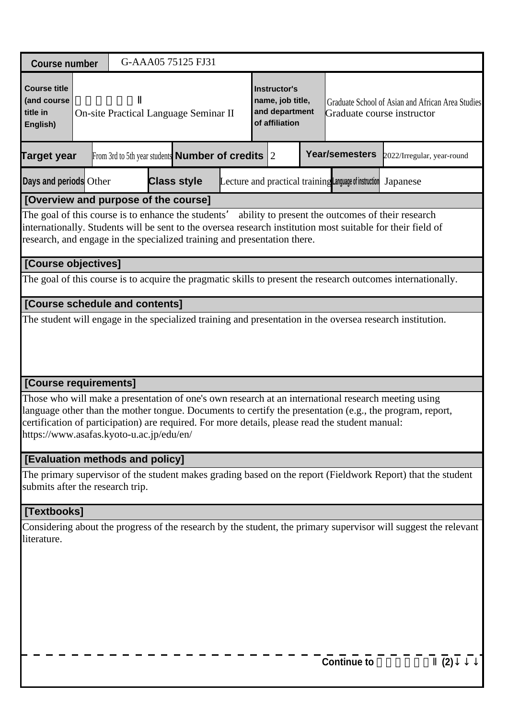| <b>Course number</b>                                                                                                            |  |  | G-AAA05 75125 FJ31                                           |  |                                                                      |                                                                                                 |                                                                                                                                                                                                                 |     |
|---------------------------------------------------------------------------------------------------------------------------------|--|--|--------------------------------------------------------------|--|----------------------------------------------------------------------|-------------------------------------------------------------------------------------------------|-----------------------------------------------------------------------------------------------------------------------------------------------------------------------------------------------------------------|-----|
| <b>Course title</b><br>(and course<br>title in<br>English)                                                                      |  |  | On-site Practical Language Seminar II                        |  | Instructor's<br>name, job title,<br>and department<br>of affiliation | Graduate course instructor                                                                      | Graduate School of Asian and African Area Studies                                                                                                                                                               |     |
| Target year                                                                                                                     |  |  | From 3rd to 5th year students <b>Number of credits</b> $ 2 $ |  |                                                                      | Year/semesters                                                                                  | 2022/Irregular, year-round                                                                                                                                                                                      |     |
| Days and periods Other                                                                                                          |  |  | <b>Class style</b>                                           |  |                                                                      | Lecture and practical training Language of instruction                                          | Japanese                                                                                                                                                                                                        |     |
| [Overview and purpose of the course]                                                                                            |  |  |                                                              |  |                                                                      |                                                                                                 |                                                                                                                                                                                                                 |     |
| The goal of this course is to enhance the students'<br>research, and engage in the specialized training and presentation there. |  |  |                                                              |  |                                                                      | ability to present the outcomes of their research                                               | internationally. Students will be sent to the oversea research institution most suitable for their field of                                                                                                     |     |
| [Course objectives]                                                                                                             |  |  |                                                              |  |                                                                      |                                                                                                 |                                                                                                                                                                                                                 |     |
|                                                                                                                                 |  |  |                                                              |  |                                                                      |                                                                                                 | The goal of this course is to acquire the pragmatic skills to present the research outcomes internationally.                                                                                                    |     |
| [Course schedule and contents]                                                                                                  |  |  |                                                              |  |                                                                      |                                                                                                 |                                                                                                                                                                                                                 |     |
|                                                                                                                                 |  |  |                                                              |  |                                                                      |                                                                                                 | The student will engage in the specialized training and presentation in the oversea research institution.                                                                                                       |     |
| [Course requirements]                                                                                                           |  |  |                                                              |  |                                                                      |                                                                                                 |                                                                                                                                                                                                                 |     |
| https://www.asafas.kyoto-u.ac.jp/edu/en/                                                                                        |  |  |                                                              |  |                                                                      | certification of participation) are required. For more details, please read the student manual: | Those who will make a presentation of one's own research at an international research meeting using<br>language other than the mother tongue. Documents to certify the presentation (e.g., the program, report, |     |
| [Evaluation methods and policy]                                                                                                 |  |  |                                                              |  |                                                                      |                                                                                                 |                                                                                                                                                                                                                 |     |
| submits after the research trip.                                                                                                |  |  |                                                              |  |                                                                      |                                                                                                 | The primary supervisor of the student makes grading based on the report (Fieldwork Report) that the student                                                                                                     |     |
| [Textbooks]                                                                                                                     |  |  |                                                              |  |                                                                      |                                                                                                 |                                                                                                                                                                                                                 |     |
| literature.                                                                                                                     |  |  |                                                              |  |                                                                      |                                                                                                 | Considering about the progress of the research by the student, the primary supervisor will suggest the relevant                                                                                                 |     |
|                                                                                                                                 |  |  |                                                              |  |                                                                      | <b>Continue to</b>                                                                              |                                                                                                                                                                                                                 | (2) |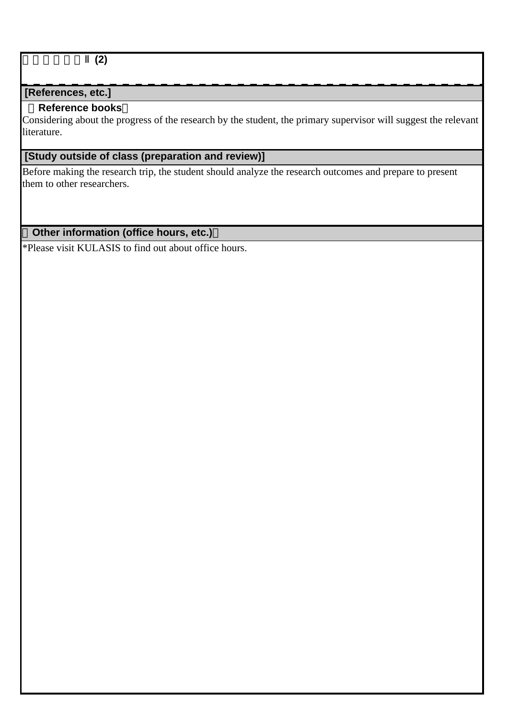臨地語学演習Ⅱ**(2)**

## **[References, etc.]**

### **Reference books**

Considering about the progress of the research by the student, the primary supervisor will suggest the relevant literature.

## **[Study outside of class (preparation and review)]**

Before making the research trip, the student should analyze the research outcomes and prepare to present them to other researchers.

## **Other information (office hours, etc.)**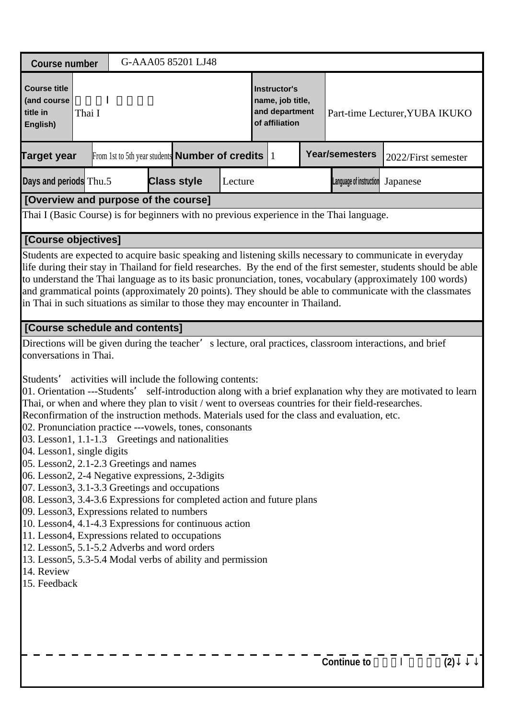| <b>Course number</b>                                                                                                                                                                                                                                                                                                                                                                                                                                                                                                                                                                                                                                                                                                                                                                                                                                                                                                                                                                                                                                                                                                                                       |                                                                    |  |  | G-AAA05 85201 LJ48                              |         |                                                                                                               |  |  |                         |                     |     |
|------------------------------------------------------------------------------------------------------------------------------------------------------------------------------------------------------------------------------------------------------------------------------------------------------------------------------------------------------------------------------------------------------------------------------------------------------------------------------------------------------------------------------------------------------------------------------------------------------------------------------------------------------------------------------------------------------------------------------------------------------------------------------------------------------------------------------------------------------------------------------------------------------------------------------------------------------------------------------------------------------------------------------------------------------------------------------------------------------------------------------------------------------------|--------------------------------------------------------------------|--|--|-------------------------------------------------|---------|---------------------------------------------------------------------------------------------------------------|--|--|-------------------------|---------------------|-----|
| <b>Course title</b><br>(and course<br>title in<br>English)                                                                                                                                                                                                                                                                                                                                                                                                                                                                                                                                                                                                                                                                                                                                                                                                                                                                                                                                                                                                                                                                                                 | Thai I<br>From 1st to 5th year students <b>Number of credits</b> 1 |  |  |                                                 |         | <b>Instructor's</b><br>name, job title,<br>and department<br>Part-time Lecturer, YUBA IKUKO<br>of affiliation |  |  |                         |                     |     |
| <b>Target year</b>                                                                                                                                                                                                                                                                                                                                                                                                                                                                                                                                                                                                                                                                                                                                                                                                                                                                                                                                                                                                                                                                                                                                         |                                                                    |  |  |                                                 |         |                                                                                                               |  |  | <b>Year/semesters</b>   | 2022/First semester |     |
| Days and periods Thu.5                                                                                                                                                                                                                                                                                                                                                                                                                                                                                                                                                                                                                                                                                                                                                                                                                                                                                                                                                                                                                                                                                                                                     |                                                                    |  |  | <b>Class style</b>                              | Lecture |                                                                                                               |  |  | Language of instruction | Japanese            |     |
| [Overview and purpose of the course]                                                                                                                                                                                                                                                                                                                                                                                                                                                                                                                                                                                                                                                                                                                                                                                                                                                                                                                                                                                                                                                                                                                       |                                                                    |  |  |                                                 |         |                                                                                                               |  |  |                         |                     |     |
| Thai I (Basic Course) is for beginners with no previous experience in the Thai language.                                                                                                                                                                                                                                                                                                                                                                                                                                                                                                                                                                                                                                                                                                                                                                                                                                                                                                                                                                                                                                                                   |                                                                    |  |  |                                                 |         |                                                                                                               |  |  |                         |                     |     |
| [Course objectives]                                                                                                                                                                                                                                                                                                                                                                                                                                                                                                                                                                                                                                                                                                                                                                                                                                                                                                                                                                                                                                                                                                                                        |                                                                    |  |  |                                                 |         |                                                                                                               |  |  |                         |                     |     |
| Students are expected to acquire basic speaking and listening skills necessary to communicate in everyday<br>life during their stay in Thailand for field researches. By the end of the first semester, students should be able<br>to understand the Thai language as to its basic pronunciation, tones, vocabulary (approximately 100 words)<br>and grammatical points (approximately 20 points). They should be able to communicate with the classmates<br>in Thai in such situations as similar to those they may encounter in Thailand.                                                                                                                                                                                                                                                                                                                                                                                                                                                                                                                                                                                                                |                                                                    |  |  |                                                 |         |                                                                                                               |  |  |                         |                     |     |
| [Course schedule and contents]                                                                                                                                                                                                                                                                                                                                                                                                                                                                                                                                                                                                                                                                                                                                                                                                                                                                                                                                                                                                                                                                                                                             |                                                                    |  |  |                                                 |         |                                                                                                               |  |  |                         |                     |     |
| Directions will be given during the teacher' s lecture, oral practices, classroom interactions, and brief<br>conversations in Thai.<br>Students'<br>01. Orientation ---Students' self-introduction along with a brief explanation why they are motivated to learn<br>Thai, or when and where they plan to visit / went to overseas countries for their field-researches.<br>Reconfirmation of the instruction methods. Materials used for the class and evaluation, etc.<br>02. Pronunciation practice ---vowels, tones, consonants<br>03. Lesson1, 1.1-1.3 Greetings and nationalities<br>04. Lesson1, single digits<br>05. Lesson2, 2.1-2.3 Greetings and names<br>06. Lesson2, 2-4 Negative expressions, 2-3 digits<br>07. Lesson3, 3.1-3.3 Greetings and occupations<br>08. Lesson3, 3.4-3.6 Expressions for completed action and future plans<br>09. Lesson3, Expressions related to numbers<br>10. Lesson4, 4.1-4.3 Expressions for continuous action<br>11. Lesson4, Expressions related to occupations<br>12. Lesson5, 5.1-5.2 Adverbs and word orders<br>13. Lesson5, 5.3-5.4 Modal verbs of ability and permission<br>14. Review<br>15. Feedback |                                                                    |  |  | activities will include the following contents: |         |                                                                                                               |  |  |                         |                     |     |
|                                                                                                                                                                                                                                                                                                                                                                                                                                                                                                                                                                                                                                                                                                                                                                                                                                                                                                                                                                                                                                                                                                                                                            |                                                                    |  |  |                                                 |         |                                                                                                               |  |  | <b>Continue to</b>      |                     | (2) |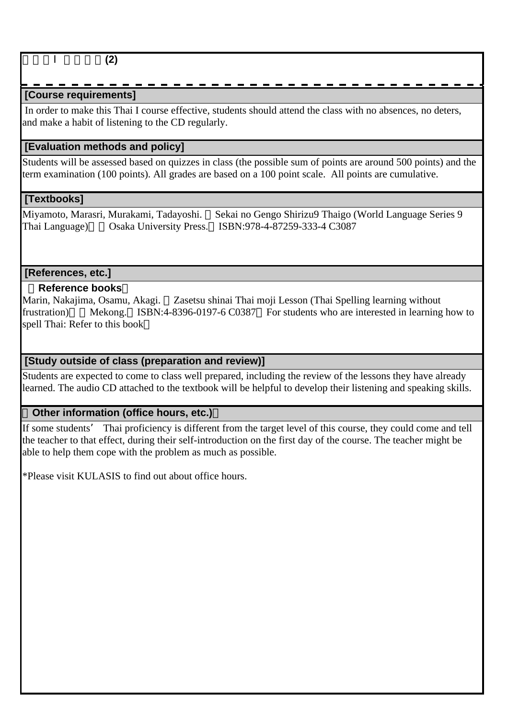## **[Course requirements]**

 In order to make this Thai I course effective, students should attend the class with no absences, no deters, and make a habit of listening to the CD regularly.

## **[Evaluation methods and policy]**

Students will be assessed based on quizzes in class (the possible sum of points are around 500 points) and the term examination (100 points). All grades are based on a 100 point scale. All points are cumulative.

## **[Textbooks]**

Miyamoto, Marasri, Murakami, Tadayoshi. Sekai no Gengo Shirizu9 Thaigo (World Language Series 9 Thai Language) Osaka University Press. ISBN:978-4-87259-333-4 C3087

### **[References, etc.]**

### **Reference books**

Marin, Nakajima, Osamu, Akagi. Zasetsu shinai Thai moji Lesson (Thai Spelling learning without frustration) Mekong. ISBN:4-8396-0197-6 C0387 For students who are interested in learning how to spell Thai: Refer to this book

### **[Study outside of class (preparation and review)]**

Students are expected to come to class well prepared, including the review of the lessons they have already learned. The audio CD attached to the textbook will be helpful to develop their listening and speaking skills.

#### **Other information (office hours, etc.)**

If some students' Thai proficiency is different from the target level of this course, they could come and tell the teacher to that effect, during their self-introduction on the first day of the course. The teacher might be able to help them cope with the problem as much as possible.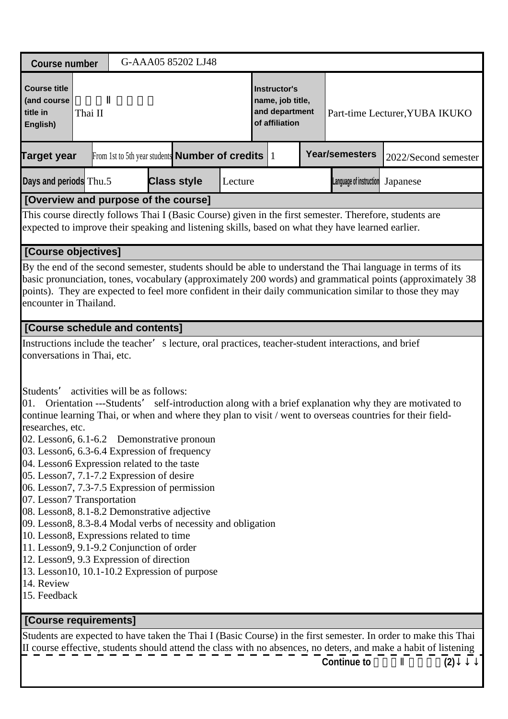| <b>Course number</b>                                                                                                                                                                                                                                                                                                                                                                                                                                                                                                                                                                                                                                                                                                                                                                                                                                                                                                                  | G-AAA05 85202 LJ48                                         |         |                                                                      |                         |                                                                                                                                                                                                                                                                                                                                     |
|---------------------------------------------------------------------------------------------------------------------------------------------------------------------------------------------------------------------------------------------------------------------------------------------------------------------------------------------------------------------------------------------------------------------------------------------------------------------------------------------------------------------------------------------------------------------------------------------------------------------------------------------------------------------------------------------------------------------------------------------------------------------------------------------------------------------------------------------------------------------------------------------------------------------------------------|------------------------------------------------------------|---------|----------------------------------------------------------------------|-------------------------|-------------------------------------------------------------------------------------------------------------------------------------------------------------------------------------------------------------------------------------------------------------------------------------------------------------------------------------|
| <b>Course title</b><br>(and course<br>title in<br>Thai II<br>English)                                                                                                                                                                                                                                                                                                                                                                                                                                                                                                                                                                                                                                                                                                                                                                                                                                                                 |                                                            |         | Instructor's<br>name, job title,<br>and department<br>of affiliation |                         | Part-time Lecturer, YUBA IKUKO                                                                                                                                                                                                                                                                                                      |
| <b>Target year</b>                                                                                                                                                                                                                                                                                                                                                                                                                                                                                                                                                                                                                                                                                                                                                                                                                                                                                                                    | From 1st to 5th year students <b>Number of credits</b> $1$ |         |                                                                      | <b>Year/semesters</b>   | 2022/Second semester                                                                                                                                                                                                                                                                                                                |
| Days and periods Thu.5                                                                                                                                                                                                                                                                                                                                                                                                                                                                                                                                                                                                                                                                                                                                                                                                                                                                                                                | <b>Class style</b>                                         | Lecture |                                                                      | Language of instruction | Japanese                                                                                                                                                                                                                                                                                                                            |
| [Overview and purpose of the course]                                                                                                                                                                                                                                                                                                                                                                                                                                                                                                                                                                                                                                                                                                                                                                                                                                                                                                  |                                                            |         |                                                                      |                         |                                                                                                                                                                                                                                                                                                                                     |
| This course directly follows Thai I (Basic Course) given in the first semester. Therefore, students are<br>expected to improve their speaking and listening skills, based on what they have learned earlier.                                                                                                                                                                                                                                                                                                                                                                                                                                                                                                                                                                                                                                                                                                                          |                                                            |         |                                                                      |                         |                                                                                                                                                                                                                                                                                                                                     |
| [Course objectives]                                                                                                                                                                                                                                                                                                                                                                                                                                                                                                                                                                                                                                                                                                                                                                                                                                                                                                                   |                                                            |         |                                                                      |                         |                                                                                                                                                                                                                                                                                                                                     |
| encounter in Thailand.                                                                                                                                                                                                                                                                                                                                                                                                                                                                                                                                                                                                                                                                                                                                                                                                                                                                                                                |                                                            |         |                                                                      |                         | By the end of the second semester, students should be able to understand the Thai language in terms of its<br>basic pronunciation, tones, vocabulary (approximately 200 words) and grammatical points (approximately 38<br>points). They are expected to feel more confident in their daily communication similar to those they may |
| [Course schedule and contents]                                                                                                                                                                                                                                                                                                                                                                                                                                                                                                                                                                                                                                                                                                                                                                                                                                                                                                        |                                                            |         |                                                                      |                         |                                                                                                                                                                                                                                                                                                                                     |
| Instructions include the teacher' s lecture, oral practices, teacher-student interactions, and brief<br>conversations in Thai, etc.<br>Students' activities will be as follows:<br>01.<br>continue learning Thai, or when and where they plan to visit / went to overseas countries for their field-<br>researches, etc.<br>02. Lesson6, 6.1-6.2 Demonstrative pronoun<br>03. Lesson6, 6.3-6.4 Expression of frequency<br>04. Lesson6 Expression related to the taste<br>05. Lesson7, 7.1-7.2 Expression of desire<br>06. Lesson7, 7.3-7.5 Expression of permission<br>07. Lesson7 Transportation<br>08. Lesson8, 8.1-8.2 Demonstrative adjective<br>09. Lesson8, 8.3-8.4 Modal verbs of necessity and obligation<br>10. Lesson8, Expressions related to time<br>11. Lesson9, 9.1-9.2 Conjunction of order<br>12. Lesson9, 9.3 Expression of direction<br>13. Lesson10, 10.1-10.2 Expression of purpose<br>14. Review<br>15. Feedback |                                                            |         |                                                                      |                         | Orientation ---Students' self-introduction along with a brief explanation why they are motivated to                                                                                                                                                                                                                                 |
| [Course requirements]                                                                                                                                                                                                                                                                                                                                                                                                                                                                                                                                                                                                                                                                                                                                                                                                                                                                                                                 |                                                            |         |                                                                      |                         |                                                                                                                                                                                                                                                                                                                                     |
|                                                                                                                                                                                                                                                                                                                                                                                                                                                                                                                                                                                                                                                                                                                                                                                                                                                                                                                                       |                                                            |         |                                                                      | <b>Continue to</b>      | Students are expected to have taken the Thai I (Basic Course) in the first semester. In order to make this Thai<br>II course effective, students should attend the class with no absences, no deters, and make a habit of listening<br>(2)                                                                                          |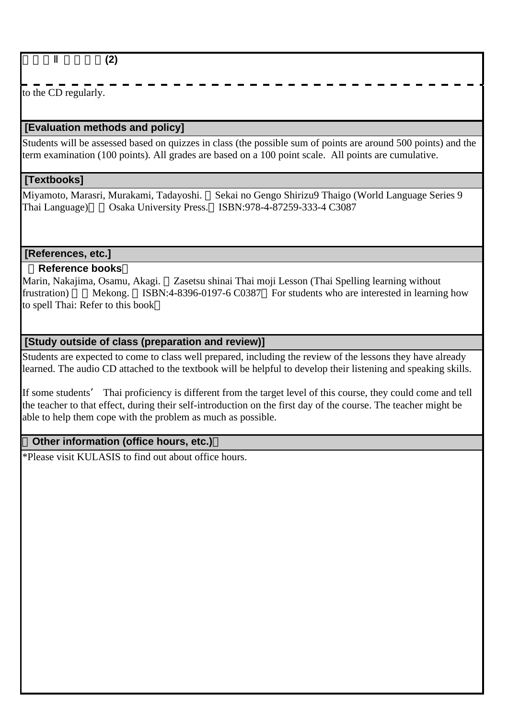タイ語Ⅱ(初級)**(2)**

to the CD regularly.

## **[Evaluation methods and policy]**

Students will be assessed based on quizzes in class (the possible sum of points are around 500 points) and the term examination (100 points). All grades are based on a 100 point scale. All points are cumulative.

## **[Textbooks]**

Miyamoto, Marasri, Murakami, Tadayoshi. Sekai no Gengo Shirizu9 Thaigo (World Language Series 9 Thai Language)』(Osaka University Press. ISBN:978-4-87259-333-4 C3087

 **[References, etc.]**

## **Reference books**

Marin, Nakajima, Osamu, Akagi. Zasetsu shinai Thai moji Lesson (Thai Spelling learning without frustration) Mekong. ISBN:4-8396-0197-6 C0387 For students who are interested in learning how to spell Thai: Refer to this book

## **[Study outside of class (preparation and review)]**

Students are expected to come to class well prepared, including the review of the lessons they have already learned. The audio CD attached to the textbook will be helpful to develop their listening and speaking skills.

If some students' Thai proficiency is different from the target level of this course, they could come and tell the teacher to that effect, during their self-introduction on the first day of the course. The teacher might be able to help them cope with the problem as much as possible.

## **Other information (office hours, etc.)**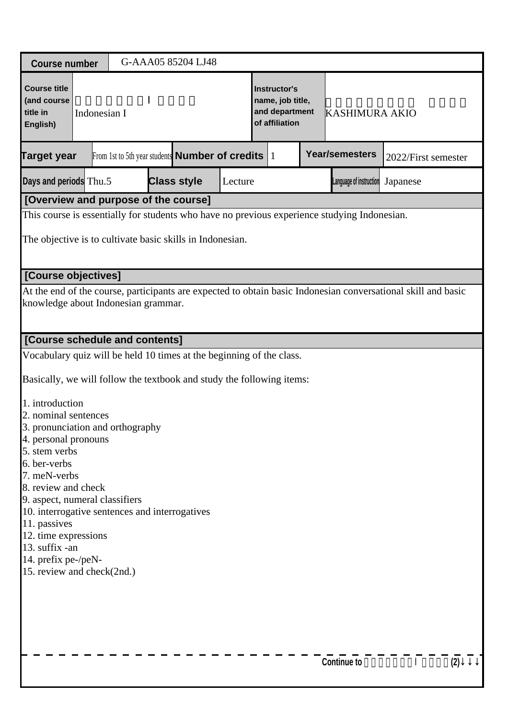| <b>Course number</b>                                                                                                                                                                                                                                                                                                                                                                                                                                                                                                            |                                                                        |  | G-AAA05 85204 LJ48 |         |                                                                             |                         |                                                                                                               |
|---------------------------------------------------------------------------------------------------------------------------------------------------------------------------------------------------------------------------------------------------------------------------------------------------------------------------------------------------------------------------------------------------------------------------------------------------------------------------------------------------------------------------------|------------------------------------------------------------------------|--|--------------------|---------|-----------------------------------------------------------------------------|-------------------------|---------------------------------------------------------------------------------------------------------------|
| <b>Course title</b><br>(and course<br>title in<br>English)                                                                                                                                                                                                                                                                                                                                                                                                                                                                      | Indonesian I<br>From 1st to 5th year students <b>Number of credits</b> |  |                    |         | <b>Instructor's</b><br>name, job title,<br>and department<br>of affiliation | <b>KASHIMURA AKIO</b>   |                                                                                                               |
| <b>Target year</b>                                                                                                                                                                                                                                                                                                                                                                                                                                                                                                              |                                                                        |  |                    |         |                                                                             | Year/semesters          | 2022/First semester                                                                                           |
| Days and periods Thu.5                                                                                                                                                                                                                                                                                                                                                                                                                                                                                                          |                                                                        |  | <b>Class style</b> | Lecture |                                                                             | Language of instruction | Japanese                                                                                                      |
| [Overview and purpose of the course]                                                                                                                                                                                                                                                                                                                                                                                                                                                                                            |                                                                        |  |                    |         |                                                                             |                         |                                                                                                               |
| This course is essentially for students who have no previous experience studying Indonesian.<br>The objective is to cultivate basic skills in Indonesian.                                                                                                                                                                                                                                                                                                                                                                       |                                                                        |  |                    |         |                                                                             |                         |                                                                                                               |
| [Course objectives]                                                                                                                                                                                                                                                                                                                                                                                                                                                                                                             |                                                                        |  |                    |         |                                                                             |                         |                                                                                                               |
| knowledge about Indonesian grammar.                                                                                                                                                                                                                                                                                                                                                                                                                                                                                             |                                                                        |  |                    |         |                                                                             |                         | At the end of the course, participants are expected to obtain basic Indonesian conversational skill and basic |
| [Course schedule and contents]                                                                                                                                                                                                                                                                                                                                                                                                                                                                                                  |                                                                        |  |                    |         |                                                                             |                         |                                                                                                               |
| Vocabulary quiz will be held 10 times at the beginning of the class.<br>Basically, we will follow the textbook and study the following items:<br>1. introduction<br>2. nominal sentences<br>3. pronunciation and orthography<br>4. personal pronouns<br>5. stem verbs<br>6. ber-verbs<br>7. meN-verbs<br>8. review and check<br>9. aspect, numeral classifiers<br>10. interrogative sentences and interrogatives<br>11. passives<br>12. time expressions<br>13. suffix -an<br>14. prefix pe-/peN-<br>15. review and check(2nd.) |                                                                        |  |                    |         |                                                                             |                         |                                                                                                               |
|                                                                                                                                                                                                                                                                                                                                                                                                                                                                                                                                 |                                                                        |  |                    |         |                                                                             | <b>Continue to</b>      | (2)                                                                                                           |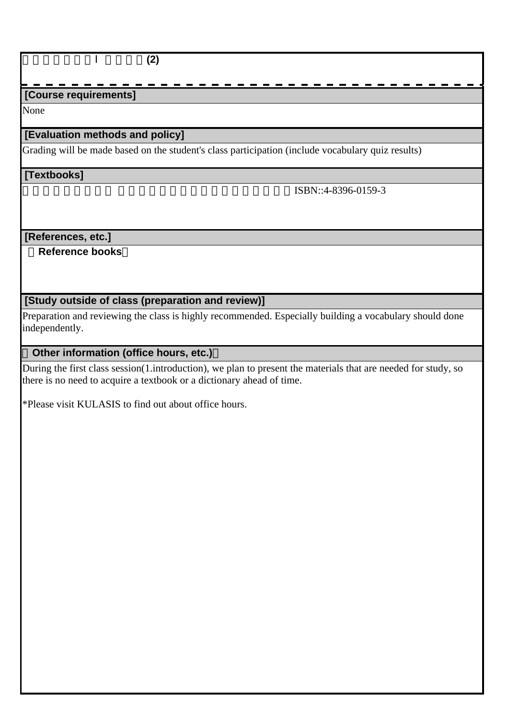インドネシア語Ⅰ(初級)**(2)**

## **[Course requirements]**

None

### **[Evaluation methods and policy]**

Grading will be made based on the student's class participation (include vocabulary quiz results)

#### **[Textbooks]**

ISBN::4-8396-0159-3

 **[References, etc.]**

 **Reference books**

### **[Study outside of class (preparation and review)]**

Preparation and reviewing the class is highly recommended. Especially building a vocabulary should done independently.

## **Other information (office hours, etc.)**

During the first class session(1.introduction), we plan to present the materials that are needed for study, so there is no need to acquire a textbook or a dictionary ahead of time.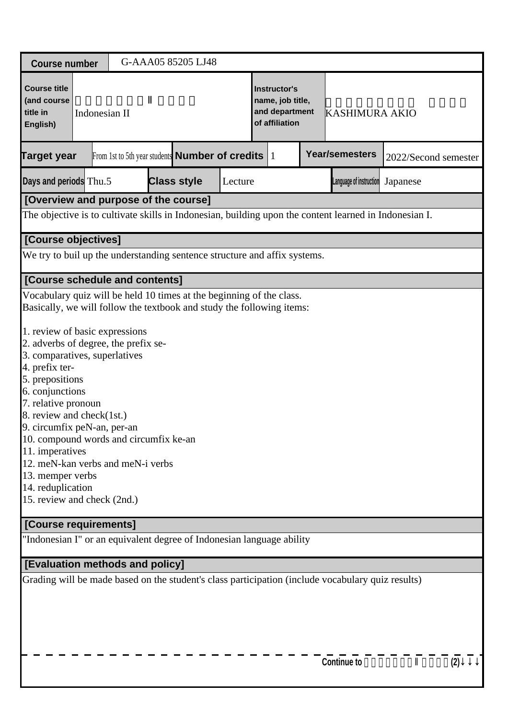| <b>Course number</b>                                                                                                                                                                                                                                                                                                                                                                                                                                                                                                                                                          |               |  |  | G-AAA05 85205 LJ48                                     |                                                                             |           |                         |                      |
|-------------------------------------------------------------------------------------------------------------------------------------------------------------------------------------------------------------------------------------------------------------------------------------------------------------------------------------------------------------------------------------------------------------------------------------------------------------------------------------------------------------------------------------------------------------------------------|---------------|--|--|--------------------------------------------------------|-----------------------------------------------------------------------------|-----------|-------------------------|----------------------|
| <b>Course title</b><br>(and course<br>title in<br>English)                                                                                                                                                                                                                                                                                                                                                                                                                                                                                                                    | Indonesian II |  |  |                                                        | <b>Instructor's</b><br>name, job title,<br>and department<br>of affiliation |           | <b>KASHIMURA AKIO</b>   |                      |
| <b>Target year</b>                                                                                                                                                                                                                                                                                                                                                                                                                                                                                                                                                            |               |  |  | From 1st to 5th year students <b>Number of credits</b> |                                                                             | $\vert$ 1 | <b>Year/semesters</b>   | 2022/Second semester |
| Days and periods Thu.5                                                                                                                                                                                                                                                                                                                                                                                                                                                                                                                                                        |               |  |  | <b>Class style</b>                                     | Lecture                                                                     |           | Language of instruction | Japanese             |
| [Overview and purpose of the course]                                                                                                                                                                                                                                                                                                                                                                                                                                                                                                                                          |               |  |  |                                                        |                                                                             |           |                         |                      |
| The objective is to cultivate skills in Indonesian, building upon the content learned in Indonesian I.                                                                                                                                                                                                                                                                                                                                                                                                                                                                        |               |  |  |                                                        |                                                                             |           |                         |                      |
| [Course objectives]                                                                                                                                                                                                                                                                                                                                                                                                                                                                                                                                                           |               |  |  |                                                        |                                                                             |           |                         |                      |
| We try to buil up the understanding sentence structure and affix systems.                                                                                                                                                                                                                                                                                                                                                                                                                                                                                                     |               |  |  |                                                        |                                                                             |           |                         |                      |
| [Course schedule and contents]                                                                                                                                                                                                                                                                                                                                                                                                                                                                                                                                                |               |  |  |                                                        |                                                                             |           |                         |                      |
| Vocabulary quiz will be held 10 times at the beginning of the class.<br>Basically, we will follow the textbook and study the following items:<br>1. review of basic expressions<br>2. adverbs of degree, the prefix se-<br>3. comparatives, superlatives<br>4. prefix ter-<br>5. prepositions<br>6. conjunctions<br>7. relative pronoun<br>8. review and check(1st.)<br>9. circumfix peN-an, per-an<br>10. compound words and circumfix ke-an<br>11. imperatives<br>12. meN-kan verbs and meN-i verbs<br>13. memper verbs<br>14. reduplication<br>15. review and check (2nd.) |               |  |  |                                                        |                                                                             |           |                         |                      |
| [Course requirements]                                                                                                                                                                                                                                                                                                                                                                                                                                                                                                                                                         |               |  |  |                                                        |                                                                             |           |                         |                      |
| "Indonesian I" or an equivalent degree of Indonesian language ability                                                                                                                                                                                                                                                                                                                                                                                                                                                                                                         |               |  |  |                                                        |                                                                             |           |                         |                      |
| [Evaluation methods and policy]                                                                                                                                                                                                                                                                                                                                                                                                                                                                                                                                               |               |  |  |                                                        |                                                                             |           |                         |                      |
| Grading will be made based on the student's class participation (include vocabulary quiz results)                                                                                                                                                                                                                                                                                                                                                                                                                                                                             |               |  |  |                                                        |                                                                             |           | <b>Continue to</b>      |                      |
|                                                                                                                                                                                                                                                                                                                                                                                                                                                                                                                                                                               |               |  |  |                                                        |                                                                             |           |                         | (2)                  |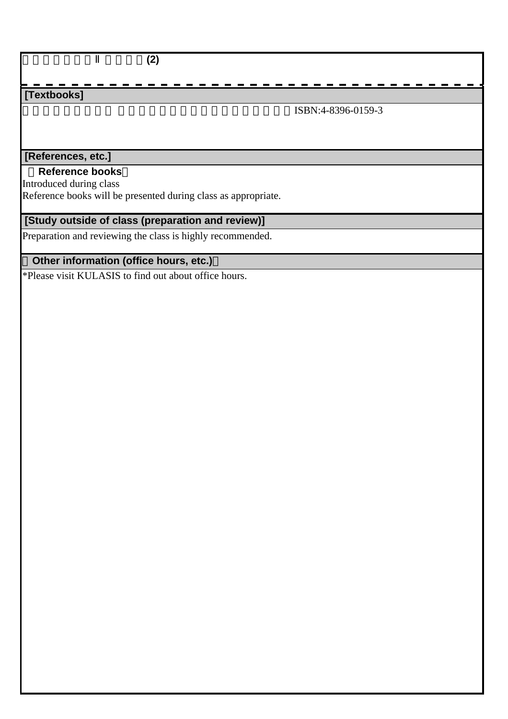インドネシア語Ⅱ(初級)**(2)**

## **[Textbooks]**

ISBN:4-8396-0159-3

## **[References, etc.]**

#### **Reference books**

Introduced during class

Reference books will be presented during class as appropriate.

## **[Study outside of class (preparation and review)]**

Preparation and reviewing the class is highly recommended.

## **Other information (office hours, etc.)**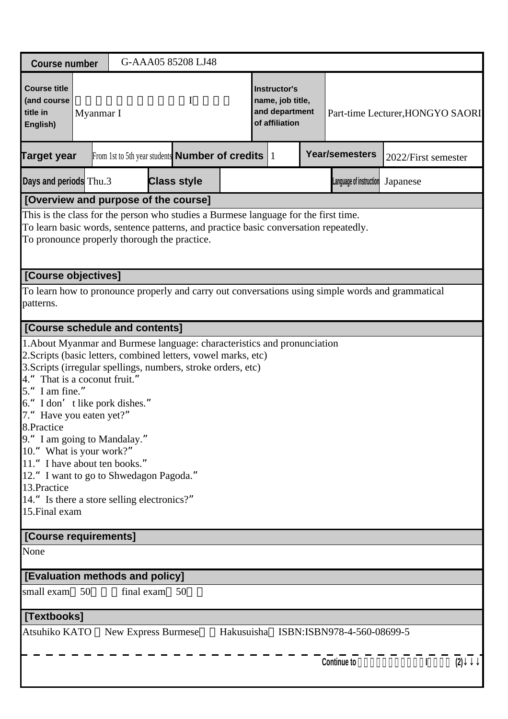| <b>Course number</b>                                                                                                                                                                                                                                                                                                                                                                                                                                                                                                                                              |           |                     |  | G-AAA05 85208 LJ48                                           |  |                                                                      |                                       |                                  |     |
|-------------------------------------------------------------------------------------------------------------------------------------------------------------------------------------------------------------------------------------------------------------------------------------------------------------------------------------------------------------------------------------------------------------------------------------------------------------------------------------------------------------------------------------------------------------------|-----------|---------------------|--|--------------------------------------------------------------|--|----------------------------------------------------------------------|---------------------------------------|----------------------------------|-----|
| <b>Course title</b><br>(and course<br>title in<br>English)                                                                                                                                                                                                                                                                                                                                                                                                                                                                                                        | Myanmar I | I                   |  |                                                              |  | Instructor's<br>name, job title,<br>and department<br>of affiliation |                                       | Part-time Lecturer, HONGYO SAORI |     |
| <b>Target year</b>                                                                                                                                                                                                                                                                                                                                                                                                                                                                                                                                                |           |                     |  | From 1st to 5th year students <b>Number of credits</b> $ 1 $ |  |                                                                      | <b>Year/semesters</b>                 | 2022/First semester              |     |
| Days and periods Thu.3                                                                                                                                                                                                                                                                                                                                                                                                                                                                                                                                            |           |                     |  | <b>Class style</b>                                           |  |                                                                      | Language of instruction               | Japanese                         |     |
| [Overview and purpose of the course]                                                                                                                                                                                                                                                                                                                                                                                                                                                                                                                              |           |                     |  |                                                              |  |                                                                      |                                       |                                  |     |
| This is the class for the person who studies a Burmese language for the first time.<br>To learn basic words, sentence patterns, and practice basic conversation repeatedly.<br>To pronounce properly thorough the practice.                                                                                                                                                                                                                                                                                                                                       |           |                     |  |                                                              |  |                                                                      |                                       |                                  |     |
| [Course objectives]                                                                                                                                                                                                                                                                                                                                                                                                                                                                                                                                               |           |                     |  |                                                              |  |                                                                      |                                       |                                  |     |
| To learn how to pronounce properly and carry out conversations using simple words and grammatical<br>patterns.                                                                                                                                                                                                                                                                                                                                                                                                                                                    |           |                     |  |                                                              |  |                                                                      |                                       |                                  |     |
| [Course schedule and contents]                                                                                                                                                                                                                                                                                                                                                                                                                                                                                                                                    |           |                     |  |                                                              |  |                                                                      |                                       |                                  |     |
| 1. About Myanmar and Burmese language: characteristics and pronunciation<br>2. Scripts (basic letters, combined letters, vowel marks, etc)<br>3. Scripts (irregular spellings, numbers, stroke orders, etc)<br>That is a coconut fruit."<br>5." I am fine."<br>6." I don' t like pork dishes."<br>7." Have you eaten yet?"<br>8.Practice<br>9." I am going to Mandalay."<br>10." What is your work?"<br>11." I have about ten books."<br>12." I want to go to Shwedagon Pagoda."<br>13. Practice<br>14." Is there a store selling electronics?"<br>15. Final exam |           |                     |  |                                                              |  |                                                                      |                                       |                                  |     |
| [Course requirements]                                                                                                                                                                                                                                                                                                                                                                                                                                                                                                                                             |           |                     |  |                                                              |  |                                                                      |                                       |                                  |     |
| None                                                                                                                                                                                                                                                                                                                                                                                                                                                                                                                                                              |           |                     |  |                                                              |  |                                                                      |                                       |                                  |     |
| [Evaluation methods and policy]                                                                                                                                                                                                                                                                                                                                                                                                                                                                                                                                   |           |                     |  |                                                              |  |                                                                      |                                       |                                  |     |
| small exam<br>- 50                                                                                                                                                                                                                                                                                                                                                                                                                                                                                                                                                |           | final exam          |  | 50                                                           |  |                                                                      |                                       |                                  |     |
| [Textbooks]                                                                                                                                                                                                                                                                                                                                                                                                                                                                                                                                                       |           |                     |  |                                                              |  |                                                                      |                                       |                                  |     |
| Atsuhiko KATO                                                                                                                                                                                                                                                                                                                                                                                                                                                                                                                                                     |           | New Express Burmese |  |                                                              |  |                                                                      | Hakusuisha ISBN:ISBN978-4-560-08699-5 |                                  |     |
|                                                                                                                                                                                                                                                                                                                                                                                                                                                                                                                                                                   |           |                     |  |                                                              |  |                                                                      | <b>Continue to</b>                    | $\mathbf{I}$                     | (2) |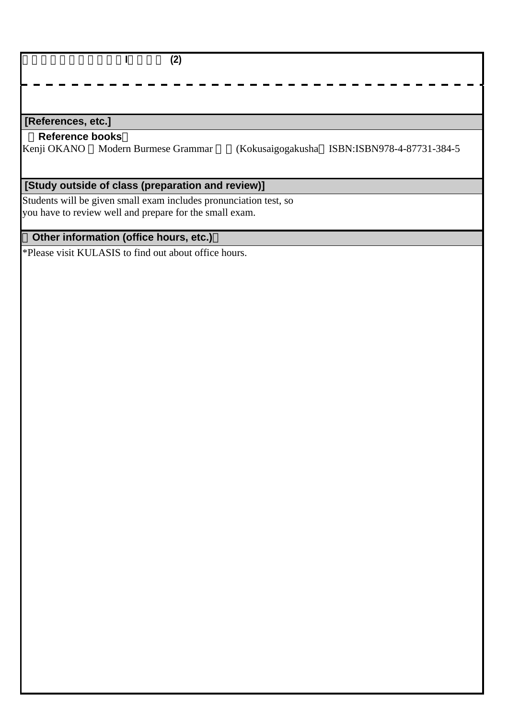| [References, etc.]     |                                                                   |                                              |
|------------------------|-------------------------------------------------------------------|----------------------------------------------|
| <b>Reference books</b> |                                                                   |                                              |
|                        | Kenji OKANO Modern Burmese Grammar                                | (Kokusaigogakusha ISBN:ISBN978-4-87731-384-5 |
|                        |                                                                   |                                              |
|                        | [Study outside of class (preparation and review)]                 |                                              |
|                        | Students will be given small exam includes pronunciation test, so |                                              |

you have to review well and prepare for the small exam.

# **Other information (office hours, etc.)**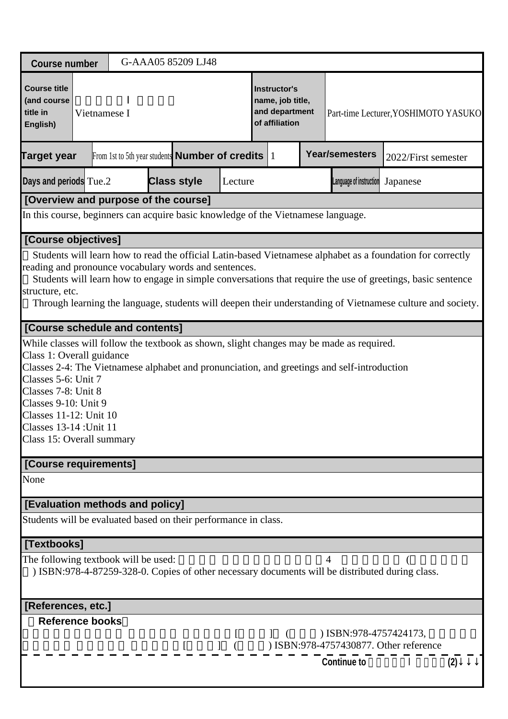| <b>Course number</b>                                                                                                                                                              |                                                                              |  | G-AAA05 85209 LJ48 |         |  |                                                                             |                                                                                             |                                                                                                                                                                                                                                                                                                                                         |     |
|-----------------------------------------------------------------------------------------------------------------------------------------------------------------------------------|------------------------------------------------------------------------------|--|--------------------|---------|--|-----------------------------------------------------------------------------|---------------------------------------------------------------------------------------------|-----------------------------------------------------------------------------------------------------------------------------------------------------------------------------------------------------------------------------------------------------------------------------------------------------------------------------------------|-----|
| <b>Course title</b><br>(and course<br>title in<br>English)                                                                                                                        | Vietnamese I<br>From 1st to 5th year students <b>Number of credits</b> $ 1 $ |  |                    |         |  | <b>Instructor's</b><br>name, job title,<br>and department<br>of affiliation |                                                                                             | Part-time Lecturer, YOSHIMOTO YASUKO                                                                                                                                                                                                                                                                                                    |     |
| <b>Target year</b>                                                                                                                                                                |                                                                              |  |                    |         |  |                                                                             | <b>Year/semesters</b>                                                                       | 2022/First semester                                                                                                                                                                                                                                                                                                                     |     |
| Days and periods Tue.2                                                                                                                                                            |                                                                              |  | <b>Class style</b> | Lecture |  |                                                                             | Language of instruction                                                                     | Japanese                                                                                                                                                                                                                                                                                                                                |     |
| [Overview and purpose of the course]                                                                                                                                              |                                                                              |  |                    |         |  |                                                                             |                                                                                             |                                                                                                                                                                                                                                                                                                                                         |     |
| In this course, beginners can acquire basic knowledge of the Vietnamese language.                                                                                                 |                                                                              |  |                    |         |  |                                                                             |                                                                                             |                                                                                                                                                                                                                                                                                                                                         |     |
| [Course objectives]                                                                                                                                                               |                                                                              |  |                    |         |  |                                                                             |                                                                                             |                                                                                                                                                                                                                                                                                                                                         |     |
| reading and pronounce vocabulary words and sentences.<br>structure, etc.                                                                                                          |                                                                              |  |                    |         |  |                                                                             |                                                                                             | Students will learn how to read the official Latin-based Vietnamese alphabet as a foundation for correctly<br>Students will learn how to engage in simple conversations that require the use of greetings, basic sentence<br>Through learning the language, students will deepen their understanding of Vietnamese culture and society. |     |
| [Course schedule and contents]                                                                                                                                                    |                                                                              |  |                    |         |  |                                                                             |                                                                                             |                                                                                                                                                                                                                                                                                                                                         |     |
| Class 1: Overall guidance<br>Classes 5-6: Unit 7<br>Classes 7-8: Unit 8<br>Classes 9-10: Unit 9<br>Classes 11-12: Unit 10<br>Classes 13-14 : Unit 11<br>Class 15: Overall summary |                                                                              |  |                    |         |  |                                                                             | Classes 2-4: The Vietnamese alphabet and pronunciation, and greetings and self-introduction |                                                                                                                                                                                                                                                                                                                                         |     |
| [Course requirements]                                                                                                                                                             |                                                                              |  |                    |         |  |                                                                             |                                                                                             |                                                                                                                                                                                                                                                                                                                                         |     |
| None                                                                                                                                                                              |                                                                              |  |                    |         |  |                                                                             |                                                                                             |                                                                                                                                                                                                                                                                                                                                         |     |
| [Evaluation methods and policy]                                                                                                                                                   |                                                                              |  |                    |         |  |                                                                             |                                                                                             |                                                                                                                                                                                                                                                                                                                                         |     |
| Students will be evaluated based on their performance in class.                                                                                                                   |                                                                              |  |                    |         |  |                                                                             |                                                                                             |                                                                                                                                                                                                                                                                                                                                         |     |
| [Textbooks]                                                                                                                                                                       |                                                                              |  |                    |         |  |                                                                             |                                                                                             |                                                                                                                                                                                                                                                                                                                                         |     |
| The following textbook will be used:                                                                                                                                              |                                                                              |  |                    |         |  |                                                                             |                                                                                             | ) ISBN:978-4-87259-328-0. Copies of other necessary documents will be distributed during class.                                                                                                                                                                                                                                         |     |
| [References, etc.]                                                                                                                                                                |                                                                              |  |                    |         |  |                                                                             |                                                                                             |                                                                                                                                                                                                                                                                                                                                         |     |
| <b>Reference books</b>                                                                                                                                                            |                                                                              |  |                    |         |  | $\begin{bmatrix} 1 & 1 \end{bmatrix}$                                       | ) ISBN:978-4757424173,                                                                      |                                                                                                                                                                                                                                                                                                                                         |     |
|                                                                                                                                                                                   |                                                                              |  |                    |         |  |                                                                             | <b>Continue to</b>                                                                          |                                                                                                                                                                                                                                                                                                                                         | (2) |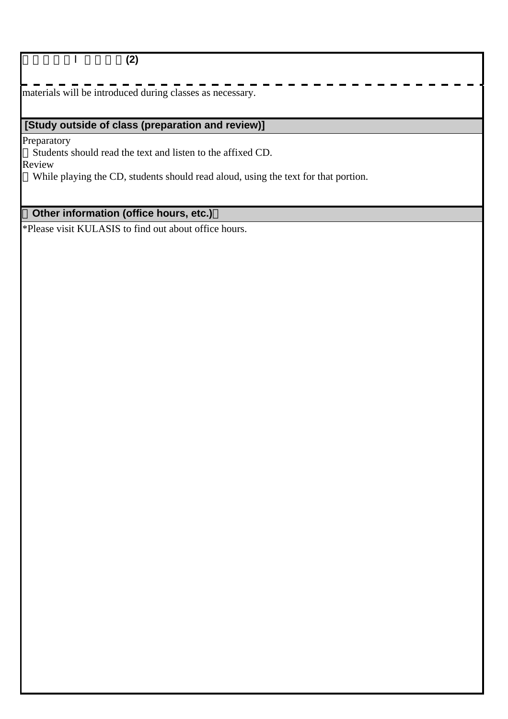ベトナム語Ⅰ(初級)**(2)**

materials will be introduced during classes as necessary.

## **[Study outside of class (preparation and review)]**

**Preparatory** 

Students should read the text and listen to the affixed CD.

Review

While playing the CD, students should read aloud, using the text for that portion.

## **Other information (office hours, etc.)**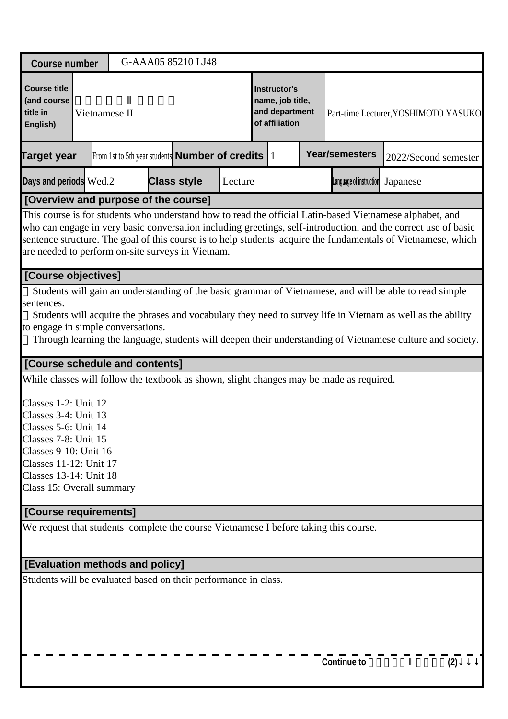| <b>Course number</b>                                                                                                               |               | G-AAA05 85210 LJ48                                                                       |         |                                                                      |                         |                                                                                                                                                                                                                                                                                                                                             |
|------------------------------------------------------------------------------------------------------------------------------------|---------------|------------------------------------------------------------------------------------------|---------|----------------------------------------------------------------------|-------------------------|---------------------------------------------------------------------------------------------------------------------------------------------------------------------------------------------------------------------------------------------------------------------------------------------------------------------------------------------|
| <b>Course title</b><br>(and course<br>title in<br>English)                                                                         | Vietnamese II |                                                                                          |         | Instructor's<br>name, job title,<br>and department<br>of affiliation |                         | Part-time Lecturer, YOSHIMOTO YASUKO                                                                                                                                                                                                                                                                                                        |
| <b>Target year</b>                                                                                                                 |               | From 1st to 5th year students <b>Number of credits</b> $ 1 $                             |         |                                                                      | <b>Year/semesters</b>   | 2022/Second semester                                                                                                                                                                                                                                                                                                                        |
| Days and periods Wed.2                                                                                                             |               | <b>Class style</b>                                                                       | Lecture |                                                                      | Language of instruction | Japanese                                                                                                                                                                                                                                                                                                                                    |
|                                                                                                                                    |               | [Overview and purpose of the course]                                                     |         |                                                                      |                         |                                                                                                                                                                                                                                                                                                                                             |
|                                                                                                                                    |               | are needed to perform on-site surveys in Vietnam.                                        |         |                                                                      |                         | This course is for students who understand how to read the official Latin-based Vietnamese alphabet, and<br>who can engage in very basic conversation including greetings, self-introduction, and the correct use of basic<br>sentence structure. The goal of this course is to help students acquire the fundamentals of Vietnamese, which |
| [Course objectives]                                                                                                                |               |                                                                                          |         |                                                                      |                         |                                                                                                                                                                                                                                                                                                                                             |
| sentences.<br>to engage in simple conversations.<br>[Course schedule and contents]<br>Classes 1-2: Unit 12<br>Classes 3-4: Unit 13 |               | While classes will follow the textbook as shown, slight changes may be made as required. |         |                                                                      |                         | Students will acquire the phrases and vocabulary they need to survey life in Vietnam as well as the ability<br>Through learning the language, students will deepen their understanding of Vietnamese culture and society.                                                                                                                   |
| Classes 5-6: Unit 14                                                                                                               |               |                                                                                          |         |                                                                      |                         |                                                                                                                                                                                                                                                                                                                                             |
| Classes 7-8: Unit 15<br>Classes 9-10: Unit 16<br>Classes 11-12: Unit 17<br>Classes 13-14: Unit 18<br>Class 15: Overall summary     |               |                                                                                          |         |                                                                      |                         |                                                                                                                                                                                                                                                                                                                                             |
| [Course requirements]                                                                                                              |               |                                                                                          |         |                                                                      |                         |                                                                                                                                                                                                                                                                                                                                             |
|                                                                                                                                    |               | We request that students complete the course Vietnamese I before taking this course.     |         |                                                                      |                         |                                                                                                                                                                                                                                                                                                                                             |
| [Evaluation methods and policy]                                                                                                    |               |                                                                                          |         |                                                                      |                         |                                                                                                                                                                                                                                                                                                                                             |
|                                                                                                                                    |               | Students will be evaluated based on their performance in class.                          |         |                                                                      |                         |                                                                                                                                                                                                                                                                                                                                             |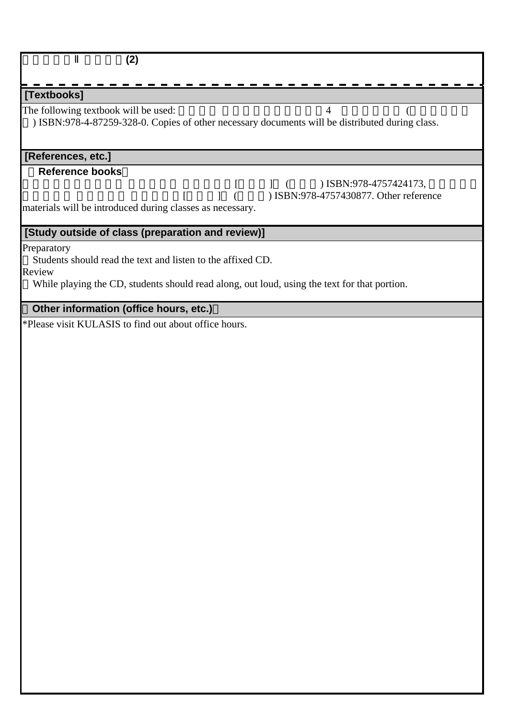| (2)                                                                                                                                                                                                                  |
|----------------------------------------------------------------------------------------------------------------------------------------------------------------------------------------------------------------------|
| [Textbooks]                                                                                                                                                                                                          |
| The following textbook will be used:<br>4<br>) ISBN:978-4-87259-328-0. Copies of other necessary documents will be distributed during class.                                                                         |
| [References, etc.]                                                                                                                                                                                                   |
| <b>Reference books</b><br>) ISBN:978-4757424173,<br>$\left  \quad \right $<br>$\begin{bmatrix} \end{bmatrix}$<br>) ISBN:978-4757430877. Other reference<br>materials will be introduced during classes as necessary. |
| [Study outside of class (preparation and review)]                                                                                                                                                                    |
| Preparatory<br>Students should read the text and listen to the affixed CD.<br>Review<br>While playing the CD, students should read along, out loud, using the text for that portion.                                 |
| Other information (office hours, etc.)<br>*Please visit KULASIS to find out about office hours.                                                                                                                      |
|                                                                                                                                                                                                                      |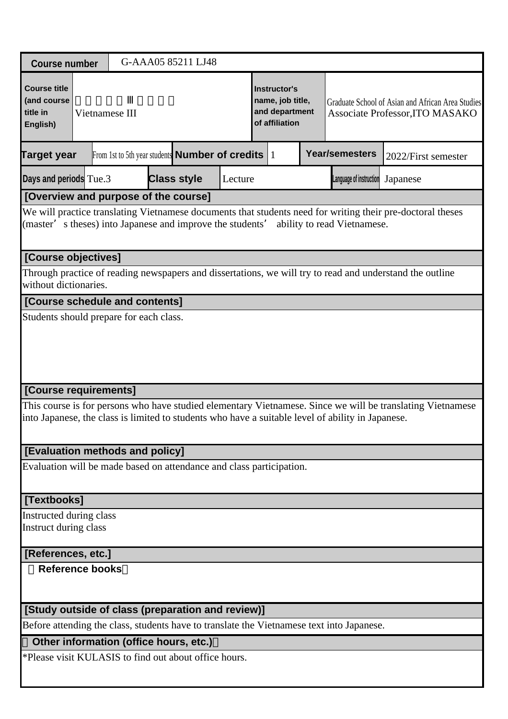| <b>Course number</b>                                                 |  |                | G-AAA05 85211 LJ48                                           |         |                                                                             |                                                                                                   |                                                                                                            |
|----------------------------------------------------------------------|--|----------------|--------------------------------------------------------------|---------|-----------------------------------------------------------------------------|---------------------------------------------------------------------------------------------------|------------------------------------------------------------------------------------------------------------|
| <b>Course title</b><br>(and course<br>title in<br>English)           |  | Vietnamese III |                                                              |         | <b>Instructor's</b><br>name, job title,<br>and department<br>of affiliation |                                                                                                   | Graduate School of Asian and African Area Studies<br>Associate Professor, ITO MASAKO                       |
| Target year                                                          |  |                | From 1st to 5th year students <b>Number of credits</b> $ 1 $ |         |                                                                             | <b>Year/semesters</b>                                                                             | 2022/First semester                                                                                        |
| Days and periods Tue.3                                               |  |                | <b>Class style</b>                                           | Lecture |                                                                             | Language of instruction                                                                           | Japanese                                                                                                   |
| [Overview and purpose of the course]                                 |  |                |                                                              |         |                                                                             |                                                                                                   |                                                                                                            |
| (master' s theses) into Japanese and improve the students'           |  |                |                                                              |         |                                                                             | ability to read Vietnamese.                                                                       | We will practice translating Vietnamese documents that students need for writing their pre-doctoral theses |
| [Course objectives]                                                  |  |                |                                                              |         |                                                                             |                                                                                                   |                                                                                                            |
| without dictionaries.                                                |  |                |                                                              |         |                                                                             |                                                                                                   | Through practice of reading newspapers and dissertations, we will try to read and understand the outline   |
| [Course schedule and contents]                                       |  |                |                                                              |         |                                                                             |                                                                                                   |                                                                                                            |
|                                                                      |  |                |                                                              |         |                                                                             |                                                                                                   |                                                                                                            |
| [Course requirements]                                                |  |                |                                                              |         |                                                                             |                                                                                                   |                                                                                                            |
|                                                                      |  |                |                                                              |         |                                                                             | into Japanese, the class is limited to students who have a suitable level of ability in Japanese. | This course is for persons who have studied elementary Vietnamese. Since we will be translating Vietnamese |
| [Evaluation methods and policy]                                      |  |                |                                                              |         |                                                                             |                                                                                                   |                                                                                                            |
| Evaluation will be made based on attendance and class participation. |  |                |                                                              |         |                                                                             |                                                                                                   |                                                                                                            |
| [Textbooks]                                                          |  |                |                                                              |         |                                                                             |                                                                                                   |                                                                                                            |
| Instructed during class<br>Instruct during class                     |  |                |                                                              |         |                                                                             |                                                                                                   |                                                                                                            |
| [References, etc.]                                                   |  |                |                                                              |         |                                                                             |                                                                                                   |                                                                                                            |
| <b>Reference books</b>                                               |  |                |                                                              |         |                                                                             |                                                                                                   |                                                                                                            |
| [Study outside of class (preparation and review)]                    |  |                |                                                              |         |                                                                             |                                                                                                   |                                                                                                            |
|                                                                      |  |                |                                                              |         |                                                                             | Before attending the class, students have to translate the Vietnamese text into Japanese.         |                                                                                                            |
| Other information (office hours, etc.)                               |  |                |                                                              |         |                                                                             |                                                                                                   |                                                                                                            |
| *Please visit KULASIS to find out about office hours.                |  |                |                                                              |         |                                                                             |                                                                                                   |                                                                                                            |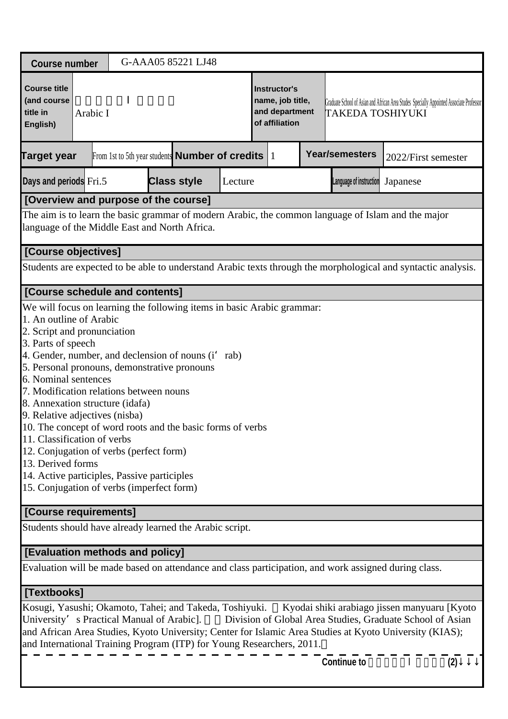| <b>Course number</b>                                                                                                                                                                                                                                                                                                                                                                                                                                                                                                                                                                                                                                           |          |  | G-AAA05 85221 LJ48                                           |         |                                                                      |                         |                                                                                                           |     |
|----------------------------------------------------------------------------------------------------------------------------------------------------------------------------------------------------------------------------------------------------------------------------------------------------------------------------------------------------------------------------------------------------------------------------------------------------------------------------------------------------------------------------------------------------------------------------------------------------------------------------------------------------------------|----------|--|--------------------------------------------------------------|---------|----------------------------------------------------------------------|-------------------------|-----------------------------------------------------------------------------------------------------------|-----|
| <b>Course title</b><br>(and course<br>title in<br>English)                                                                                                                                                                                                                                                                                                                                                                                                                                                                                                                                                                                                     | Arabic I |  |                                                              |         | Instructor's<br>name, job title,<br>and department<br>of affiliation | TAKEDA TOSHIYUKI        | Graduate School of Asian and African Area Studes Specially Appointed Associate Professor                  |     |
| <b>Target year</b>                                                                                                                                                                                                                                                                                                                                                                                                                                                                                                                                                                                                                                             |          |  | From 1st to 5th year students <b>Number of credits</b> $ 1 $ |         |                                                                      | <b>Year/semesters</b>   | 2022/First semester                                                                                       |     |
| Days and periods Fri.5                                                                                                                                                                                                                                                                                                                                                                                                                                                                                                                                                                                                                                         |          |  | <b>Class style</b>                                           | Lecture |                                                                      | Language of instruction | Japanese                                                                                                  |     |
| [Overview and purpose of the course]                                                                                                                                                                                                                                                                                                                                                                                                                                                                                                                                                                                                                           |          |  |                                                              |         |                                                                      |                         |                                                                                                           |     |
| The aim is to learn the basic grammar of modern Arabic, the common language of Islam and the major<br>language of the Middle East and North Africa.                                                                                                                                                                                                                                                                                                                                                                                                                                                                                                            |          |  |                                                              |         |                                                                      |                         |                                                                                                           |     |
| [Course objectives]                                                                                                                                                                                                                                                                                                                                                                                                                                                                                                                                                                                                                                            |          |  |                                                              |         |                                                                      |                         |                                                                                                           |     |
| Students are expected to be able to understand Arabic texts through the morphological and syntactic analysis.                                                                                                                                                                                                                                                                                                                                                                                                                                                                                                                                                  |          |  |                                                              |         |                                                                      |                         |                                                                                                           |     |
| [Course schedule and contents]                                                                                                                                                                                                                                                                                                                                                                                                                                                                                                                                                                                                                                 |          |  |                                                              |         |                                                                      |                         |                                                                                                           |     |
| We will focus on learning the following items in basic Arabic grammar:<br>1. An outline of Arabic<br>2. Script and pronunciation<br>3. Parts of speech<br>4. Gender, number, and declension of nouns (i' rab)<br>5. Personal pronouns, demonstrative pronouns<br>6. Nominal sentences<br>7. Modification relations between nouns<br>8. Annexation structure (idafa)<br>9. Relative adjectives (nisba)<br>10. The concept of word roots and the basic forms of verbs<br>11. Classification of verbs<br>12. Conjugation of verbs (perfect form)<br>13. Derived forms<br>14. Active participles, Passive participles<br>15. Conjugation of verbs (imperfect form) |          |  |                                                              |         |                                                                      |                         |                                                                                                           |     |
| [Course requirements]                                                                                                                                                                                                                                                                                                                                                                                                                                                                                                                                                                                                                                          |          |  |                                                              |         |                                                                      |                         |                                                                                                           |     |
| Students should have already learned the Arabic script.                                                                                                                                                                                                                                                                                                                                                                                                                                                                                                                                                                                                        |          |  |                                                              |         |                                                                      |                         |                                                                                                           |     |
| [Evaluation methods and policy]                                                                                                                                                                                                                                                                                                                                                                                                                                                                                                                                                                                                                                |          |  |                                                              |         |                                                                      |                         |                                                                                                           |     |
| Evaluation will be made based on attendance and class participation, and work assigned during class.                                                                                                                                                                                                                                                                                                                                                                                                                                                                                                                                                           |          |  |                                                              |         |                                                                      |                         |                                                                                                           |     |
| [Textbooks]                                                                                                                                                                                                                                                                                                                                                                                                                                                                                                                                                                                                                                                    |          |  |                                                              |         |                                                                      |                         |                                                                                                           |     |
| Kosugi, Yasushi; Okamoto, Tahei; and Takeda, Toshiyuki.<br>University' s Practical Manual of Arabic].<br>and African Area Studies, Kyoto University; Center for Islamic Area Studies at Kyoto University (KIAS);<br>and International Training Program (ITP) for Young Researchers, 2011.                                                                                                                                                                                                                                                                                                                                                                      |          |  |                                                              |         |                                                                      |                         | Kyodai shiki arabiago jissen manyuaru [Kyoto<br>Division of Global Area Studies, Graduate School of Asian |     |
|                                                                                                                                                                                                                                                                                                                                                                                                                                                                                                                                                                                                                                                                |          |  |                                                              |         |                                                                      | <b>Continue to</b>      |                                                                                                           | (2) |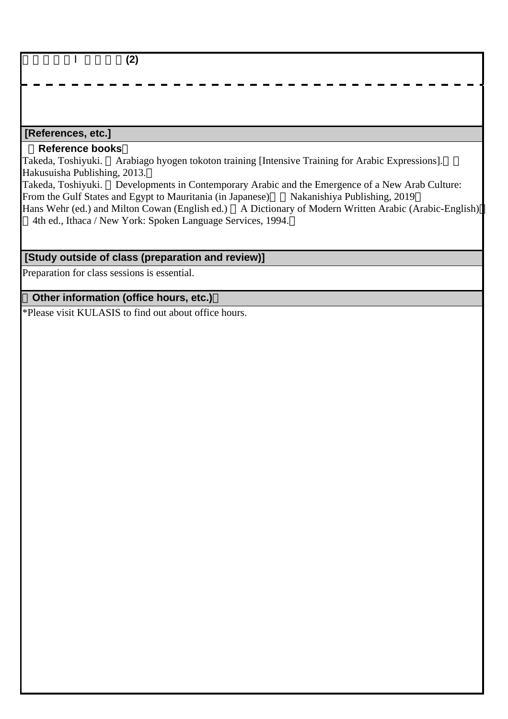|   | ורי<br>۱д.        |  |  |                    |        |  |  |  |
|---|-------------------|--|--|--------------------|--------|--|--|--|
| — | ----------------- |  |  | $\mathbf{r}$<br>__ | _<br>_ |  |  |  |
|   |                   |  |  |                    |        |  |  |  |

#### **[References, etc.]**

#### **Reference books**

Takeda, Toshiyuki. Arabiago hyogen tokoton training [Intensive Training for Arabic Expressions]. Hakusuisha Publishing, 2013.

Takeda, Toshiyuki. Developments in Contemporary Arabic and the Emergence of a New Arab Culture: From the Gulf States and Egypt to Mauritania (in Japanese) Nakanishiya Publishing, 2019 Hans Wehr (ed.) and Milton Cowan (English ed.) A Dictionary of Modern Written Arabic (Arabic-English) 4th ed., Ithaca / New York: Spoken Language Services, 1994.

# **[Study outside of class (preparation and review)]**

Preparation for class sessions is essential.

### **Other information (office hours, etc.)**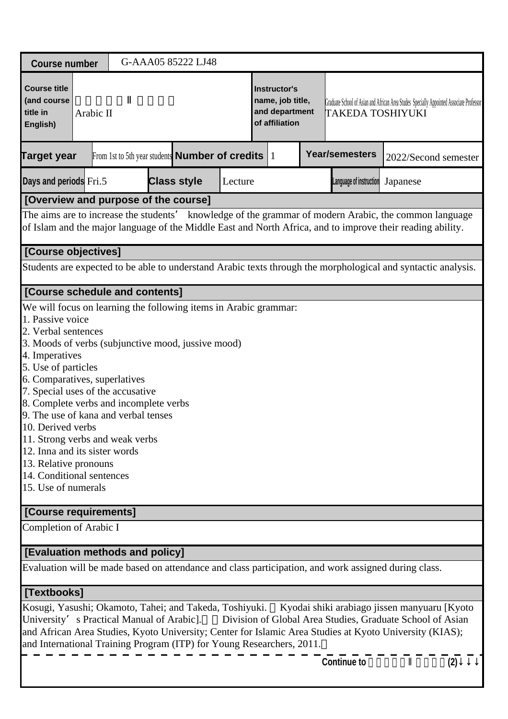| <b>Course number</b>                                                                                                                                                                                                                                                                                                                                                                                                                                                                                                                     |           |  | G-AAA05 85222 LJ48                                           |         |                                                                      |                         |                                                                                                                                                                                                                      |     |
|------------------------------------------------------------------------------------------------------------------------------------------------------------------------------------------------------------------------------------------------------------------------------------------------------------------------------------------------------------------------------------------------------------------------------------------------------------------------------------------------------------------------------------------|-----------|--|--------------------------------------------------------------|---------|----------------------------------------------------------------------|-------------------------|----------------------------------------------------------------------------------------------------------------------------------------------------------------------------------------------------------------------|-----|
| <b>Course title</b><br>(and course<br>title in<br>English)                                                                                                                                                                                                                                                                                                                                                                                                                                                                               | Arabic II |  |                                                              |         | Instructor's<br>name, job title,<br>and department<br>of affiliation | TAKEDA TOSHIYUKI        | Graduate School of Asian and African Area Studes Specially Appointed Associate Professor                                                                                                                             |     |
| <b>Target year</b>                                                                                                                                                                                                                                                                                                                                                                                                                                                                                                                       |           |  | From 1st to 5th year students <b>Number of credits</b> $ 1 $ |         |                                                                      | <b>Year/semesters</b>   | 2022/Second semester                                                                                                                                                                                                 |     |
| Days and periods Fri.5                                                                                                                                                                                                                                                                                                                                                                                                                                                                                                                   |           |  | <b>Class style</b>                                           | Lecture |                                                                      | Language of instruction | Japanese                                                                                                                                                                                                             |     |
| [Overview and purpose of the course]                                                                                                                                                                                                                                                                                                                                                                                                                                                                                                     |           |  |                                                              |         |                                                                      |                         |                                                                                                                                                                                                                      |     |
|                                                                                                                                                                                                                                                                                                                                                                                                                                                                                                                                          |           |  |                                                              |         |                                                                      |                         | The aims are to increase the students' knowledge of the grammar of modern Arabic, the common language<br>of Islam and the major language of the Middle East and North Africa, and to improve their reading ability.  |     |
| [Course objectives]                                                                                                                                                                                                                                                                                                                                                                                                                                                                                                                      |           |  |                                                              |         |                                                                      |                         |                                                                                                                                                                                                                      |     |
|                                                                                                                                                                                                                                                                                                                                                                                                                                                                                                                                          |           |  |                                                              |         |                                                                      |                         | Students are expected to be able to understand Arabic texts through the morphological and syntactic analysis.                                                                                                        |     |
| <b>[Course schedule and contents]</b>                                                                                                                                                                                                                                                                                                                                                                                                                                                                                                    |           |  |                                                              |         |                                                                      |                         |                                                                                                                                                                                                                      |     |
| We will focus on learning the following items in Arabic grammar:<br>1. Passive voice<br>2. Verbal sentences<br>3. Moods of verbs (subjunctive mood, jussive mood)<br>4. Imperatives<br>5. Use of particles<br>6. Comparatives, superlatives<br>7. Special uses of the accusative<br>8. Complete verbs and incomplete verbs<br>9. The use of kana and verbal tenses<br>10. Derived verbs<br>11. Strong verbs and weak verbs<br>12. Inna and its sister words<br>13. Relative pronouns<br>14. Conditional sentences<br>15. Use of numerals |           |  |                                                              |         |                                                                      |                         |                                                                                                                                                                                                                      |     |
| [Course requirements]                                                                                                                                                                                                                                                                                                                                                                                                                                                                                                                    |           |  |                                                              |         |                                                                      |                         |                                                                                                                                                                                                                      |     |
| Completion of Arabic I                                                                                                                                                                                                                                                                                                                                                                                                                                                                                                                   |           |  |                                                              |         |                                                                      |                         |                                                                                                                                                                                                                      |     |
| <b>[Evaluation methods and policy]</b>                                                                                                                                                                                                                                                                                                                                                                                                                                                                                                   |           |  |                                                              |         |                                                                      |                         |                                                                                                                                                                                                                      |     |
| Evaluation will be made based on attendance and class participation, and work assigned during class.                                                                                                                                                                                                                                                                                                                                                                                                                                     |           |  |                                                              |         |                                                                      |                         |                                                                                                                                                                                                                      |     |
| [Textbooks]                                                                                                                                                                                                                                                                                                                                                                                                                                                                                                                              |           |  |                                                              |         |                                                                      |                         |                                                                                                                                                                                                                      |     |
| Kosugi, Yasushi; Okamoto, Tahei; and Takeda, Toshiyuki.<br>University's Practical Manual of Arabic].<br>and International Training Program (ITP) for Young Researchers, 2011.                                                                                                                                                                                                                                                                                                                                                            |           |  |                                                              |         |                                                                      |                         | Kyodai shiki arabiago jissen manyuaru [Kyoto<br>Division of Global Area Studies, Graduate School of Asian<br>and African Area Studies, Kyoto University; Center for Islamic Area Studies at Kyoto University (KIAS); |     |
|                                                                                                                                                                                                                                                                                                                                                                                                                                                                                                                                          |           |  |                                                              |         |                                                                      | <b>Continue to</b>      |                                                                                                                                                                                                                      | (2) |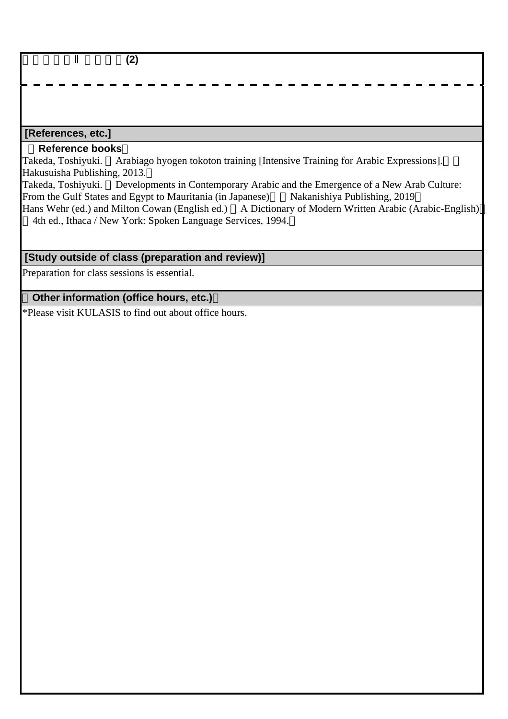|   | ורי<br>۱д.        |  |  |                    |        |  |  |  |
|---|-------------------|--|--|--------------------|--------|--|--|--|
| — | ----------------- |  |  | $\mathbf{r}$<br>__ | _<br>_ |  |  |  |
|   |                   |  |  |                    |        |  |  |  |

#### **[References, etc.]**

#### **Reference books**

Takeda, Toshiyuki. Arabiago hyogen tokoton training [Intensive Training for Arabic Expressions]. Hakusuisha Publishing, 2013.

Takeda, Toshiyuki. Developments in Contemporary Arabic and the Emergence of a New Arab Culture: From the Gulf States and Egypt to Mauritania (in Japanese) Nakanishiya Publishing, 2019 Hans Wehr (ed.) and Milton Cowan (English ed.) A Dictionary of Modern Written Arabic (Arabic-English) 4th ed., Ithaca / New York: Spoken Language Services, 1994.

# **[Study outside of class (preparation and review)]**

Preparation for class sessions is essential.

### **Other information (office hours, etc.)**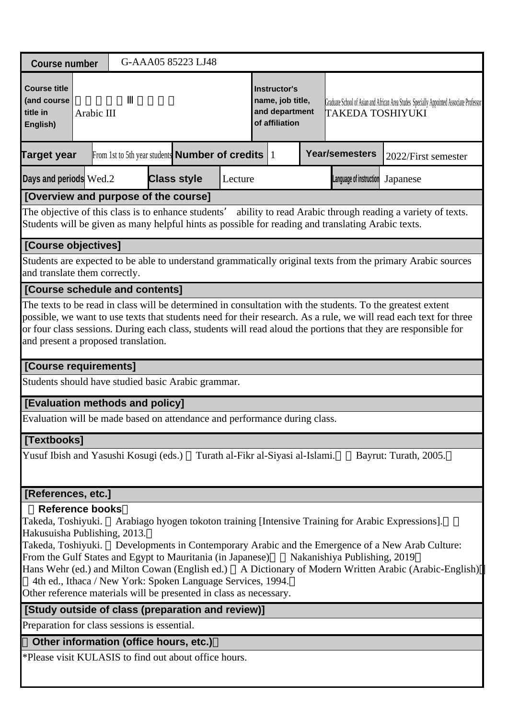| <b>Course number</b>                                                                                                                                                                                                                   |                                                                                                                                                                                                                                                                                                                                                                                          |  |  |  | G-AAA05 85223 LJ48                                          |         |  |                                                                             |  |                                                                                                    |                                                                                                                                                                                                                                                                        |  |
|----------------------------------------------------------------------------------------------------------------------------------------------------------------------------------------------------------------------------------------|------------------------------------------------------------------------------------------------------------------------------------------------------------------------------------------------------------------------------------------------------------------------------------------------------------------------------------------------------------------------------------------|--|--|--|-------------------------------------------------------------|---------|--|-----------------------------------------------------------------------------|--|----------------------------------------------------------------------------------------------------|------------------------------------------------------------------------------------------------------------------------------------------------------------------------------------------------------------------------------------------------------------------------|--|
| <b>Course title</b><br>(and course<br>title in<br>English)                                                                                                                                                                             | Arabic III                                                                                                                                                                                                                                                                                                                                                                               |  |  |  |                                                             |         |  | <b>Instructor's</b><br>name, job title,<br>and department<br>of affiliation |  | TAKEDA TOSHIYUKI                                                                                   | Graduate School of Asian and African Area Studes Specially Appointed Associate Professor                                                                                                                                                                               |  |
| Target year                                                                                                                                                                                                                            |                                                                                                                                                                                                                                                                                                                                                                                          |  |  |  | From 1st to 5th year students <b>Number of credits</b>   1  |         |  |                                                                             |  | <b>Year/semesters</b>                                                                              | 2022/First semester                                                                                                                                                                                                                                                    |  |
| Days and periods Wed.2                                                                                                                                                                                                                 |                                                                                                                                                                                                                                                                                                                                                                                          |  |  |  | <b>Class style</b>                                          | Lecture |  |                                                                             |  | Language of instruction                                                                            | Japanese                                                                                                                                                                                                                                                               |  |
| [Overview and purpose of the course]                                                                                                                                                                                                   |                                                                                                                                                                                                                                                                                                                                                                                          |  |  |  |                                                             |         |  |                                                                             |  |                                                                                                    |                                                                                                                                                                                                                                                                        |  |
| The objective of this class is to enhance students'                                                                                                                                                                                    |                                                                                                                                                                                                                                                                                                                                                                                          |  |  |  |                                                             |         |  |                                                                             |  | Students will be given as many helpful hints as possible for reading and translating Arabic texts. | ability to read Arabic through reading a variety of texts.                                                                                                                                                                                                             |  |
| [Course objectives]                                                                                                                                                                                                                    |                                                                                                                                                                                                                                                                                                                                                                                          |  |  |  |                                                             |         |  |                                                                             |  |                                                                                                    |                                                                                                                                                                                                                                                                        |  |
| and translate them correctly.                                                                                                                                                                                                          |                                                                                                                                                                                                                                                                                                                                                                                          |  |  |  |                                                             |         |  |                                                                             |  |                                                                                                    | Students are expected to be able to understand grammatically original texts from the primary Arabic sources                                                                                                                                                            |  |
| [Course schedule and contents]                                                                                                                                                                                                         |                                                                                                                                                                                                                                                                                                                                                                                          |  |  |  |                                                             |         |  |                                                                             |  |                                                                                                    |                                                                                                                                                                                                                                                                        |  |
|                                                                                                                                                                                                                                        | The texts to be read in class will be determined in consultation with the students. To the greatest extent<br>possible, we want to use texts that students need for their research. As a rule, we will read each text for three<br>or four class sessions. During each class, students will read aloud the portions that they are responsible for<br>and present a proposed translation. |  |  |  |                                                             |         |  |                                                                             |  |                                                                                                    |                                                                                                                                                                                                                                                                        |  |
| [Course requirements]                                                                                                                                                                                                                  |                                                                                                                                                                                                                                                                                                                                                                                          |  |  |  |                                                             |         |  |                                                                             |  |                                                                                                    |                                                                                                                                                                                                                                                                        |  |
| Students should have studied basic Arabic grammar.                                                                                                                                                                                     |                                                                                                                                                                                                                                                                                                                                                                                          |  |  |  |                                                             |         |  |                                                                             |  |                                                                                                    |                                                                                                                                                                                                                                                                        |  |
| [Evaluation methods and policy]                                                                                                                                                                                                        |                                                                                                                                                                                                                                                                                                                                                                                          |  |  |  |                                                             |         |  |                                                                             |  |                                                                                                    |                                                                                                                                                                                                                                                                        |  |
| Evaluation will be made based on attendance and performance during class.                                                                                                                                                              |                                                                                                                                                                                                                                                                                                                                                                                          |  |  |  |                                                             |         |  |                                                                             |  |                                                                                                    |                                                                                                                                                                                                                                                                        |  |
| [Textbooks]                                                                                                                                                                                                                            |                                                                                                                                                                                                                                                                                                                                                                                          |  |  |  |                                                             |         |  |                                                                             |  |                                                                                                    |                                                                                                                                                                                                                                                                        |  |
| Yusuf Ibish and Yasushi Kosugi (eds.)                                                                                                                                                                                                  |                                                                                                                                                                                                                                                                                                                                                                                          |  |  |  |                                                             |         |  | Turath al-Fikr al-Siyasi al-Islami.                                         |  |                                                                                                    | Bayrut: Turath, 2005.                                                                                                                                                                                                                                                  |  |
| [References, etc.]                                                                                                                                                                                                                     |                                                                                                                                                                                                                                                                                                                                                                                          |  |  |  |                                                             |         |  |                                                                             |  |                                                                                                    |                                                                                                                                                                                                                                                                        |  |
| <b>Reference books</b><br>Takeda, Toshiyuki.<br>Hakusuisha Publishing, 2013.<br>Takeda, Toshiyuki.<br>From the Gulf States and Egypt to Mauritania (in Japanese)<br>Other reference materials will be presented in class as necessary. |                                                                                                                                                                                                                                                                                                                                                                                          |  |  |  | 4th ed., Ithaca / New York: Spoken Language Services, 1994. |         |  |                                                                             |  | Nakanishiya Publishing, 2019                                                                       | Arabiago hyogen tokoton training [Intensive Training for Arabic Expressions].<br>Developments in Contemporary Arabic and the Emergence of a New Arab Culture:<br>Hans Wehr (ed.) and Milton Cowan (English ed.) A Dictionary of Modern Written Arabic (Arabic-English) |  |
| [Study outside of class (preparation and review)]                                                                                                                                                                                      |                                                                                                                                                                                                                                                                                                                                                                                          |  |  |  |                                                             |         |  |                                                                             |  |                                                                                                    |                                                                                                                                                                                                                                                                        |  |
| Preparation for class sessions is essential.                                                                                                                                                                                           |                                                                                                                                                                                                                                                                                                                                                                                          |  |  |  |                                                             |         |  |                                                                             |  |                                                                                                    |                                                                                                                                                                                                                                                                        |  |
| Other information (office hours, etc.)                                                                                                                                                                                                 |                                                                                                                                                                                                                                                                                                                                                                                          |  |  |  |                                                             |         |  |                                                                             |  |                                                                                                    |                                                                                                                                                                                                                                                                        |  |
| *Please visit KULASIS to find out about office hours.                                                                                                                                                                                  |                                                                                                                                                                                                                                                                                                                                                                                          |  |  |  |                                                             |         |  |                                                                             |  |                                                                                                    |                                                                                                                                                                                                                                                                        |  |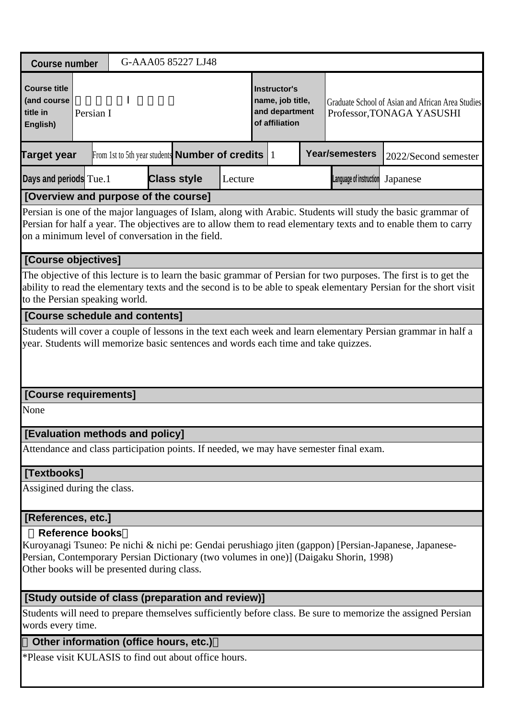| <b>Course number</b>                                       |                        |                                             | G-AAA05 85227 LJ48                                                                     |         |                                                                             |                         |                                                                                                                                                                                                                                       |
|------------------------------------------------------------|------------------------|---------------------------------------------|----------------------------------------------------------------------------------------|---------|-----------------------------------------------------------------------------|-------------------------|---------------------------------------------------------------------------------------------------------------------------------------------------------------------------------------------------------------------------------------|
| <b>Course title</b><br>(and course<br>title in<br>English) | Persian I              |                                             |                                                                                        |         | <b>Instructor's</b><br>name, job title,<br>and department<br>of affiliation |                         | Graduate School of Asian and African Area Studies<br>Professor, TONAGA YASUSHI                                                                                                                                                        |
| <b>Target year</b>                                         |                        |                                             | From 1st to 5th year students <b>Number of credits</b> $ 1 $                           |         |                                                                             | <b>Year/semesters</b>   | 2022/Second semester                                                                                                                                                                                                                  |
| Days and periods Tue. 1                                    |                        |                                             | <b>Class style</b>                                                                     | Lecture |                                                                             | Language of instruction | Japanese                                                                                                                                                                                                                              |
|                                                            |                        | [Overview and purpose of the course]        |                                                                                        |         |                                                                             |                         |                                                                                                                                                                                                                                       |
|                                                            |                        |                                             | on a minimum level of conversation in the field.                                       |         |                                                                             |                         | Persian is one of the major languages of Islam, along with Arabic. Students will study the basic grammar of<br>Persian for half a year. The objectives are to allow them to read elementary texts and to enable them to carry         |
| [Course objectives]                                        |                        |                                             |                                                                                        |         |                                                                             |                         |                                                                                                                                                                                                                                       |
| to the Persian speaking world.                             |                        |                                             |                                                                                        |         |                                                                             |                         | The objective of this lecture is to learn the basic grammar of Persian for two purposes. The first is to get the<br>ability to read the elementary texts and the second is to be able to speak elementary Persian for the short visit |
|                                                            |                        | [Course schedule and contents]              |                                                                                        |         |                                                                             |                         |                                                                                                                                                                                                                                       |
|                                                            |                        |                                             | year. Students will memorize basic sentences and words each time and take quizzes.     |         |                                                                             |                         | Students will cover a couple of lessons in the text each week and learn elementary Persian grammar in half a                                                                                                                          |
| [Course requirements]                                      |                        |                                             |                                                                                        |         |                                                                             |                         |                                                                                                                                                                                                                                       |
| None                                                       |                        |                                             |                                                                                        |         |                                                                             |                         |                                                                                                                                                                                                                                       |
|                                                            |                        | [Evaluation methods and policy]             |                                                                                        |         |                                                                             |                         |                                                                                                                                                                                                                                       |
|                                                            |                        |                                             | Attendance and class participation points. If needed, we may have semester final exam. |         |                                                                             |                         |                                                                                                                                                                                                                                       |
| [Textbooks]                                                |                        |                                             |                                                                                        |         |                                                                             |                         |                                                                                                                                                                                                                                       |
| Assigined during the class.                                |                        |                                             |                                                                                        |         |                                                                             |                         |                                                                                                                                                                                                                                       |
| [References, etc.]                                         |                        |                                             |                                                                                        |         |                                                                             |                         |                                                                                                                                                                                                                                       |
|                                                            | <b>Reference books</b> | Other books will be presented during class. | Persian, Contemporary Persian Dictionary (two volumes in one)] (Daigaku Shorin, 1998)  |         |                                                                             |                         | Kuroyanagi Tsuneo: Pe nichi & nichi pe: Gendai perushiago jiten (gappon) [Persian-Japanese, Japanese-                                                                                                                                 |
|                                                            |                        |                                             | [Study outside of class (preparation and review)]                                      |         |                                                                             |                         |                                                                                                                                                                                                                                       |
| words every time.                                          |                        |                                             |                                                                                        |         |                                                                             |                         | Students will need to prepare themselves sufficiently before class. Be sure to memorize the assigned Persian                                                                                                                          |
|                                                            |                        |                                             |                                                                                        |         |                                                                             |                         |                                                                                                                                                                                                                                       |

## **Other information (office hours, etc.)**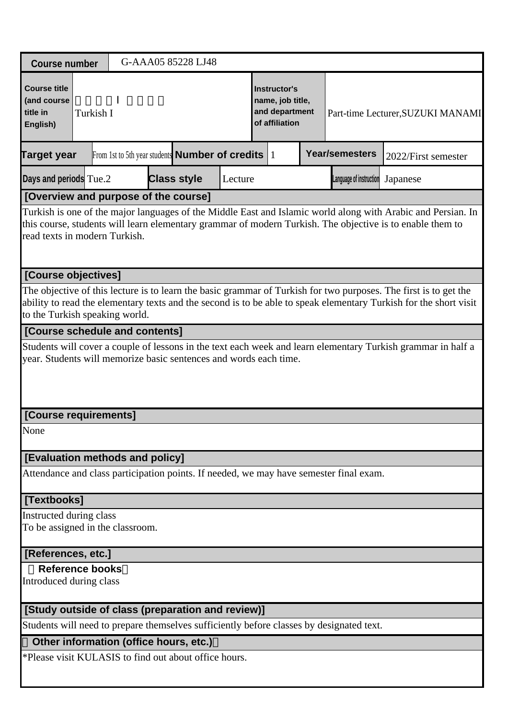| <b>Course number</b>                                                                                                                                                                                                                                                    | G-AAA05 85228 LJ48                                                                                                                                                                |         |                                                                      |  |                                  |                                   |  |  |  |  |  |  |
|-------------------------------------------------------------------------------------------------------------------------------------------------------------------------------------------------------------------------------------------------------------------------|-----------------------------------------------------------------------------------------------------------------------------------------------------------------------------------|---------|----------------------------------------------------------------------|--|----------------------------------|-----------------------------------|--|--|--|--|--|--|
| <b>Course title</b><br>(and course<br>title in<br>Turkish I<br>English)                                                                                                                                                                                                 |                                                                                                                                                                                   |         | Instructor's<br>name, job title,<br>and department<br>of affiliation |  |                                  | Part-time Lecturer, SUZUKI MANAMI |  |  |  |  |  |  |
| <b>Target year</b>                                                                                                                                                                                                                                                      | From 1st to 5th year students <b>Number of credits</b> 1                                                                                                                          |         |                                                                      |  | <b>Year/semesters</b>            | 2022/First semester               |  |  |  |  |  |  |
| Days and periods Tue.2                                                                                                                                                                                                                                                  | <b>Class style</b>                                                                                                                                                                | Lecture |                                                                      |  | Language of instruction Japanese |                                   |  |  |  |  |  |  |
| [Overview and purpose of the course]                                                                                                                                                                                                                                    |                                                                                                                                                                                   |         |                                                                      |  |                                  |                                   |  |  |  |  |  |  |
| Turkish is one of the major languages of the Middle East and Islamic world along with Arabic and Persian. In<br>this course, students will learn elementary grammar of modern Turkish. The objective is to enable them to<br>read texts in modern Turkish.              |                                                                                                                                                                                   |         |                                                                      |  |                                  |                                   |  |  |  |  |  |  |
| [Course objectives]                                                                                                                                                                                                                                                     |                                                                                                                                                                                   |         |                                                                      |  |                                  |                                   |  |  |  |  |  |  |
| The objective of this lecture is to learn the basic grammar of Turkish for two purposes. The first is to get the<br>ability to read the elementary texts and the second is to be able to speak elementary Turkish for the short visit<br>to the Turkish speaking world. |                                                                                                                                                                                   |         |                                                                      |  |                                  |                                   |  |  |  |  |  |  |
| [Course schedule and contents]                                                                                                                                                                                                                                          |                                                                                                                                                                                   |         |                                                                      |  |                                  |                                   |  |  |  |  |  |  |
|                                                                                                                                                                                                                                                                         | Students will cover a couple of lessons in the text each week and learn elementary Turkish grammar in half a<br>year. Students will memorize basic sentences and words each time. |         |                                                                      |  |                                  |                                   |  |  |  |  |  |  |
| [Course requirements]                                                                                                                                                                                                                                                   |                                                                                                                                                                                   |         |                                                                      |  |                                  |                                   |  |  |  |  |  |  |
| None                                                                                                                                                                                                                                                                    |                                                                                                                                                                                   |         |                                                                      |  |                                  |                                   |  |  |  |  |  |  |
| [Evaluation methods and policy]                                                                                                                                                                                                                                         |                                                                                                                                                                                   |         |                                                                      |  |                                  |                                   |  |  |  |  |  |  |
| Attendance and class participation points. If needed, we may have semester final exam.                                                                                                                                                                                  |                                                                                                                                                                                   |         |                                                                      |  |                                  |                                   |  |  |  |  |  |  |
| [Textbooks]                                                                                                                                                                                                                                                             |                                                                                                                                                                                   |         |                                                                      |  |                                  |                                   |  |  |  |  |  |  |
| Instructed during class<br>To be assigned in the classroom.                                                                                                                                                                                                             |                                                                                                                                                                                   |         |                                                                      |  |                                  |                                   |  |  |  |  |  |  |
| [References, etc.]                                                                                                                                                                                                                                                      |                                                                                                                                                                                   |         |                                                                      |  |                                  |                                   |  |  |  |  |  |  |
| <b>Reference books</b>                                                                                                                                                                                                                                                  |                                                                                                                                                                                   |         |                                                                      |  |                                  |                                   |  |  |  |  |  |  |
| Introduced during class                                                                                                                                                                                                                                                 |                                                                                                                                                                                   |         |                                                                      |  |                                  |                                   |  |  |  |  |  |  |
| [Study outside of class (preparation and review)]                                                                                                                                                                                                                       |                                                                                                                                                                                   |         |                                                                      |  |                                  |                                   |  |  |  |  |  |  |
| Students will need to prepare themselves sufficiently before classes by designated text.                                                                                                                                                                                |                                                                                                                                                                                   |         |                                                                      |  |                                  |                                   |  |  |  |  |  |  |
| Other information (office hours, etc.)                                                                                                                                                                                                                                  |                                                                                                                                                                                   |         |                                                                      |  |                                  |                                   |  |  |  |  |  |  |
| *Please visit KULASIS to find out about office hours.                                                                                                                                                                                                                   |                                                                                                                                                                                   |         |                                                                      |  |                                  |                                   |  |  |  |  |  |  |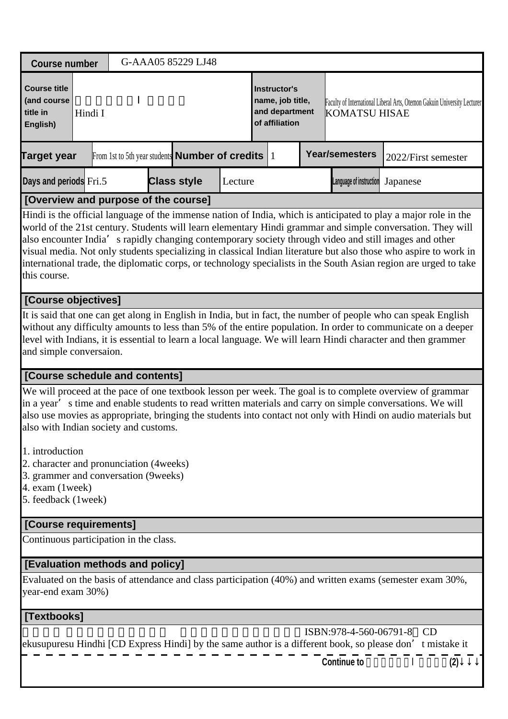| <b>Course number</b>                                                                                                                               | G-AAA05 85229 LJ48                                           |         |                                                                      |                                  |                                                                                                                                                                                                                                                                                                                                                                                                                                                                       |  |  |
|----------------------------------------------------------------------------------------------------------------------------------------------------|--------------------------------------------------------------|---------|----------------------------------------------------------------------|----------------------------------|-----------------------------------------------------------------------------------------------------------------------------------------------------------------------------------------------------------------------------------------------------------------------------------------------------------------------------------------------------------------------------------------------------------------------------------------------------------------------|--|--|
| <b>Course title</b><br>(and course<br>title in<br>Hindi I<br>English)                                                                              |                                                              |         | Instructor's<br>name, job title,<br>and department<br>of affiliation | <b>KOMATSU HISAE</b>             | Faculty of International Liberal Arts, Otemon Gakuin University Lecturer                                                                                                                                                                                                                                                                                                                                                                                              |  |  |
| <b>Target year</b>                                                                                                                                 | From 1st to 5th year students <b>Number of credits</b> $ 1 $ |         |                                                                      | <b>Year/semesters</b>            | 2022/First semester                                                                                                                                                                                                                                                                                                                                                                                                                                                   |  |  |
| Days and periods Fri.5                                                                                                                             | <b>Class style</b>                                           | Lecture |                                                                      | Language of instruction Japanese |                                                                                                                                                                                                                                                                                                                                                                                                                                                                       |  |  |
| [Overview and purpose of the course]                                                                                                               |                                                              |         |                                                                      |                                  |                                                                                                                                                                                                                                                                                                                                                                                                                                                                       |  |  |
| also encounter India' s rapidly changing contemporary society through video and still images and other<br>this course.                             |                                                              |         |                                                                      |                                  | Hindi is the official language of the immense nation of India, which is anticipated to play a major role in the<br>world of the 21st century. Students will learn elementary Hindi grammar and simple conversation. They will<br>visual media. Not only students specializing in classical Indian literature but also those who aspire to work in<br>international trade, the diplomatic corps, or technology specialists in the South Asian region are urged to take |  |  |
| [Course objectives]                                                                                                                                |                                                              |         |                                                                      |                                  |                                                                                                                                                                                                                                                                                                                                                                                                                                                                       |  |  |
| level with Indians, it is essential to learn a local language. We will learn Hindi character and then grammer<br>and simple conversaion.           |                                                              |         |                                                                      |                                  | It is said that one can get along in English in India, but in fact, the number of people who can speak English<br>without any difficulty amounts to less than 5% of the entire population. In order to communicate on a deeper                                                                                                                                                                                                                                        |  |  |
| [Course schedule and contents]                                                                                                                     |                                                              |         |                                                                      |                                  |                                                                                                                                                                                                                                                                                                                                                                                                                                                                       |  |  |
| in a year's time and enable students to read written materials and carry on simple conversations. We will<br>also with Indian society and customs. |                                                              |         |                                                                      |                                  | We will proceed at the pace of one textbook lesson per week. The goal is to complete overview of grammar<br>also use movies as appropriate, bringing the students into contact not only with Hindi on audio materials but                                                                                                                                                                                                                                             |  |  |
| 1. introduction<br>2. character and pronunciation (4 weeks)<br>3. grammer and conversation (9weeks)<br>4. exam (1week)<br>5. feedback (1week)      |                                                              |         |                                                                      |                                  |                                                                                                                                                                                                                                                                                                                                                                                                                                                                       |  |  |
| [Course requirements]                                                                                                                              |                                                              |         |                                                                      |                                  |                                                                                                                                                                                                                                                                                                                                                                                                                                                                       |  |  |
| Continuous participation in the class.                                                                                                             |                                                              |         |                                                                      |                                  |                                                                                                                                                                                                                                                                                                                                                                                                                                                                       |  |  |
| [Evaluation methods and policy]                                                                                                                    |                                                              |         |                                                                      |                                  |                                                                                                                                                                                                                                                                                                                                                                                                                                                                       |  |  |
| Evaluated on the basis of attendance and class participation (40%) and written exams (semester exam 30%,<br>year-end exam 30%)                     |                                                              |         |                                                                      |                                  |                                                                                                                                                                                                                                                                                                                                                                                                                                                                       |  |  |
| [Textbooks]                                                                                                                                        |                                                              |         |                                                                      |                                  |                                                                                                                                                                                                                                                                                                                                                                                                                                                                       |  |  |
|                                                                                                                                                    |                                                              |         |                                                                      | ISBN:978-4-560-06791-8           | CD<br>ekusupuresu Hindhi [CD Express Hindi] by the same author is a different book, so please don't mistake it                                                                                                                                                                                                                                                                                                                                                        |  |  |

| <b>Continue to</b> |  |  |
|--------------------|--|--|
|                    |  |  |

**Continue to** ヒンディー語Ⅰ(初級)**(2)**↓↓↓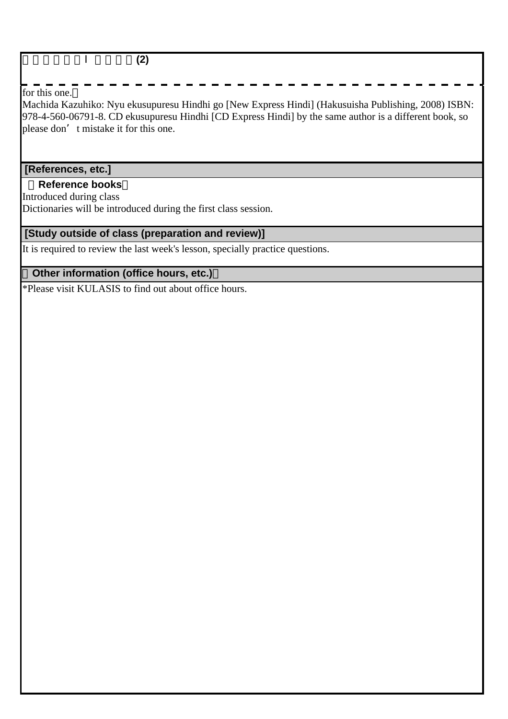#### ヒンディー語Ⅰ(初級)**(2)**

#### for this one.

Machida Kazuhiko: Nyu ekusupuresu Hindhi go [New Express Hindi] (Hakusuisha Publishing, 2008) ISBN: 978-4-560-06791-8. CD ekusupuresu Hindhi [CD Express Hindi] by the same author is a different book, so please don't mistake it for this one.

#### **[References, etc.]**

#### **Reference books**

Introduced during class

Dictionaries will be introduced during the first class session.

## **[Study outside of class (preparation and review)]**

It is required to review the last week's lesson, specially practice questions.

#### **Other information (office hours, etc.)**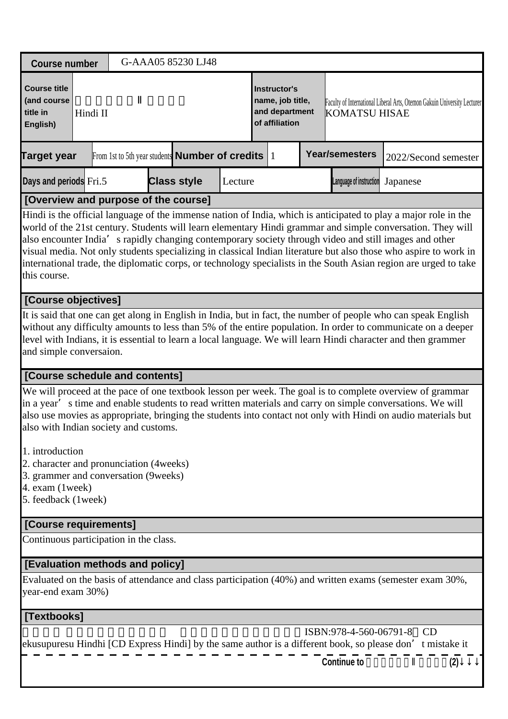| <b>Course number</b>                                                                                                                                                                                                                                                                                                                                                                                                                                                                                                                                                                            | G-AAA05 85230 LJ48                                           |                    |         |                                                                      |                                  |                                                                          |  |  |
|-------------------------------------------------------------------------------------------------------------------------------------------------------------------------------------------------------------------------------------------------------------------------------------------------------------------------------------------------------------------------------------------------------------------------------------------------------------------------------------------------------------------------------------------------------------------------------------------------|--------------------------------------------------------------|--------------------|---------|----------------------------------------------------------------------|----------------------------------|--------------------------------------------------------------------------|--|--|
| <b>Course title</b><br>(and course<br>title in<br>Hindi II<br>English)                                                                                                                                                                                                                                                                                                                                                                                                                                                                                                                          |                                                              |                    |         | Instructor's<br>name, job title,<br>and department<br>of affiliation | <b>KOMATSU HISAE</b>             | Faculty of International Liberal Arts, Otemon Gakuin University Lecturer |  |  |
| <b>Target year</b>                                                                                                                                                                                                                                                                                                                                                                                                                                                                                                                                                                              | From 1st to 5th year students <b>Number of credits</b> $ 1 $ |                    |         |                                                                      | <b>Year/semesters</b>            | 2022/Second semester                                                     |  |  |
| Days and periods Fri.5                                                                                                                                                                                                                                                                                                                                                                                                                                                                                                                                                                          |                                                              | <b>Class style</b> | Lecture |                                                                      | Language of instruction Japanese |                                                                          |  |  |
| [Overview and purpose of the course]                                                                                                                                                                                                                                                                                                                                                                                                                                                                                                                                                            |                                                              |                    |         |                                                                      |                                  |                                                                          |  |  |
| Hindi is the official language of the immense nation of India, which is anticipated to play a major role in the<br>world of the 21st century. Students will learn elementary Hindi grammar and simple conversation. They will<br>also encounter India' s rapidly changing contemporary society through video and still images and other<br>visual media. Not only students specializing in classical Indian literature but also those who aspire to work in<br>international trade, the diplomatic corps, or technology specialists in the South Asian region are urged to take<br>this course. |                                                              |                    |         |                                                                      |                                  |                                                                          |  |  |
| [Course objectives]                                                                                                                                                                                                                                                                                                                                                                                                                                                                                                                                                                             |                                                              |                    |         |                                                                      |                                  |                                                                          |  |  |
| It is said that one can get along in English in India, but in fact, the number of people who can speak English<br>without any difficulty amounts to less than 5% of the entire population. In order to communicate on a deeper<br>level with Indians, it is essential to learn a local language. We will learn Hindi character and then grammer<br>and simple conversaion.                                                                                                                                                                                                                      |                                                              |                    |         |                                                                      |                                  |                                                                          |  |  |
| [Course schedule and contents]                                                                                                                                                                                                                                                                                                                                                                                                                                                                                                                                                                  |                                                              |                    |         |                                                                      |                                  |                                                                          |  |  |
| We will proceed at the pace of one textbook lesson per week. The goal is to complete overview of grammar<br>in a year's time and enable students to read written materials and carry on simple conversations. We will<br>also use movies as appropriate, bringing the students into contact not only with Hindi on audio materials but<br>also with Indian society and customs.                                                                                                                                                                                                                 |                                                              |                    |         |                                                                      |                                  |                                                                          |  |  |
| 1. introduction<br>2. character and pronunciation (4 weeks)<br>3. grammer and conversation (9weeks)<br>4. exam (1week)<br>5. feedback (1week)                                                                                                                                                                                                                                                                                                                                                                                                                                                   |                                                              |                    |         |                                                                      |                                  |                                                                          |  |  |
| [Course requirements]                                                                                                                                                                                                                                                                                                                                                                                                                                                                                                                                                                           |                                                              |                    |         |                                                                      |                                  |                                                                          |  |  |
| Continuous participation in the class.                                                                                                                                                                                                                                                                                                                                                                                                                                                                                                                                                          |                                                              |                    |         |                                                                      |                                  |                                                                          |  |  |
| [Evaluation methods and policy]                                                                                                                                                                                                                                                                                                                                                                                                                                                                                                                                                                 |                                                              |                    |         |                                                                      |                                  |                                                                          |  |  |
| Evaluated on the basis of attendance and class participation (40%) and written exams (semester exam 30%,<br>year-end exam 30%)                                                                                                                                                                                                                                                                                                                                                                                                                                                                  |                                                              |                    |         |                                                                      |                                  |                                                                          |  |  |
| [Textbooks]                                                                                                                                                                                                                                                                                                                                                                                                                                                                                                                                                                                     |                                                              |                    |         |                                                                      |                                  |                                                                          |  |  |
| ekusupuresu Hindhi [CD Express Hindi] by the same author is a different book, so please don't mistake it                                                                                                                                                                                                                                                                                                                                                                                                                                                                                        |                                                              |                    |         |                                                                      | ISBN:978-4-560-06791-8           | CD                                                                       |  |  |

| <b>Continue to</b> |  |
|--------------------|--|

**Continue to** ヒンディー語Ⅱ(初級)**(2)**↓↓↓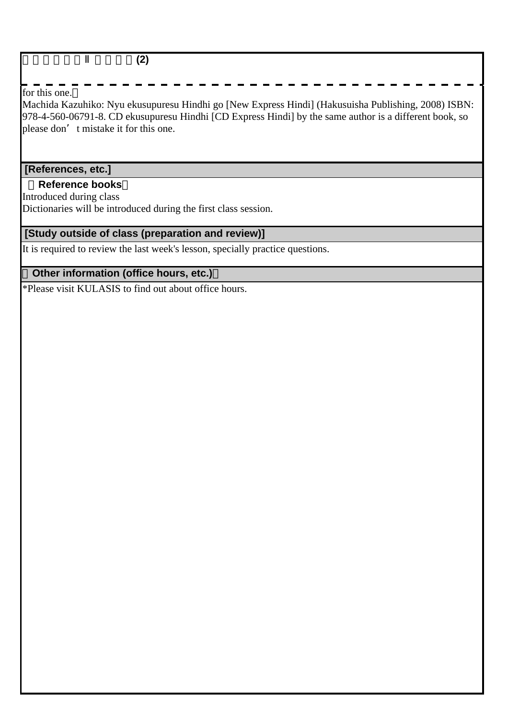#### ヒンディー語Ⅱ(初級)**(2)**

#### for this one.

Machida Kazuhiko: Nyu ekusupuresu Hindhi go [New Express Hindi] (Hakusuisha Publishing, 2008) ISBN: 978-4-560-06791-8. CD ekusupuresu Hindhi [CD Express Hindi] by the same author is a different book, so please don't mistake it for this one.

#### **[References, etc.]**

#### **Reference books**

Introduced during class

Dictionaries will be introduced during the first class session.

## **[Study outside of class (preparation and review)]**

It is required to review the last week's lesson, specially practice questions.

#### **Other information (office hours, etc.)**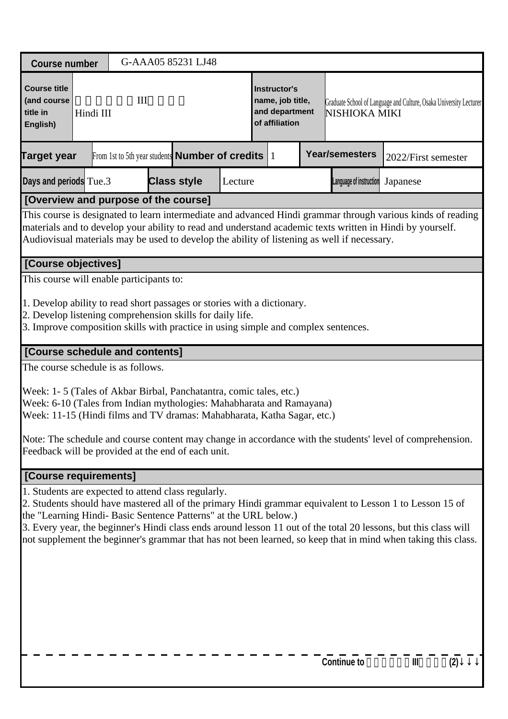| <b>Course number</b>                                                                                                                                                                                                                                                                                              |                                                                                                                                                                                                                                                                                                                                                                 |  |     |                                                                                                              | G-AAA05 85231 LJ48 |  |  |                                                                      |  |                    |                                                                                                                                                                                                                                                                                                                                               |  |
|-------------------------------------------------------------------------------------------------------------------------------------------------------------------------------------------------------------------------------------------------------------------------------------------------------------------|-----------------------------------------------------------------------------------------------------------------------------------------------------------------------------------------------------------------------------------------------------------------------------------------------------------------------------------------------------------------|--|-----|--------------------------------------------------------------------------------------------------------------|--------------------|--|--|----------------------------------------------------------------------|--|--------------------|-----------------------------------------------------------------------------------------------------------------------------------------------------------------------------------------------------------------------------------------------------------------------------------------------------------------------------------------------|--|
| <b>Course title</b><br>(and course<br>title in<br>English)                                                                                                                                                                                                                                                        | Hindi III                                                                                                                                                                                                                                                                                                                                                       |  | III |                                                                                                              |                    |  |  | Instructor's<br>name, job title,<br>and department<br>of affiliation |  | NISHIOKA MIKI      | Graduate School of Language and Culture, Osaka University Lecturer                                                                                                                                                                                                                                                                            |  |
| <b>Target year</b>                                                                                                                                                                                                                                                                                                |                                                                                                                                                                                                                                                                                                                                                                 |  |     | <b>Year/semesters</b><br>From 1st to 5th year students <b>Number of credits</b> $ 1 $<br>2022/First semester |                    |  |  |                                                                      |  |                    |                                                                                                                                                                                                                                                                                                                                               |  |
| <b>Class style</b><br>Days and periods Tue.3<br>Lecture<br>Language of instruction<br>Japanese                                                                                                                                                                                                                    |                                                                                                                                                                                                                                                                                                                                                                 |  |     |                                                                                                              |                    |  |  |                                                                      |  |                    |                                                                                                                                                                                                                                                                                                                                               |  |
|                                                                                                                                                                                                                                                                                                                   | [Overview and purpose of the course]<br>This course is designated to learn intermediate and advanced Hindi grammar through various kinds of reading<br>materials and to develop your ability to read and understand academic texts written in Hindi by yourself.<br>Audiovisual materials may be used to develop the ability of listening as well if necessary. |  |     |                                                                                                              |                    |  |  |                                                                      |  |                    |                                                                                                                                                                                                                                                                                                                                               |  |
| [Course objectives]                                                                                                                                                                                                                                                                                               |                                                                                                                                                                                                                                                                                                                                                                 |  |     |                                                                                                              |                    |  |  |                                                                      |  |                    |                                                                                                                                                                                                                                                                                                                                               |  |
|                                                                                                                                                                                                                                                                                                                   | This course will enable participants to:<br>1. Develop ability to read short passages or stories with a dictionary.<br>2. Develop listening comprehension skills for daily life.<br>3. Improve composition skills with practice in using simple and complex sentences.                                                                                          |  |     |                                                                                                              |                    |  |  |                                                                      |  |                    |                                                                                                                                                                                                                                                                                                                                               |  |
| [Course schedule and contents]                                                                                                                                                                                                                                                                                    |                                                                                                                                                                                                                                                                                                                                                                 |  |     |                                                                                                              |                    |  |  |                                                                      |  |                    |                                                                                                                                                                                                                                                                                                                                               |  |
| The course schedule is as follows.<br>Week: 1-5 (Tales of Akbar Birbal, Panchatantra, comic tales, etc.)<br>Week: 6-10 (Tales from Indian mythologies: Mahabharata and Ramayana)<br>Week: 11-15 (Hindi films and TV dramas: Mahabharata, Katha Sagar, etc.)<br>Feedback will be provided at the end of each unit. |                                                                                                                                                                                                                                                                                                                                                                 |  |     |                                                                                                              |                    |  |  |                                                                      |  |                    | Note: The schedule and course content may change in accordance with the students' level of comprehension.                                                                                                                                                                                                                                     |  |
| [Course requirements]                                                                                                                                                                                                                                                                                             |                                                                                                                                                                                                                                                                                                                                                                 |  |     |                                                                                                              |                    |  |  |                                                                      |  |                    |                                                                                                                                                                                                                                                                                                                                               |  |
| 1. Students are expected to attend class regularly.<br>the "Learning Hindi- Basic Sentence Patterns" at the URL below.)                                                                                                                                                                                           |                                                                                                                                                                                                                                                                                                                                                                 |  |     |                                                                                                              |                    |  |  |                                                                      |  |                    | 2. Students should have mastered all of the primary Hindi grammar equivalent to Lesson 1 to Lesson 15 of<br>3. Every year, the beginner's Hindi class ends around lesson 11 out of the total 20 lessons, but this class will<br>not supplement the beginner's grammar that has not been learned, so keep that in mind when taking this class. |  |
|                                                                                                                                                                                                                                                                                                                   |                                                                                                                                                                                                                                                                                                                                                                 |  |     |                                                                                                              |                    |  |  |                                                                      |  | <b>Continue to</b> | Ш<br>(2)                                                                                                                                                                                                                                                                                                                                      |  |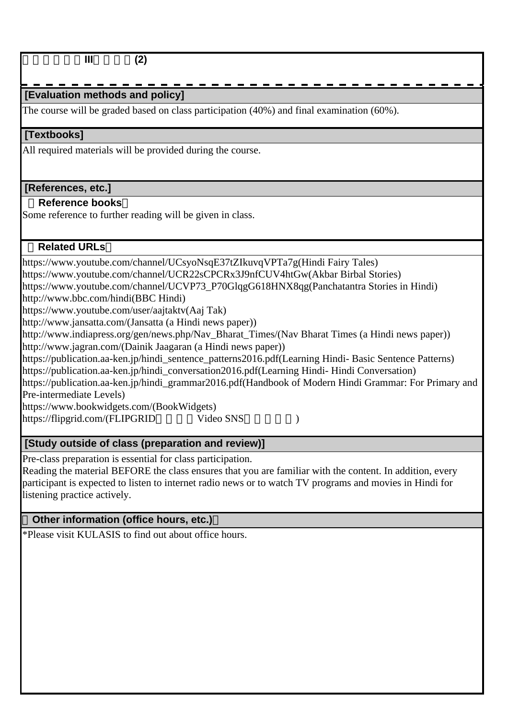ヒンディー語**III**(中級)**(2)**

# **[Evaluation methods and policy]**

The course will be graded based on class participation (40%) and final examination (60%).

## **[Textbooks]**

All required materials will be provided during the course.

## **[References, etc.]**

## **Reference books**

Some reference to further reading will be given in class.

## **Related URLs**

https://www.youtube.com/channel/UCsyoNsqE37tZIkuvqVPTa7g(Hindi Fairy Tales) https://www.youtube.com/channel/UCR22sCPCRx3J9nfCUV4htGw(Akbar Birbal Stories) https://www.youtube.com/channel/UCVP73\_P70GlqgG618HNX8qg(Panchatantra Stories in Hindi) http://www.bbc.com/hindi(BBC Hindi) https://www.youtube.com/user/aajtaktv(Aaj Tak) http://www.jansatta.com/(Jansatta (a Hindi news paper)) http://www.indiapress.org/gen/news.php/Nav\_Bharat\_Times/(Nav Bharat Times (a Hindi news paper)) http://www.jagran.com/(Dainik Jaagaran (a Hindi news paper)) https://publication.aa-ken.jp/hindi\_sentence\_patterns2016.pdf(Learning Hindi- Basic Sentence Patterns) https://publication.aa-ken.jp/hindi\_conversation2016.pdf(Learning Hindi- Hindi Conversation) https://publication.aa-ken.jp/hindi\_grammar2016.pdf(Handbook of Modern Hindi Grammar: For Primary and Pre-intermediate Levels) https://www.bookwidgets.com/(BookWidgets) https://flipgrid.com/(FLIPGRID Video SNS)

## **[Study outside of class (preparation and review)]**

Pre-class preparation is essential for class participation.

Reading the material BEFORE the class ensures that you are familiar with the content. In addition, every participant is expected to listen to internet radio news or to watch TV programs and movies in Hindi for listening practice actively.

## **Other information (office hours, etc.)**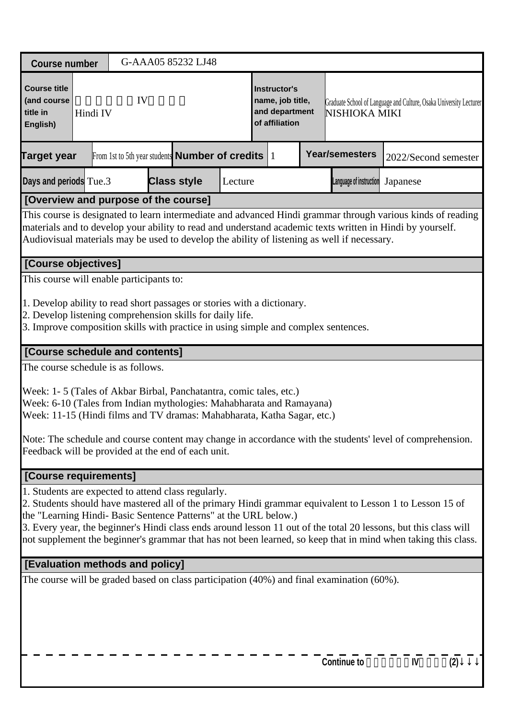| <b>Course number</b>                                                                                                                                                                                                                                                                                                    |                                                                                                                                                                                                                                                              |  |    |  | G-AAA05 85232 LJ48 |  |                                                                      |  |  |                                                                                           |                                                                                                                                                                                                                                                                                                                                               |  |
|-------------------------------------------------------------------------------------------------------------------------------------------------------------------------------------------------------------------------------------------------------------------------------------------------------------------------|--------------------------------------------------------------------------------------------------------------------------------------------------------------------------------------------------------------------------------------------------------------|--|----|--|--------------------|--|----------------------------------------------------------------------|--|--|-------------------------------------------------------------------------------------------|-----------------------------------------------------------------------------------------------------------------------------------------------------------------------------------------------------------------------------------------------------------------------------------------------------------------------------------------------|--|
| <b>Course title</b><br>(and course<br>title in<br>English)                                                                                                                                                                                                                                                              | Hindi IV                                                                                                                                                                                                                                                     |  | IV |  |                    |  | Instructor's<br>name, job title,<br>and department<br>of affiliation |  |  | Graduate School of Language and Culture, Osaka University Lecturer<br>NISHIOKA MIKI       |                                                                                                                                                                                                                                                                                                                                               |  |
| Target year                                                                                                                                                                                                                                                                                                             | <b>Year/semesters</b><br>From 1st to 5th year students <b>Number of credits</b> $ 1 $                                                                                                                                                                        |  |    |  |                    |  |                                                                      |  |  | 2022/Second semester                                                                      |                                                                                                                                                                                                                                                                                                                                               |  |
| <b>Class style</b><br>Days and periods Tue.3<br>Lecture<br>Language of instruction<br>Japanese                                                                                                                                                                                                                          |                                                                                                                                                                                                                                                              |  |    |  |                    |  |                                                                      |  |  |                                                                                           |                                                                                                                                                                                                                                                                                                                                               |  |
| [Overview and purpose of the course]                                                                                                                                                                                                                                                                                    |                                                                                                                                                                                                                                                              |  |    |  |                    |  |                                                                      |  |  |                                                                                           |                                                                                                                                                                                                                                                                                                                                               |  |
| This course is designated to learn intermediate and advanced Hindi grammar through various kinds of reading<br>materials and to develop your ability to read and understand academic texts written in Hindi by yourself.<br>Audiovisual materials may be used to develop the ability of listening as well if necessary. |                                                                                                                                                                                                                                                              |  |    |  |                    |  |                                                                      |  |  |                                                                                           |                                                                                                                                                                                                                                                                                                                                               |  |
| [Course objectives]                                                                                                                                                                                                                                                                                                     |                                                                                                                                                                                                                                                              |  |    |  |                    |  |                                                                      |  |  |                                                                                           |                                                                                                                                                                                                                                                                                                                                               |  |
| This course will enable participants to:                                                                                                                                                                                                                                                                                |                                                                                                                                                                                                                                                              |  |    |  |                    |  |                                                                      |  |  |                                                                                           |                                                                                                                                                                                                                                                                                                                                               |  |
| The course schedule is as follows.                                                                                                                                                                                                                                                                                      | 1. Develop ability to read short passages or stories with a dictionary.<br>2. Develop listening comprehension skills for daily life.<br>3. Improve composition skills with practice in using simple and complex sentences.<br>[Course schedule and contents] |  |    |  |                    |  |                                                                      |  |  |                                                                                           |                                                                                                                                                                                                                                                                                                                                               |  |
| Week: 1-5 (Tales of Akbar Birbal, Panchatantra, comic tales, etc.)<br>Week: 6-10 (Tales from Indian mythologies: Mahabharata and Ramayana)<br>Week: 11-15 (Hindi films and TV dramas: Mahabharata, Katha Sagar, etc.)<br>Feedback will be provided at the end of each unit.                                             |                                                                                                                                                                                                                                                              |  |    |  |                    |  |                                                                      |  |  |                                                                                           | Note: The schedule and course content may change in accordance with the students' level of comprehension.                                                                                                                                                                                                                                     |  |
| [Course requirements]                                                                                                                                                                                                                                                                                                   |                                                                                                                                                                                                                                                              |  |    |  |                    |  |                                                                      |  |  |                                                                                           |                                                                                                                                                                                                                                                                                                                                               |  |
| 1. Students are expected to attend class regularly.<br>the "Learning Hindi- Basic Sentence Patterns" at the URL below.)                                                                                                                                                                                                 |                                                                                                                                                                                                                                                              |  |    |  |                    |  |                                                                      |  |  |                                                                                           | 2. Students should have mastered all of the primary Hindi grammar equivalent to Lesson 1 to Lesson 15 of<br>3. Every year, the beginner's Hindi class ends around lesson 11 out of the total 20 lessons, but this class will<br>not supplement the beginner's grammar that has not been learned, so keep that in mind when taking this class. |  |
| [Evaluation methods and policy]                                                                                                                                                                                                                                                                                         |                                                                                                                                                                                                                                                              |  |    |  |                    |  |                                                                      |  |  |                                                                                           |                                                                                                                                                                                                                                                                                                                                               |  |
|                                                                                                                                                                                                                                                                                                                         |                                                                                                                                                                                                                                                              |  |    |  |                    |  |                                                                      |  |  | The course will be graded based on class participation (40%) and final examination (60%). |                                                                                                                                                                                                                                                                                                                                               |  |

 $\frac{1}{2}$ Continue to  $\frac{1}{2}$  –  $\frac{1}{2}$  –  $\frac{1}{2}$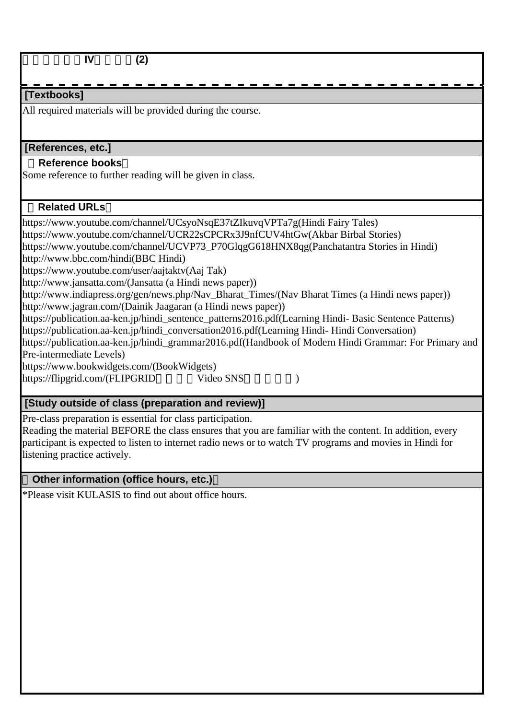| IV<br>(2)                                                                                              |
|--------------------------------------------------------------------------------------------------------|
|                                                                                                        |
| [Textbooks]                                                                                            |
| All required materials will be provided during the course.                                             |
|                                                                                                        |
|                                                                                                        |
| [References, etc.]                                                                                     |
| <b>Reference books</b>                                                                                 |
| Some reference to further reading will be given in class.                                              |
|                                                                                                        |
| <b>Related URLs</b>                                                                                    |
| https://www.youtube.com/channel/UCsyoNsqE37tZIkuvqVPTa7g(Hindi Fairy Tales)                            |
| https://www.youtube.com/channel/UCR22sCPCRx3J9nfCUV4htGw(Akbar Birbal Stories)                         |
| https://www.youtube.com/channel/UCVP73_P70GlqgG618HNX8qg(Panchatantra Stories in Hindi)                |
| http://www.bbc.com/hindi(BBC Hindi)                                                                    |
| https://www.youtube.com/user/aajtaktv(Aaj Tak)                                                         |
| http://www.jansatta.com/(Jansatta (a Hindi news paper))                                                |
| http://www.indiapress.org/gen/news.php/Nav_Bharat_Times/(Nav Bharat Times (a Hindi news paper))        |
| http://www.jagran.com/(Dainik Jaagaran (a Hindi news paper))                                           |
| https://publication.aa-ken.jp/hindi_sentence_patterns2016.pdf(Learning Hindi- Basic Sentence Patterns) |
| https://publication.aa-ken.jp/hindi_conversation2016.pdf(Learning Hindi-Hindi Conversation)            |
| https://publication.aa-ken.jp/hindi_grammar2016.pdf(Handbook of Modern Hindi Grammar: For Primary and  |
| Pre-intermediate Levels)                                                                               |
| https://www.bookwidgets.com/(BookWidgets)                                                              |
| Video SNS<br>https://flipgrid.com/(FLIPGRID                                                            |
|                                                                                                        |
| [Study outside of class (preparation and review)]                                                      |

Pre-class preparation is essential for class participation.

Reading the material BEFORE the class ensures that you are familiar with the content. In addition, every participant is expected to listen to internet radio news or to watch TV programs and movies in Hindi for listening practice actively.

## **Other information (office hours, etc.)**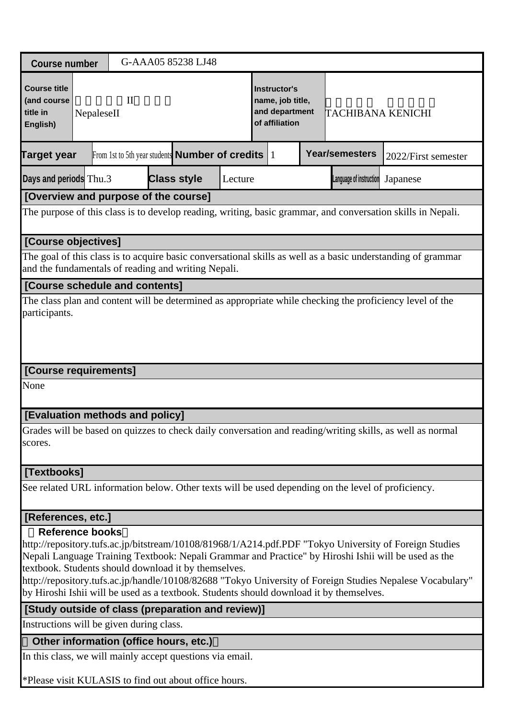| G-AAA05 85238 LJ48<br><b>Course number</b>                                                                                                                  |                                                                                                                                                                                                                                                                                                                                                                                                                                                                                                                                |                                        |                                                                                                                  |  |  |  |                                                                             |  |                                                                                                    |                                                                                                              |  |  |
|-------------------------------------------------------------------------------------------------------------------------------------------------------------|--------------------------------------------------------------------------------------------------------------------------------------------------------------------------------------------------------------------------------------------------------------------------------------------------------------------------------------------------------------------------------------------------------------------------------------------------------------------------------------------------------------------------------|----------------------------------------|------------------------------------------------------------------------------------------------------------------|--|--|--|-----------------------------------------------------------------------------|--|----------------------------------------------------------------------------------------------------|--------------------------------------------------------------------------------------------------------------|--|--|
| <b>Course title</b><br>(and course<br>title in<br>English)                                                                                                  | $\mathbf{I}$<br>NepaleseII                                                                                                                                                                                                                                                                                                                                                                                                                                                                                                     |                                        |                                                                                                                  |  |  |  | <b>Instructor's</b><br>name, job title,<br>and department<br>of affiliation |  | TACHIBANA KENICHI                                                                                  |                                                                                                              |  |  |
| Target year                                                                                                                                                 |                                                                                                                                                                                                                                                                                                                                                                                                                                                                                                                                |                                        | <b>Year/semesters</b><br>From 1st to 5th year students <b>Number of credits</b> $\vert$ 1<br>2022/First semester |  |  |  |                                                                             |  |                                                                                                    |                                                                                                              |  |  |
| Days and periods Thu.3<br><b>Class style</b><br>Language of instruction<br>Lecture<br>Japanese                                                              |                                                                                                                                                                                                                                                                                                                                                                                                                                                                                                                                |                                        |                                                                                                                  |  |  |  |                                                                             |  |                                                                                                    |                                                                                                              |  |  |
| [Overview and purpose of the course]                                                                                                                        |                                                                                                                                                                                                                                                                                                                                                                                                                                                                                                                                |                                        |                                                                                                                  |  |  |  |                                                                             |  |                                                                                                    |                                                                                                              |  |  |
| The purpose of this class is to develop reading, writing, basic grammar, and conversation skills in Nepali.                                                 |                                                                                                                                                                                                                                                                                                                                                                                                                                                                                                                                |                                        |                                                                                                                  |  |  |  |                                                                             |  |                                                                                                    |                                                                                                              |  |  |
| [Course objectives]                                                                                                                                         |                                                                                                                                                                                                                                                                                                                                                                                                                                                                                                                                |                                        |                                                                                                                  |  |  |  |                                                                             |  |                                                                                                    |                                                                                                              |  |  |
| and the fundamentals of reading and writing Nepali.                                                                                                         |                                                                                                                                                                                                                                                                                                                                                                                                                                                                                                                                |                                        |                                                                                                                  |  |  |  |                                                                             |  |                                                                                                    | The goal of this class is to acquire basic conversational skills as well as a basic understanding of grammar |  |  |
|                                                                                                                                                             |                                                                                                                                                                                                                                                                                                                                                                                                                                                                                                                                |                                        |                                                                                                                  |  |  |  |                                                                             |  |                                                                                                    |                                                                                                              |  |  |
| [Course schedule and contents]<br>The class plan and content will be determined as appropriate while checking the proficiency level of the<br>participants. |                                                                                                                                                                                                                                                                                                                                                                                                                                                                                                                                |                                        |                                                                                                                  |  |  |  |                                                                             |  |                                                                                                    |                                                                                                              |  |  |
| [Course requirements]                                                                                                                                       |                                                                                                                                                                                                                                                                                                                                                                                                                                                                                                                                |                                        |                                                                                                                  |  |  |  |                                                                             |  |                                                                                                    |                                                                                                              |  |  |
| None                                                                                                                                                        |                                                                                                                                                                                                                                                                                                                                                                                                                                                                                                                                |                                        |                                                                                                                  |  |  |  |                                                                             |  |                                                                                                    |                                                                                                              |  |  |
| [Evaluation methods and policy]                                                                                                                             |                                                                                                                                                                                                                                                                                                                                                                                                                                                                                                                                |                                        |                                                                                                                  |  |  |  |                                                                             |  |                                                                                                    |                                                                                                              |  |  |
| scores.                                                                                                                                                     |                                                                                                                                                                                                                                                                                                                                                                                                                                                                                                                                |                                        |                                                                                                                  |  |  |  |                                                                             |  |                                                                                                    | Grades will be based on quizzes to check daily conversation and reading/writing skills, as well as normal    |  |  |
| [Textbooks]                                                                                                                                                 |                                                                                                                                                                                                                                                                                                                                                                                                                                                                                                                                |                                        |                                                                                                                  |  |  |  |                                                                             |  |                                                                                                    |                                                                                                              |  |  |
|                                                                                                                                                             |                                                                                                                                                                                                                                                                                                                                                                                                                                                                                                                                |                                        |                                                                                                                  |  |  |  |                                                                             |  | See related URL information below. Other texts will be used depending on the level of proficiency. |                                                                                                              |  |  |
|                                                                                                                                                             |                                                                                                                                                                                                                                                                                                                                                                                                                                                                                                                                |                                        |                                                                                                                  |  |  |  |                                                                             |  |                                                                                                    |                                                                                                              |  |  |
|                                                                                                                                                             | [References, etc.]<br><b>Reference books</b><br>http://repository.tufs.ac.jp/bitstream/10108/81968/1/A214.pdf.PDF "Tokyo University of Foreign Studies<br>Nepali Language Training Textbook: Nepali Grammar and Practice" by Hiroshi Ishii will be used as the<br>textbook. Students should download it by themselves.<br>http://repository.tufs.ac.jp/handle/10108/82688 "Tokyo University of Foreign Studies Nepalese Vocabulary"<br>by Hiroshi Ishii will be used as a textbook. Students should download it by themselves. |                                        |                                                                                                                  |  |  |  |                                                                             |  |                                                                                                    |                                                                                                              |  |  |
| [Study outside of class (preparation and review)]                                                                                                           |                                                                                                                                                                                                                                                                                                                                                                                                                                                                                                                                |                                        |                                                                                                                  |  |  |  |                                                                             |  |                                                                                                    |                                                                                                              |  |  |
| Instructions will be given during class.                                                                                                                    |                                                                                                                                                                                                                                                                                                                                                                                                                                                                                                                                |                                        |                                                                                                                  |  |  |  |                                                                             |  |                                                                                                    |                                                                                                              |  |  |
|                                                                                                                                                             |                                                                                                                                                                                                                                                                                                                                                                                                                                                                                                                                | Other information (office hours, etc.) |                                                                                                                  |  |  |  |                                                                             |  |                                                                                                    |                                                                                                              |  |  |
| In this class, we will mainly accept questions via email.                                                                                                   |                                                                                                                                                                                                                                                                                                                                                                                                                                                                                                                                |                                        |                                                                                                                  |  |  |  |                                                                             |  |                                                                                                    |                                                                                                              |  |  |
| $*DI_{QQQQ}$ vigit $VIII$ $\wedge$ CIC to find out about office hours                                                                                       |                                                                                                                                                                                                                                                                                                                                                                                                                                                                                                                                |                                        |                                                                                                                  |  |  |  |                                                                             |  |                                                                                                    |                                                                                                              |  |  |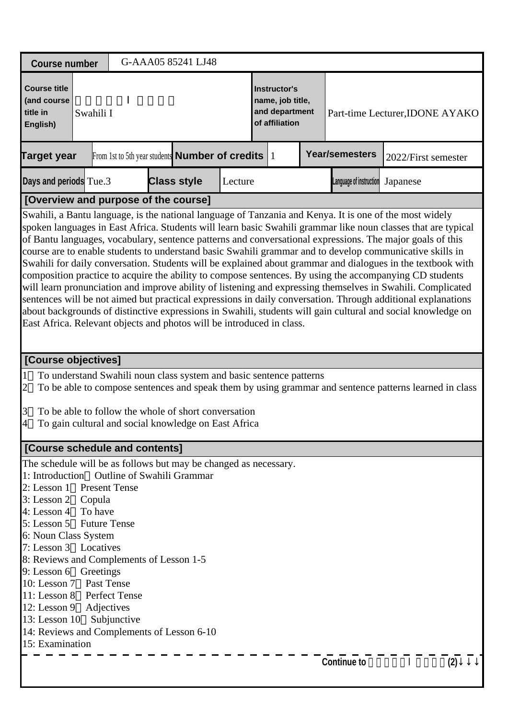| <b>Course number</b>                                                                                                                                                                                                                                                                                                                                                                                                                                                                                                                                                                                                                                                                                                                                                                                                                                                                                                                                                                                                                                                                                |                                                                      | G-AAA05 85241 LJ48 |  |  |                                                                             |  |                                 |                                                                                                        |  |  |  |
|-----------------------------------------------------------------------------------------------------------------------------------------------------------------------------------------------------------------------------------------------------------------------------------------------------------------------------------------------------------------------------------------------------------------------------------------------------------------------------------------------------------------------------------------------------------------------------------------------------------------------------------------------------------------------------------------------------------------------------------------------------------------------------------------------------------------------------------------------------------------------------------------------------------------------------------------------------------------------------------------------------------------------------------------------------------------------------------------------------|----------------------------------------------------------------------|--------------------|--|--|-----------------------------------------------------------------------------|--|---------------------------------|--------------------------------------------------------------------------------------------------------|--|--|--|
| <b>Course title</b><br>(and course<br>title in<br>Swahili I<br>English)                                                                                                                                                                                                                                                                                                                                                                                                                                                                                                                                                                                                                                                                                                                                                                                                                                                                                                                                                                                                                             |                                                                      |                    |  |  | <b>Instructor's</b><br>name, job title,<br>and department<br>of affiliation |  | Part-time Lecturer, IDONE AYAKO |                                                                                                        |  |  |  |
| <b>Target year</b>                                                                                                                                                                                                                                                                                                                                                                                                                                                                                                                                                                                                                                                                                                                                                                                                                                                                                                                                                                                                                                                                                  | From 1st to 5th year students <b>Number of credits</b>               |                    |  |  | $\vert$ 1                                                                   |  | Year/semesters                  | 2022/First semester                                                                                    |  |  |  |
| Days and periods Tue.3                                                                                                                                                                                                                                                                                                                                                                                                                                                                                                                                                                                                                                                                                                                                                                                                                                                                                                                                                                                                                                                                              | <b>Class style</b><br>Language of instruction<br>Lecture<br>Japanese |                    |  |  |                                                                             |  |                                 |                                                                                                        |  |  |  |
| [Overview and purpose of the course]                                                                                                                                                                                                                                                                                                                                                                                                                                                                                                                                                                                                                                                                                                                                                                                                                                                                                                                                                                                                                                                                |                                                                      |                    |  |  |                                                                             |  |                                 |                                                                                                        |  |  |  |
| Swahili, a Bantu language, is the national language of Tanzania and Kenya. It is one of the most widely<br>spoken languages in East Africa. Students will learn basic Swahili grammar like noun classes that are typical<br>of Bantu languages, vocabulary, sentence patterns and conversational expressions. The major goals of this<br>course are to enable students to understand basic Swahili grammar and to develop communicative skills in<br>Swahili for daily conversation. Students will be explained about grammar and dialogues in the textbook with<br>composition practice to acquire the ability to compose sentences. By using the accompanying CD students<br>will learn pronunciation and improve ability of listening and expressing themselves in Swahili. Complicated<br>sentences will be not aimed but practical expressions in daily conversation. Through additional explanations<br>about backgrounds of distinctive expressions in Swahili, students will gain cultural and social knowledge on<br>East Africa. Relevant objects and photos will be introduced in class. |                                                                      |                    |  |  |                                                                             |  |                                 |                                                                                                        |  |  |  |
| [Course objectives]                                                                                                                                                                                                                                                                                                                                                                                                                                                                                                                                                                                                                                                                                                                                                                                                                                                                                                                                                                                                                                                                                 |                                                                      |                    |  |  |                                                                             |  |                                 |                                                                                                        |  |  |  |
| To understand Swahili noun class system and basic sentence patterns<br>$\mathbf 1$<br>$\overline{c}$<br>$\vert 3 \vert$<br>To be able to follow the whole of short conversation<br>$\overline{4}$<br>To gain cultural and social knowledge on East Africa                                                                                                                                                                                                                                                                                                                                                                                                                                                                                                                                                                                                                                                                                                                                                                                                                                           |                                                                      |                    |  |  |                                                                             |  |                                 | To be able to compose sentences and speak them by using grammar and sentence patterns learned in class |  |  |  |
| [Course schedule and contents]                                                                                                                                                                                                                                                                                                                                                                                                                                                                                                                                                                                                                                                                                                                                                                                                                                                                                                                                                                                                                                                                      |                                                                      |                    |  |  |                                                                             |  |                                 |                                                                                                        |  |  |  |
| The schedule will be as follows but may be changed as necessary.                                                                                                                                                                                                                                                                                                                                                                                                                                                                                                                                                                                                                                                                                                                                                                                                                                                                                                                                                                                                                                    |                                                                      |                    |  |  |                                                                             |  |                                 |                                                                                                        |  |  |  |
| 1: Introduction Outline of Swahili Grammar<br>2: Lesson 1 Present Tense<br>3: Lesson 2 Copula<br>4: Lesson $4$ To have<br>5: Lesson 5 Future Tense<br>6: Noun Class System<br>7: Lesson 3 Locatives<br>8: Reviews and Complements of Lesson 1-5<br>9: Lesson 6 Greetings<br>10: Lesson 7 Past Tense<br>11: Lesson 8 Perfect Tense<br>12: Lesson 9 Adjectives<br>13: Lesson 10 Subjunctive<br>14: Reviews and Complements of Lesson 6-10                                                                                                                                                                                                                                                                                                                                                                                                                                                                                                                                                                                                                                                             |                                                                      |                    |  |  |                                                                             |  |                                 |                                                                                                        |  |  |  |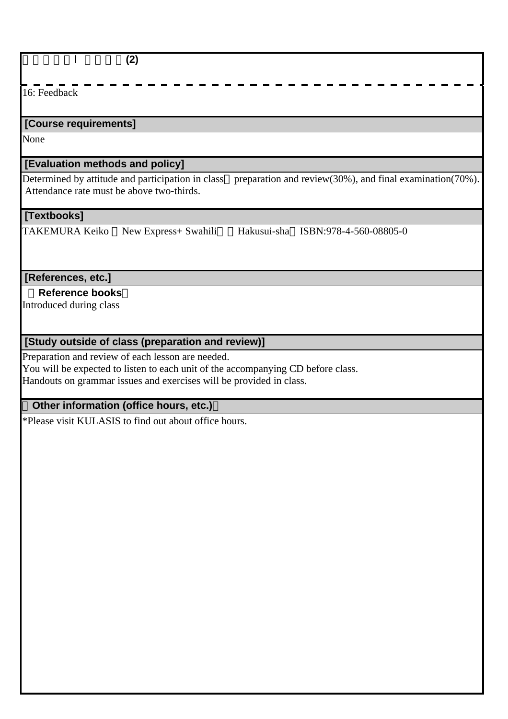| (2)                                                                                                                                                                                                                                                    |
|--------------------------------------------------------------------------------------------------------------------------------------------------------------------------------------------------------------------------------------------------------|
| 16: Feedback                                                                                                                                                                                                                                           |
| [Course requirements]                                                                                                                                                                                                                                  |
| None                                                                                                                                                                                                                                                   |
| [Evaluation methods and policy]                                                                                                                                                                                                                        |
| Determined by attitude and participation in class<br>preparation and review(30%), and final examination(70%).<br>Attendance rate must be above two-thirds.                                                                                             |
| [Textbooks]                                                                                                                                                                                                                                            |
| Hakusui-sha ISBN:978-4-560-08805-0<br><b>TAKEMURA Keiko</b><br>New Express+ Swahili                                                                                                                                                                    |
| [References, etc.]                                                                                                                                                                                                                                     |
| <b>Reference books</b><br>Introduced during class                                                                                                                                                                                                      |
| [Study outside of class (preparation and review)]                                                                                                                                                                                                      |
| Preparation and review of each lesson are needed.<br>You will be expected to listen to each unit of the accompanying CD before class.<br>Handouts on grammar issues and exercises will be provided in class.<br>Other information (office hours, etc.) |
| *Please visit KULASIS to find out about office hours.                                                                                                                                                                                                  |
|                                                                                                                                                                                                                                                        |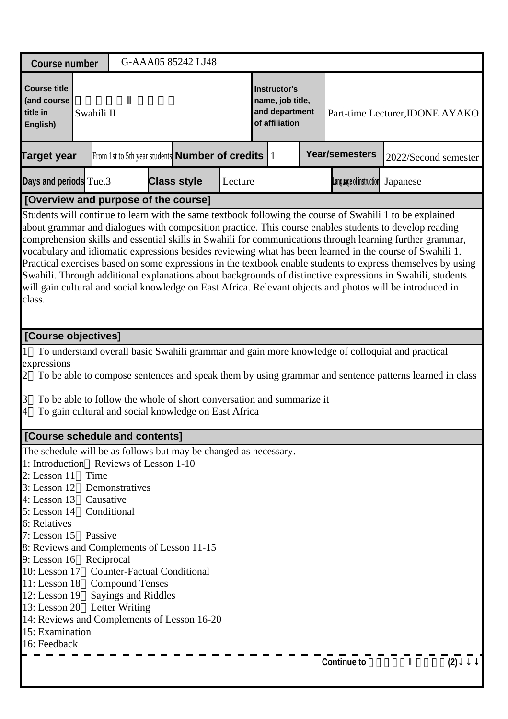| <b>Course number</b>                                                                                                                                                                                                                                                                                                                                                                                                                                                                                                                                                                                                                                                                                                                                                                             |                                                                                                                                                                                                                                                                                                                                            |  | G-AAA05 85242 LJ48 |         |                                                                      |  |  |                         |                                 |  |
|--------------------------------------------------------------------------------------------------------------------------------------------------------------------------------------------------------------------------------------------------------------------------------------------------------------------------------------------------------------------------------------------------------------------------------------------------------------------------------------------------------------------------------------------------------------------------------------------------------------------------------------------------------------------------------------------------------------------------------------------------------------------------------------------------|--------------------------------------------------------------------------------------------------------------------------------------------------------------------------------------------------------------------------------------------------------------------------------------------------------------------------------------------|--|--------------------|---------|----------------------------------------------------------------------|--|--|-------------------------|---------------------------------|--|
| <b>Course title</b><br>(and course<br>title in<br>Swahili II<br>English)                                                                                                                                                                                                                                                                                                                                                                                                                                                                                                                                                                                                                                                                                                                         |                                                                                                                                                                                                                                                                                                                                            |  |                    |         | Instructor's<br>name, job title,<br>and department<br>of affiliation |  |  |                         | Part-time Lecturer, IDONE AYAKO |  |
| <b>Target year</b>                                                                                                                                                                                                                                                                                                                                                                                                                                                                                                                                                                                                                                                                                                                                                                               | From 1st to 5th year students <b>Number of credits</b> 1                                                                                                                                                                                                                                                                                   |  |                    |         |                                                                      |  |  | <b>Year/semesters</b>   | 2022/Second semester            |  |
| Days and periods Tue.3                                                                                                                                                                                                                                                                                                                                                                                                                                                                                                                                                                                                                                                                                                                                                                           |                                                                                                                                                                                                                                                                                                                                            |  | <b>Class style</b> | Lecture |                                                                      |  |  | Language of instruction | Japanese                        |  |
| [Overview and purpose of the course]                                                                                                                                                                                                                                                                                                                                                                                                                                                                                                                                                                                                                                                                                                                                                             |                                                                                                                                                                                                                                                                                                                                            |  |                    |         |                                                                      |  |  |                         |                                 |  |
| Students will continue to learn with the same textbook following the course of Swahili 1 to be explained<br>about grammar and dialogues with composition practice. This course enables students to develop reading<br>comprehension skills and essential skills in Swahili for communications through learning further grammar,<br>vocabulary and idiomatic expressions besides reviewing what has been learned in the course of Swahili 1.<br>Practical exercises based on some expressions in the textbook enable students to express themselves by using<br>Swahili. Through additional explanations about backgrounds of distinctive expressions in Swahili, students<br>will gain cultural and social knowledge on East Africa. Relevant objects and photos will be introduced in<br>class. |                                                                                                                                                                                                                                                                                                                                            |  |                    |         |                                                                      |  |  |                         |                                 |  |
| [Course objectives]                                                                                                                                                                                                                                                                                                                                                                                                                                                                                                                                                                                                                                                                                                                                                                              |                                                                                                                                                                                                                                                                                                                                            |  |                    |         |                                                                      |  |  |                         |                                 |  |
| expressions<br>2<br>3<br>4                                                                                                                                                                                                                                                                                                                                                                                                                                                                                                                                                                                                                                                                                                                                                                       | To understand overall basic Swahili grammar and gain more knowledge of colloquial and practical<br>To be able to compose sentences and speak them by using grammar and sentence patterns learned in class<br>To be able to follow the whole of short conversation and summarize it<br>To gain cultural and social knowledge on East Africa |  |                    |         |                                                                      |  |  |                         |                                 |  |
| [Course schedule and contents]                                                                                                                                                                                                                                                                                                                                                                                                                                                                                                                                                                                                                                                                                                                                                                   |                                                                                                                                                                                                                                                                                                                                            |  |                    |         |                                                                      |  |  |                         |                                 |  |
| The schedule will be as follows but may be changed as necessary.<br>1: Introduction Reviews of Lesson 1-10<br>$2:$ Lesson 11<br>Time<br>$3:$ Lesson 12<br>$4:$ Lesson 13<br>5: Lesson 14<br>6: Relatives<br>$7:$ Lesson 15<br>8: Reviews and Complements of Lesson 11-15<br>9: Lesson 16 Reciprocal<br>10: Lesson 17 Counter-Factual Conditional<br>11: Lesson 18 Compound Tenses<br>$12:$ Lesson 19<br>13: Lesson $20$<br>14: Reviews and Complements of Lesson 16-20<br>15: Examination<br>16: Feedback                                                                                                                                                                                                                                                                                        | Demonstratives<br>Causative<br>Conditional<br>Passive<br>Sayings and Riddles<br><b>Letter Writing</b>                                                                                                                                                                                                                                      |  |                    |         |                                                                      |  |  |                         |                                 |  |
|                                                                                                                                                                                                                                                                                                                                                                                                                                                                                                                                                                                                                                                                                                                                                                                                  |                                                                                                                                                                                                                                                                                                                                            |  |                    |         |                                                                      |  |  | <b>Continue to</b>      | (2)                             |  |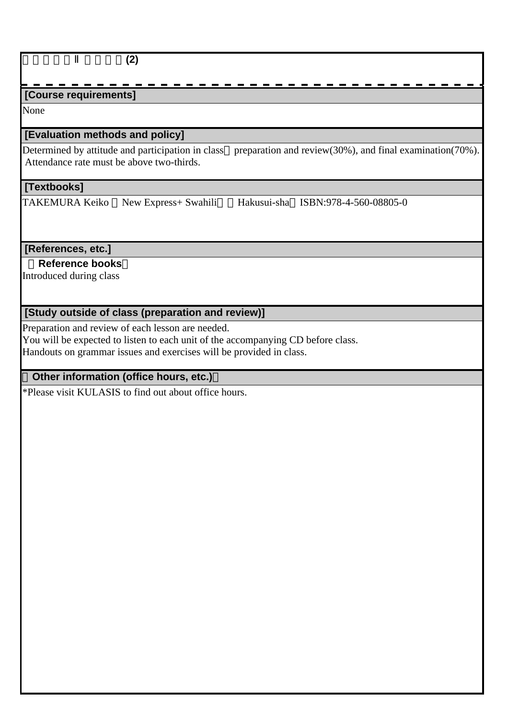## **[Course requirements]**

None

### **[Evaluation methods and policy]**

Determined by attitude and participation in class preparation and review(30%), and final examination(70%). Attendance rate must be above two-thirds.

#### **[Textbooks]**

TAKEMURA Keiko New Express+ Swahili Hakusui-sha ISBN:978-4-560-08805-0

#### **[References, etc.]**

 **Reference books**

Introduced during class

### **[Study outside of class (preparation and review)]**

Preparation and review of each lesson are needed.

You will be expected to listen to each unit of the accompanying CD before class.

Handouts on grammar issues and exercises will be provided in class.

## **Other information (office hours, etc.)**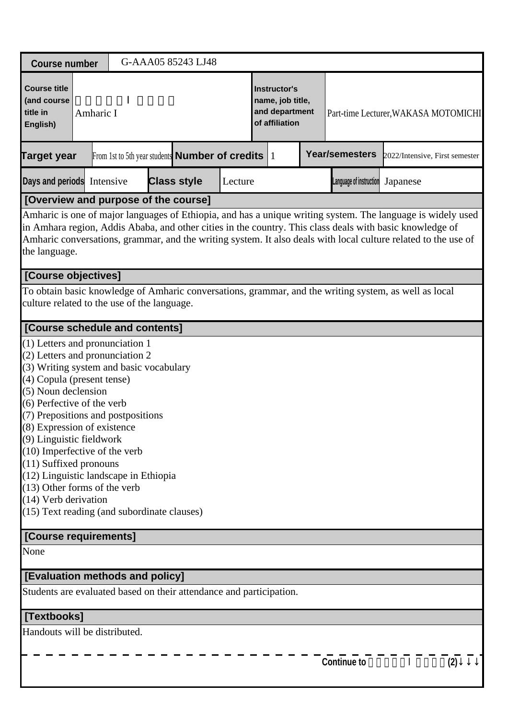| <b>Course number</b>                                                                                                                                 |                                                                                                                                                                                                                                                                                                                                                                                                                                                                                                                                                              |  |  | G-AAA05 85243 LJ48                                     |  |  |                                                                      |  |                                      |                                |  |  |
|------------------------------------------------------------------------------------------------------------------------------------------------------|--------------------------------------------------------------------------------------------------------------------------------------------------------------------------------------------------------------------------------------------------------------------------------------------------------------------------------------------------------------------------------------------------------------------------------------------------------------------------------------------------------------------------------------------------------------|--|--|--------------------------------------------------------|--|--|----------------------------------------------------------------------|--|--------------------------------------|--------------------------------|--|--|
| <b>Course title</b><br>(and course<br>title in<br>English)                                                                                           | Amharic I                                                                                                                                                                                                                                                                                                                                                                                                                                                                                                                                                    |  |  |                                                        |  |  | Instructor's<br>name, job title,<br>and department<br>of affiliation |  | Part-time Lecturer, WAKASA MOTOMICHI |                                |  |  |
| <b>Target year</b>                                                                                                                                   |                                                                                                                                                                                                                                                                                                                                                                                                                                                                                                                                                              |  |  | From 1st to 5th year students <b>Number of credits</b> |  |  | $\vert$ 1                                                            |  | <b>Year/semesters</b>                | 2022/Intensive, First semester |  |  |
| <b>Class style</b><br>Days and periods Intensive<br>Language of instruction<br>Lecture<br>Japanese                                                   |                                                                                                                                                                                                                                                                                                                                                                                                                                                                                                                                                              |  |  |                                                        |  |  |                                                                      |  |                                      |                                |  |  |
|                                                                                                                                                      |                                                                                                                                                                                                                                                                                                                                                                                                                                                                                                                                                              |  |  |                                                        |  |  |                                                                      |  |                                      |                                |  |  |
| the language.                                                                                                                                        | [Overview and purpose of the course]<br>Amharic is one of major languages of Ethiopia, and has a unique writing system. The language is widely used<br>in Amhara region, Addis Ababa, and other cities in the country. This class deals with basic knowledge of<br>Amharic conversations, grammar, and the writing system. It also deals with local culture related to the use of                                                                                                                                                                            |  |  |                                                        |  |  |                                                                      |  |                                      |                                |  |  |
| [Course objectives]                                                                                                                                  |                                                                                                                                                                                                                                                                                                                                                                                                                                                                                                                                                              |  |  |                                                        |  |  |                                                                      |  |                                      |                                |  |  |
| To obtain basic knowledge of Amharic conversations, grammar, and the writing system, as well as local<br>culture related to the use of the language. |                                                                                                                                                                                                                                                                                                                                                                                                                                                                                                                                                              |  |  |                                                        |  |  |                                                                      |  |                                      |                                |  |  |
|                                                                                                                                                      |                                                                                                                                                                                                                                                                                                                                                                                                                                                                                                                                                              |  |  |                                                        |  |  |                                                                      |  |                                      |                                |  |  |
| [Course requirements]                                                                                                                                | [Course schedule and contents]<br>$(1)$ Letters and pronunciation 1<br>(2) Letters and pronunciation 2<br>(3) Writing system and basic vocabulary<br>(4) Copula (present tense)<br>(5) Noun declension<br>(6) Perfective of the verb<br>(7) Prepositions and postpositions<br>$(8)$ Expression of existence<br>(9) Linguistic fieldwork<br>$(10)$ Imperfective of the verb<br>$(11)$ Suffixed pronouns<br>(12) Linguistic landscape in Ethiopia<br>$(13)$ Other forms of the verb<br>$(14)$ Verb derivation<br>$(15)$ Text reading (and subordinate clauses) |  |  |                                                        |  |  |                                                                      |  |                                      |                                |  |  |
| None                                                                                                                                                 |                                                                                                                                                                                                                                                                                                                                                                                                                                                                                                                                                              |  |  |                                                        |  |  |                                                                      |  |                                      |                                |  |  |
|                                                                                                                                                      |                                                                                                                                                                                                                                                                                                                                                                                                                                                                                                                                                              |  |  |                                                        |  |  |                                                                      |  |                                      |                                |  |  |
| [Evaluation methods and policy]                                                                                                                      |                                                                                                                                                                                                                                                                                                                                                                                                                                                                                                                                                              |  |  |                                                        |  |  |                                                                      |  |                                      |                                |  |  |
| Students are evaluated based on their attendance and participation.                                                                                  |                                                                                                                                                                                                                                                                                                                                                                                                                                                                                                                                                              |  |  |                                                        |  |  |                                                                      |  |                                      |                                |  |  |
| [Textbooks]                                                                                                                                          |                                                                                                                                                                                                                                                                                                                                                                                                                                                                                                                                                              |  |  |                                                        |  |  |                                                                      |  |                                      |                                |  |  |
| Handouts will be distributed.                                                                                                                        |                                                                                                                                                                                                                                                                                                                                                                                                                                                                                                                                                              |  |  |                                                        |  |  |                                                                      |  |                                      |                                |  |  |
|                                                                                                                                                      |                                                                                                                                                                                                                                                                                                                                                                                                                                                                                                                                                              |  |  |                                                        |  |  |                                                                      |  | <b>Continue to</b>                   | (2)                            |  |  |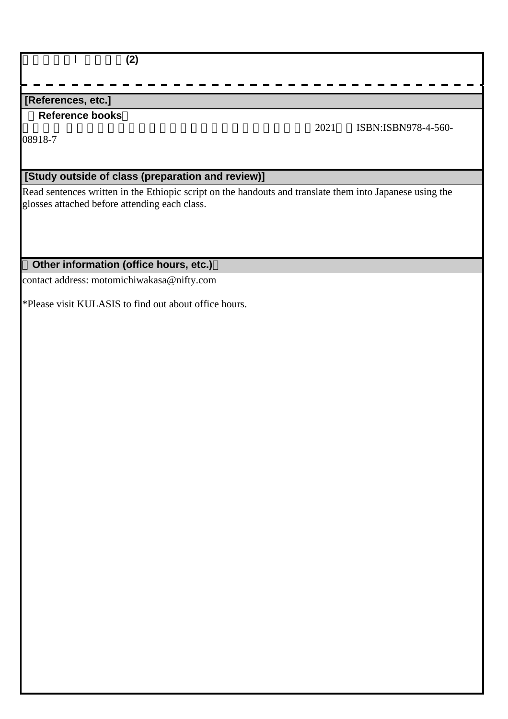| (2)                                                                                                                                                       |      |                     |
|-----------------------------------------------------------------------------------------------------------------------------------------------------------|------|---------------------|
|                                                                                                                                                           |      |                     |
| [References, etc.]                                                                                                                                        |      |                     |
| <b>Reference books</b><br>08918-7                                                                                                                         | 2021 | ISBN:ISBN978-4-560- |
| [Study outside of class (preparation and review)]                                                                                                         |      |                     |
| Read sentences written in the Ethiopic script on the handouts and translate them into Japanese using the<br>glosses attached before attending each class. |      |                     |

# **Other information (office hours, etc.)**

contact address: motomichiwakasa@nifty.com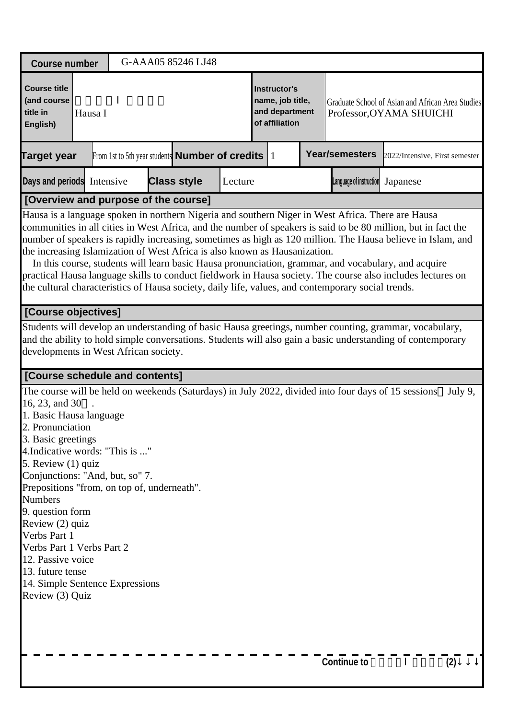| <b>Course number</b>                                                                                                                                                                                                                                                                                                                                                                                                                                                                                                                       |                                                                                                                                                                                                                                                                                                                                                                                                                                                                                                                                                                                                                                                                                                                                              |  |  | G-AAA05 85246 LJ48                                           |                                                                      |  |  |                                                                               |                         |                                |         |
|--------------------------------------------------------------------------------------------------------------------------------------------------------------------------------------------------------------------------------------------------------------------------------------------------------------------------------------------------------------------------------------------------------------------------------------------------------------------------------------------------------------------------------------------|----------------------------------------------------------------------------------------------------------------------------------------------------------------------------------------------------------------------------------------------------------------------------------------------------------------------------------------------------------------------------------------------------------------------------------------------------------------------------------------------------------------------------------------------------------------------------------------------------------------------------------------------------------------------------------------------------------------------------------------------|--|--|--------------------------------------------------------------|----------------------------------------------------------------------|--|--|-------------------------------------------------------------------------------|-------------------------|--------------------------------|---------|
| <b>Course title</b><br>(and course<br>title in<br>Hausa I<br>English)                                                                                                                                                                                                                                                                                                                                                                                                                                                                      |                                                                                                                                                                                                                                                                                                                                                                                                                                                                                                                                                                                                                                                                                                                                              |  |  |                                                              | Instructor's<br>name, job title,<br>and department<br>of affiliation |  |  | Graduate School of Asian and African Area Studies<br>Professor, OYAMA SHUICHI |                         |                                |         |
| <b>Target year</b>                                                                                                                                                                                                                                                                                                                                                                                                                                                                                                                         |                                                                                                                                                                                                                                                                                                                                                                                                                                                                                                                                                                                                                                                                                                                                              |  |  | From 1st to 5th year students <b>Number of credits</b> $ 1 $ |                                                                      |  |  |                                                                               | <b>Year/semesters</b>   | 2022/Intensive, First semester |         |
| Days and periods Intensive                                                                                                                                                                                                                                                                                                                                                                                                                                                                                                                 |                                                                                                                                                                                                                                                                                                                                                                                                                                                                                                                                                                                                                                                                                                                                              |  |  | <b>Class style</b>                                           | Lecture                                                              |  |  |                                                                               | Language of instruction | Japanese                       |         |
| [Overview and purpose of the course]                                                                                                                                                                                                                                                                                                                                                                                                                                                                                                       |                                                                                                                                                                                                                                                                                                                                                                                                                                                                                                                                                                                                                                                                                                                                              |  |  |                                                              |                                                                      |  |  |                                                                               |                         |                                |         |
|                                                                                                                                                                                                                                                                                                                                                                                                                                                                                                                                            | Hausa is a language spoken in northern Nigeria and southern Niger in West Africa. There are Hausa<br>communities in all cities in West Africa, and the number of speakers is said to be 80 million, but in fact the<br>number of speakers is rapidly increasing, sometimes as high as 120 million. The Hausa believe in Islam, and<br>the increasing Islamization of West Africa is also known as Hausanization.<br>In this course, students will learn basic Hausa pronunciation, grammar, and vocabulary, and acquire<br>practical Hausa language skills to conduct fieldwork in Hausa society. The course also includes lectures on<br>the cultural characteristics of Hausa society, daily life, values, and contemporary social trends. |  |  |                                                              |                                                                      |  |  |                                                                               |                         |                                |         |
| [Course objectives]                                                                                                                                                                                                                                                                                                                                                                                                                                                                                                                        |                                                                                                                                                                                                                                                                                                                                                                                                                                                                                                                                                                                                                                                                                                                                              |  |  |                                                              |                                                                      |  |  |                                                                               |                         |                                |         |
|                                                                                                                                                                                                                                                                                                                                                                                                                                                                                                                                            | Students will develop an understanding of basic Hausa greetings, number counting, grammar, vocabulary,<br>and the ability to hold simple conversations. Students will also gain a basic understanding of contemporary<br>developments in West African society.                                                                                                                                                                                                                                                                                                                                                                                                                                                                               |  |  |                                                              |                                                                      |  |  |                                                                               |                         |                                |         |
| [Course schedule and contents]                                                                                                                                                                                                                                                                                                                                                                                                                                                                                                             |                                                                                                                                                                                                                                                                                                                                                                                                                                                                                                                                                                                                                                                                                                                                              |  |  |                                                              |                                                                      |  |  |                                                                               |                         |                                |         |
| The course will be held on weekends (Saturdays) in July 2022, divided into four days of 15 sessions<br>16, 23, and 30<br>1. Basic Hausa language<br>2. Pronunciation<br>3. Basic greetings<br>4. Indicative words: "This is "<br>5. Review (1) quiz<br>Conjunctions: "And, but, so" 7.<br>Prepositions "from, on top of, underneath".<br><b>Numbers</b><br>9. question form<br>Review (2) quiz<br>Verbs Part 1<br>Verbs Part 1 Verbs Part 2<br>12. Passive voice<br>13. future tense<br>14. Simple Sentence Expressions<br>Review (3) Quiz |                                                                                                                                                                                                                                                                                                                                                                                                                                                                                                                                                                                                                                                                                                                                              |  |  |                                                              |                                                                      |  |  |                                                                               |                         |                                | July 9, |
|                                                                                                                                                                                                                                                                                                                                                                                                                                                                                                                                            |                                                                                                                                                                                                                                                                                                                                                                                                                                                                                                                                                                                                                                                                                                                                              |  |  |                                                              |                                                                      |  |  |                                                                               | <b>Continue to</b>      |                                | (2)     |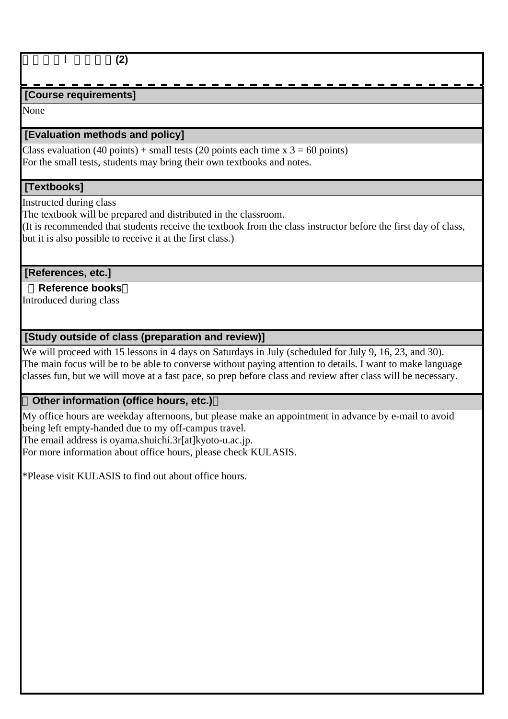## **[Course requirements]**

None

## **[Evaluation methods and policy]**

Class evaluation (40 points) + small tests (20 points each time  $x$  3 = 60 points) For the small tests, students may bring their own textbooks and notes.

## **[Textbooks]**

Instructed during class

The textbook will be prepared and distributed in the classroom.

(It is recommended that students receive the textbook from the class instructor before the first day of class, but it is also possible to receive it at the first class.)

## **[References, etc.]**

## **Reference books**

Introduced during class

## **[Study outside of class (preparation and review)]**

We will proceed with 15 lessons in 4 days on Saturdays in July (scheduled for July 9, 16, 23, and 30). The main focus will be to be able to converse without paying attention to details. I want to make language classes fun, but we will move at a fast pace, so prep before class and review after class will be necessary.

## **Other information (office hours, etc.)**

My office hours are weekday afternoons, but please make an appointment in advance by e-mail to avoid being left empty-handed due to my off-campus travel.

The email address is oyama.shuichi.3r[at]kyoto-u.ac.jp.

For more information about office hours, please check KULASIS.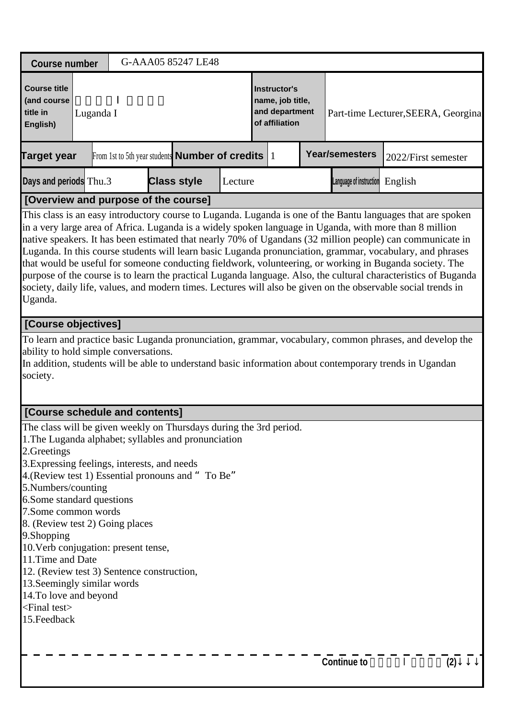| <b>Course number</b>                                                                                                                                                                                                                                                                                                                                                                                                                                                                                                                                                                                                                                                                                                                                                                                       |                                                                                                                                                                                                                                                             |  |  | G-AAA05 85247 LE48                                           |                                                                      |  |  |                                     |                       |                     |  |
|------------------------------------------------------------------------------------------------------------------------------------------------------------------------------------------------------------------------------------------------------------------------------------------------------------------------------------------------------------------------------------------------------------------------------------------------------------------------------------------------------------------------------------------------------------------------------------------------------------------------------------------------------------------------------------------------------------------------------------------------------------------------------------------------------------|-------------------------------------------------------------------------------------------------------------------------------------------------------------------------------------------------------------------------------------------------------------|--|--|--------------------------------------------------------------|----------------------------------------------------------------------|--|--|-------------------------------------|-----------------------|---------------------|--|
| <b>Course title</b><br>(and course<br>title in<br>Luganda I<br>English)                                                                                                                                                                                                                                                                                                                                                                                                                                                                                                                                                                                                                                                                                                                                    |                                                                                                                                                                                                                                                             |  |  |                                                              | Instructor's<br>name, job title,<br>and department<br>of affiliation |  |  | Part-time Lecturer, SEERA, Georgina |                       |                     |  |
| <b>Target year</b>                                                                                                                                                                                                                                                                                                                                                                                                                                                                                                                                                                                                                                                                                                                                                                                         |                                                                                                                                                                                                                                                             |  |  | From 1st to 5th year students <b>Number of credits</b> $ 1 $ |                                                                      |  |  |                                     | <b>Year/semesters</b> | 2022/First semester |  |
| Days and periods Thu.3<br><b>Class style</b><br>Language of instruction<br>Lecture<br>English                                                                                                                                                                                                                                                                                                                                                                                                                                                                                                                                                                                                                                                                                                              |                                                                                                                                                                                                                                                             |  |  |                                                              |                                                                      |  |  |                                     |                       |                     |  |
| [Overview and purpose of the course]                                                                                                                                                                                                                                                                                                                                                                                                                                                                                                                                                                                                                                                                                                                                                                       |                                                                                                                                                                                                                                                             |  |  |                                                              |                                                                      |  |  |                                     |                       |                     |  |
| This class is an easy introductory course to Luganda. Luganda is one of the Bantu languages that are spoken<br>in a very large area of Africa. Luganda is a widely spoken language in Uganda, with more than 8 million<br>native speakers. It has been estimated that nearly 70% of Ugandans (32 million people) can communicate in<br>Luganda. In this course students will learn basic Luganda pronunciation, grammar, vocabulary, and phrases<br>that would be useful for someone conducting fieldwork, volunteering, or working in Buganda society. The<br>purpose of the course is to learn the practical Luganda language. Also, the cultural characteristics of Buganda<br>society, daily life, values, and modern times. Lectures will also be given on the observable social trends in<br>Uganda. |                                                                                                                                                                                                                                                             |  |  |                                                              |                                                                      |  |  |                                     |                       |                     |  |
| [Course objectives]                                                                                                                                                                                                                                                                                                                                                                                                                                                                                                                                                                                                                                                                                                                                                                                        |                                                                                                                                                                                                                                                             |  |  |                                                              |                                                                      |  |  |                                     |                       |                     |  |
| society.                                                                                                                                                                                                                                                                                                                                                                                                                                                                                                                                                                                                                                                                                                                                                                                                   | To learn and practice basic Luganda pronunciation, grammar, vocabulary, common phrases, and develop the<br>ability to hold simple conversations.<br>In addition, students will be able to understand basic information about contemporary trends in Ugandan |  |  |                                                              |                                                                      |  |  |                                     |                       |                     |  |
| [Course schedule and contents]                                                                                                                                                                                                                                                                                                                                                                                                                                                                                                                                                                                                                                                                                                                                                                             |                                                                                                                                                                                                                                                             |  |  |                                                              |                                                                      |  |  |                                     |                       |                     |  |
| The class will be given weekly on Thursdays during the 3rd period.<br>1. The Luganda alphabet; syllables and pronunciation<br>2. Greetings<br>3. Expressing feelings, interests, and needs<br>4. (Review test 1) Essential pronouns and "To Be"<br>5. Numbers/counting<br>6. Some standard questions<br>7. Some common words<br>8. (Review test 2) Going places<br>9. Shopping<br>10. Verb conjugation: present tense,<br>11. Time and Date<br>12. (Review test 3) Sentence construction,<br>13. Seemingly similar words<br>14. To love and beyond<br><final test=""><br/>15. Feedback</final>                                                                                                                                                                                                             |                                                                                                                                                                                                                                                             |  |  |                                                              |                                                                      |  |  |                                     |                       |                     |  |
|                                                                                                                                                                                                                                                                                                                                                                                                                                                                                                                                                                                                                                                                                                                                                                                                            |                                                                                                                                                                                                                                                             |  |  |                                                              |                                                                      |  |  |                                     | <b>Continue to</b>    | (2)                 |  |